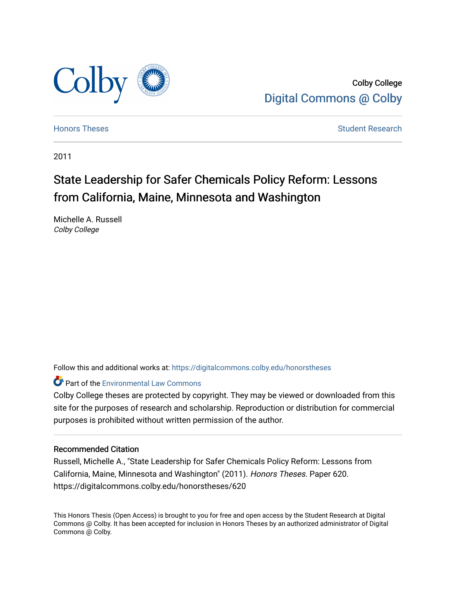

Colby College [Digital Commons @ Colby](https://digitalcommons.colby.edu/) 

[Honors Theses](https://digitalcommons.colby.edu/honorstheses) **Student Research** Student Research

2011

# State Leadership for Safer Chemicals Policy Reform: Lessons from California, Maine, Minnesota and Washington

Michelle A. Russell Colby College

Follow this and additional works at: [https://digitalcommons.colby.edu/honorstheses](https://digitalcommons.colby.edu/honorstheses?utm_source=digitalcommons.colby.edu%2Fhonorstheses%2F620&utm_medium=PDF&utm_campaign=PDFCoverPages) 

**Part of the [Environmental Law Commons](http://network.bepress.com/hgg/discipline/599?utm_source=digitalcommons.colby.edu%2Fhonorstheses%2F620&utm_medium=PDF&utm_campaign=PDFCoverPages)** 

Colby College theses are protected by copyright. They may be viewed or downloaded from this site for the purposes of research and scholarship. Reproduction or distribution for commercial purposes is prohibited without written permission of the author.

# Recommended Citation

Russell, Michelle A., "State Leadership for Safer Chemicals Policy Reform: Lessons from California, Maine, Minnesota and Washington" (2011). Honors Theses. Paper 620. https://digitalcommons.colby.edu/honorstheses/620

This Honors Thesis (Open Access) is brought to you for free and open access by the Student Research at Digital Commons @ Colby. It has been accepted for inclusion in Honors Theses by an authorized administrator of Digital Commons @ Colby.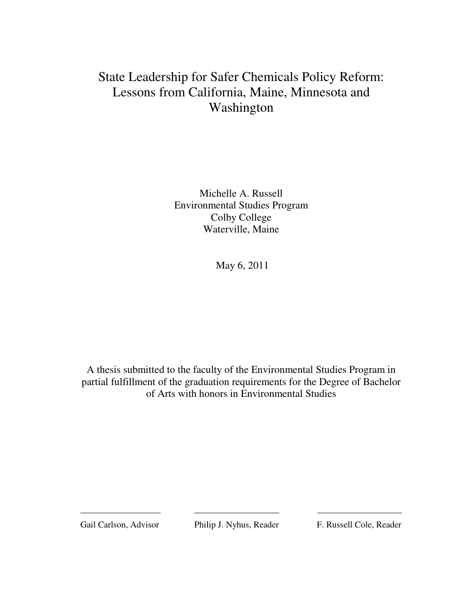# State Leadership for Safer Chemicals Policy Reform: Lessons from California, Maine, Minnesota and Washington

Michelle A. Russell Environmental Studies Program Colby College Waterville, Maine

May 6, 2011

A thesis submitted to the faculty of the Environmental Studies Program in partial fulfillment of the graduation requirements for the Degree of Bachelor of Arts with honors in Environmental Studies

Gail Carlson, Advisor Philip J. Nyhus, Reader F. Russell Cole, Reader

\_\_\_\_\_\_\_\_\_\_\_\_\_\_\_\_\_\_ \_\_\_\_\_\_\_\_\_\_\_\_\_\_\_\_\_\_\_ \_\_\_\_\_\_\_\_\_\_\_\_\_\_\_\_\_\_\_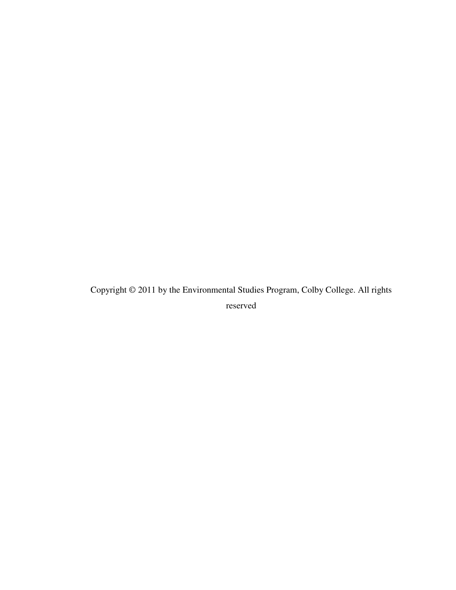Copyright © 2011 by the Environmental Studies Program, Colby College. All rights reserved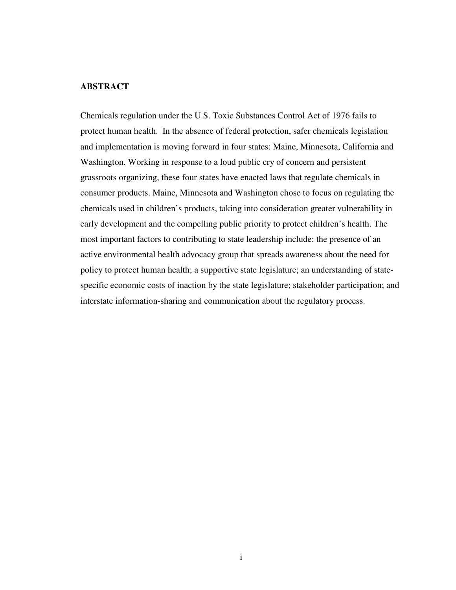# **ABSTRACT**

Chemicals regulation under the U.S. Toxic Substances Control Act of 1976 fails to protect human health. In the absence of federal protection, safer chemicals legislation and implementation is moving forward in four states: Maine, Minnesota, California and Washington. Working in response to a loud public cry of concern and persistent grassroots organizing, these four states have enacted laws that regulate chemicals in consumer products. Maine, Minnesota and Washington chose to focus on regulating the chemicals used in children's products, taking into consideration greater vulnerability in early development and the compelling public priority to protect children's health. The most important factors to contributing to state leadership include: the presence of an active environmental health advocacy group that spreads awareness about the need for policy to protect human health; a supportive state legislature; an understanding of statespecific economic costs of inaction by the state legislature; stakeholder participation; and interstate information-sharing and communication about the regulatory process.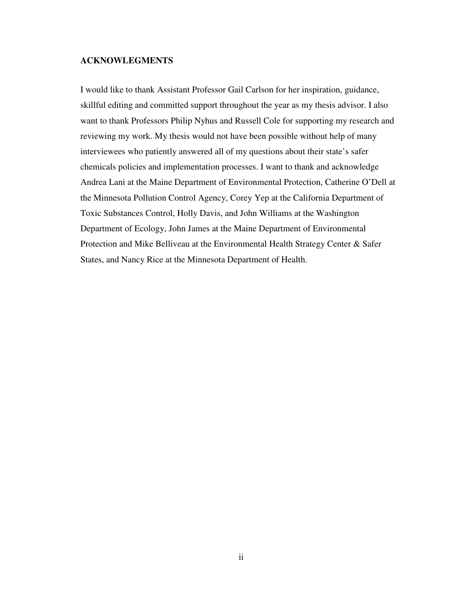# **ACKNOWLEGMENTS**

I would like to thank Assistant Professor Gail Carlson for her inspiration, guidance, skillful editing and committed support throughout the year as my thesis advisor. I also want to thank Professors Philip Nyhus and Russell Cole for supporting my research and reviewing my work. My thesis would not have been possible without help of many interviewees who patiently answered all of my questions about their state's safer chemicals policies and implementation processes. I want to thank and acknowledge Andrea Lani at the Maine Department of Environmental Protection, Catherine O'Dell at the Minnesota Pollution Control Agency, Corey Yep at the California Department of Toxic Substances Control, Holly Davis, and John Williams at the Washington Department of Ecology, John James at the Maine Department of Environmental Protection and Mike Belliveau at the Environmental Health Strategy Center & Safer States, and Nancy Rice at the Minnesota Department of Health.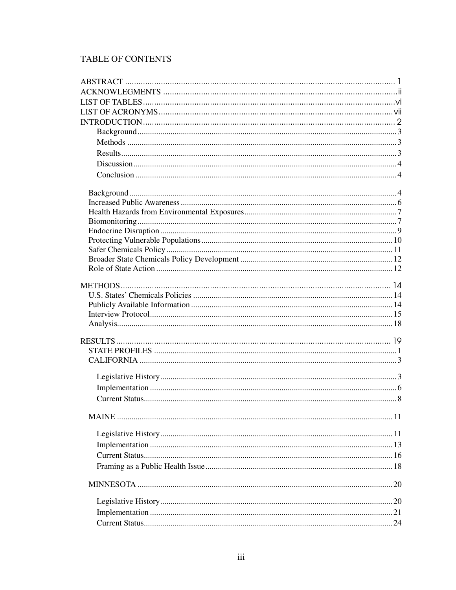# TABLE OF CONTENTS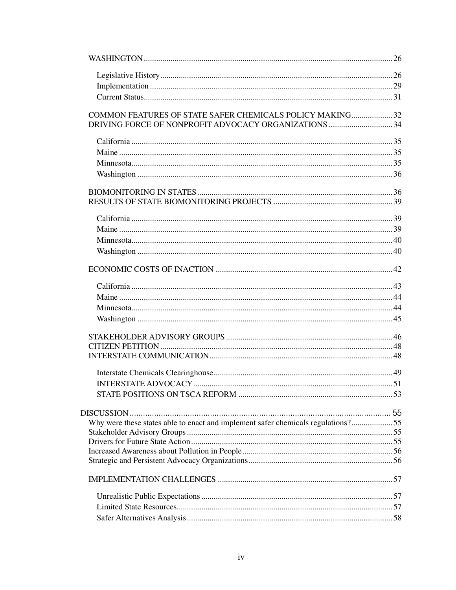| COMMON FEATURES OF STATE SAFER CHEMICALS POLICY MAKING32                         |  |
|----------------------------------------------------------------------------------|--|
|                                                                                  |  |
|                                                                                  |  |
|                                                                                  |  |
|                                                                                  |  |
|                                                                                  |  |
|                                                                                  |  |
|                                                                                  |  |
|                                                                                  |  |
|                                                                                  |  |
|                                                                                  |  |
|                                                                                  |  |
|                                                                                  |  |
|                                                                                  |  |
|                                                                                  |  |
|                                                                                  |  |
|                                                                                  |  |
|                                                                                  |  |
|                                                                                  |  |
|                                                                                  |  |
|                                                                                  |  |
|                                                                                  |  |
|                                                                                  |  |
|                                                                                  |  |
| Why were these states able to enact and implement safer chemicals regulations?55 |  |
|                                                                                  |  |
|                                                                                  |  |
|                                                                                  |  |
|                                                                                  |  |
|                                                                                  |  |
|                                                                                  |  |
|                                                                                  |  |
|                                                                                  |  |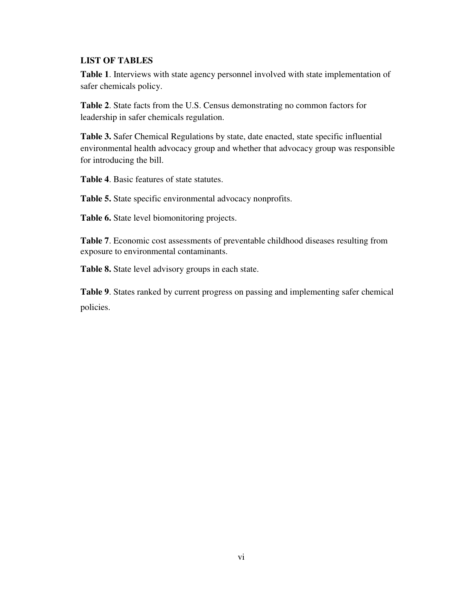# **LIST OF TABLES**

**Table 1**. Interviews with state agency personnel involved with state implementation of safer chemicals policy.

**Table 2**. State facts from the U.S. Census demonstrating no common factors for leadership in safer chemicals regulation.

**Table 3.** Safer Chemical Regulations by state, date enacted, state specific influential environmental health advocacy group and whether that advocacy group was responsible for introducing the bill.

**Table 4**. Basic features of state statutes.

**Table 5.** State specific environmental advocacy nonprofits.

**Table 6.** State level biomonitoring projects.

**Table 7**. Economic cost assessments of preventable childhood diseases resulting from exposure to environmental contaminants.

**Table 8.** State level advisory groups in each state.

**Table 9**. States ranked by current progress on passing and implementing safer chemical policies.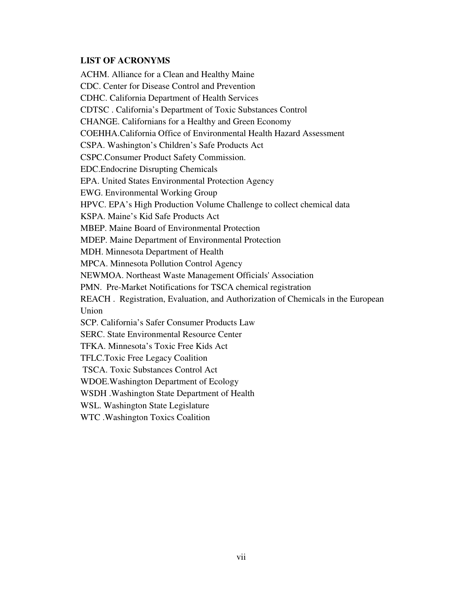# **LIST OF ACRONYMS**

ACHM. Alliance for a Clean and Healthy Maine CDC. Center for Disease Control and Prevention CDHC. California Department of Health Services CDTSC . California's Department of Toxic Substances Control CHANGE. Californians for a Healthy and Green Economy COEHHA.California Office of Environmental Health Hazard Assessment CSPA. Washington's Children's Safe Products Act CSPC.Consumer Product Safety Commission. EDC.Endocrine Disrupting Chemicals EPA. United States Environmental Protection Agency EWG. Environmental Working Group HPVC. EPA's High Production Volume Challenge to collect chemical data KSPA. Maine's Kid Safe Products Act MBEP. Maine Board of Environmental Protection MDEP. Maine Department of Environmental Protection MDH. Minnesota Department of Health MPCA. Minnesota Pollution Control Agency NEWMOA. Northeast Waste Management Officials' Association PMN. Pre-Market Notifications for TSCA chemical registration REACH . Registration, Evaluation, and Authorization of Chemicals in the European Union SCP. California's Safer Consumer Products Law SERC. State Environmental Resource Center TFKA. Minnesota's Toxic Free Kids Act TFLC.Toxic Free Legacy Coalition TSCA. Toxic Substances Control Act WDOE.Washington Department of Ecology WSDH .Washington State Department of Health WSL. Washington State Legislature

WTC .Washington Toxics Coalition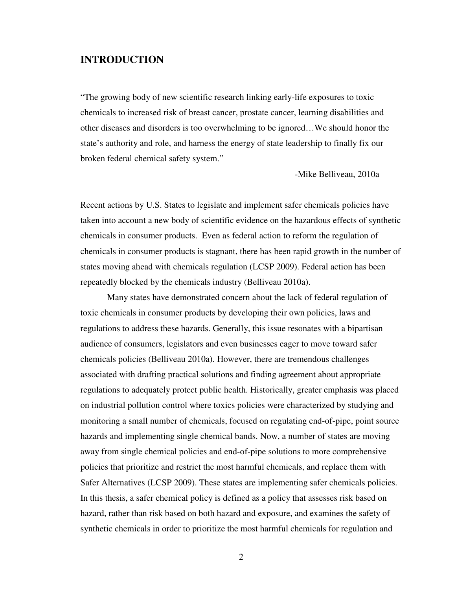# **INTRODUCTION**

"The growing body of new scientific research linking early-life exposures to toxic chemicals to increased risk of breast cancer, prostate cancer, learning disabilities and other diseases and disorders is too overwhelming to be ignored…We should honor the state's authority and role, and harness the energy of state leadership to finally fix our broken federal chemical safety system."

-Mike Belliveau, 2010a

Recent actions by U.S. States to legislate and implement safer chemicals policies have taken into account a new body of scientific evidence on the hazardous effects of synthetic chemicals in consumer products. Even as federal action to reform the regulation of chemicals in consumer products is stagnant, there has been rapid growth in the number of states moving ahead with chemicals regulation (LCSP 2009). Federal action has been repeatedly blocked by the chemicals industry (Belliveau 2010a).

Many states have demonstrated concern about the lack of federal regulation of toxic chemicals in consumer products by developing their own policies, laws and regulations to address these hazards. Generally, this issue resonates with a bipartisan audience of consumers, legislators and even businesses eager to move toward safer chemicals policies (Belliveau 2010a). However, there are tremendous challenges associated with drafting practical solutions and finding agreement about appropriate regulations to adequately protect public health. Historically, greater emphasis was placed on industrial pollution control where toxics policies were characterized by studying and monitoring a small number of chemicals, focused on regulating end-of-pipe, point source hazards and implementing single chemical bands. Now, a number of states are moving away from single chemical policies and end-of-pipe solutions to more comprehensive policies that prioritize and restrict the most harmful chemicals, and replace them with Safer Alternatives (LCSP 2009). These states are implementing safer chemicals policies. In this thesis, a safer chemical policy is defined as a policy that assesses risk based on hazard, rather than risk based on both hazard and exposure, and examines the safety of synthetic chemicals in order to prioritize the most harmful chemicals for regulation and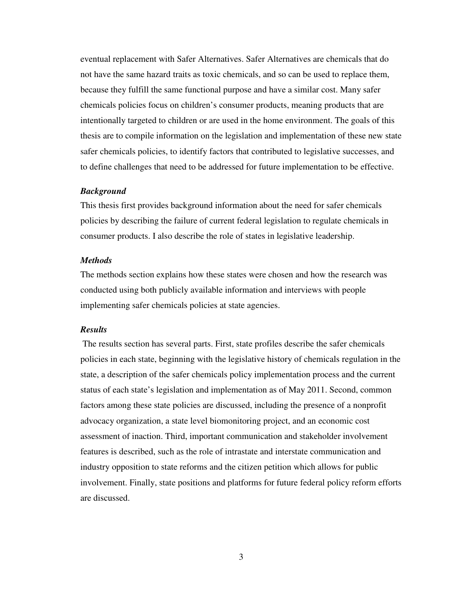eventual replacement with Safer Alternatives. Safer Alternatives are chemicals that do not have the same hazard traits as toxic chemicals, and so can be used to replace them, because they fulfill the same functional purpose and have a similar cost. Many safer chemicals policies focus on children's consumer products, meaning products that are intentionally targeted to children or are used in the home environment. The goals of this thesis are to compile information on the legislation and implementation of these new state safer chemicals policies, to identify factors that contributed to legislative successes, and to define challenges that need to be addressed for future implementation to be effective.

# *Background*

This thesis first provides background information about the need for safer chemicals policies by describing the failure of current federal legislation to regulate chemicals in consumer products. I also describe the role of states in legislative leadership.

# *Methods*

The methods section explains how these states were chosen and how the research was conducted using both publicly available information and interviews with people implementing safer chemicals policies at state agencies.

#### *Results*

 The results section has several parts. First, state profiles describe the safer chemicals policies in each state, beginning with the legislative history of chemicals regulation in the state, a description of the safer chemicals policy implementation process and the current status of each state's legislation and implementation as of May 2011. Second, common factors among these state policies are discussed, including the presence of a nonprofit advocacy organization, a state level biomonitoring project, and an economic cost assessment of inaction. Third, important communication and stakeholder involvement features is described, such as the role of intrastate and interstate communication and industry opposition to state reforms and the citizen petition which allows for public involvement. Finally, state positions and platforms for future federal policy reform efforts are discussed.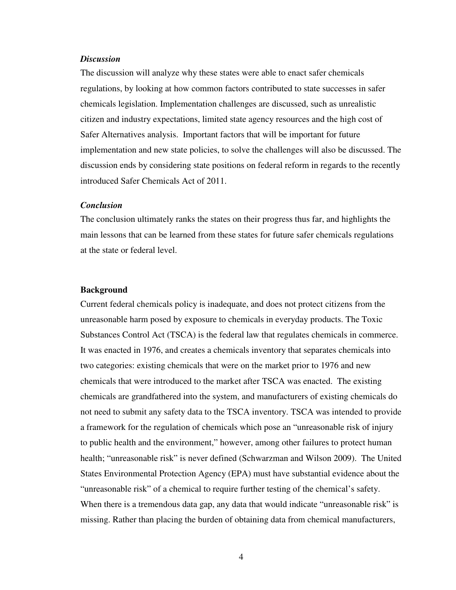# *Discussion*

The discussion will analyze why these states were able to enact safer chemicals regulations, by looking at how common factors contributed to state successes in safer chemicals legislation. Implementation challenges are discussed, such as unrealistic citizen and industry expectations, limited state agency resources and the high cost of Safer Alternatives analysis. Important factors that will be important for future implementation and new state policies, to solve the challenges will also be discussed. The discussion ends by considering state positions on federal reform in regards to the recently introduced Safer Chemicals Act of 2011.

# *Conclusion*

The conclusion ultimately ranks the states on their progress thus far, and highlights the main lessons that can be learned from these states for future safer chemicals regulations at the state or federal level.

#### **Background**

Current federal chemicals policy is inadequate, and does not protect citizens from the unreasonable harm posed by exposure to chemicals in everyday products. The Toxic Substances Control Act (TSCA) is the federal law that regulates chemicals in commerce. It was enacted in 1976, and creates a chemicals inventory that separates chemicals into two categories: existing chemicals that were on the market prior to 1976 and new chemicals that were introduced to the market after TSCA was enacted. The existing chemicals are grandfathered into the system, and manufacturers of existing chemicals do not need to submit any safety data to the TSCA inventory. TSCA was intended to provide a framework for the regulation of chemicals which pose an "unreasonable risk of injury to public health and the environment," however, among other failures to protect human health; "unreasonable risk" is never defined (Schwarzman and Wilson 2009). The United States Environmental Protection Agency (EPA) must have substantial evidence about the "unreasonable risk" of a chemical to require further testing of the chemical's safety. When there is a tremendous data gap, any data that would indicate "unreasonable risk" is missing. Rather than placing the burden of obtaining data from chemical manufacturers,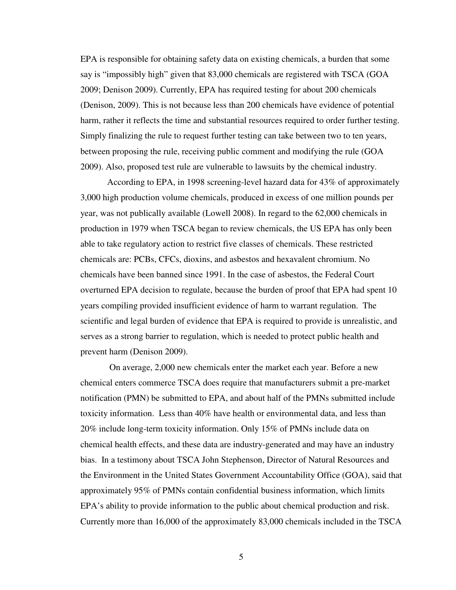EPA is responsible for obtaining safety data on existing chemicals, a burden that some say is "impossibly high" given that 83,000 chemicals are registered with TSCA (GOA 2009; Denison 2009). Currently, EPA has required testing for about 200 chemicals (Denison, 2009). This is not because less than 200 chemicals have evidence of potential harm, rather it reflects the time and substantial resources required to order further testing. Simply finalizing the rule to request further testing can take between two to ten years, between proposing the rule, receiving public comment and modifying the rule (GOA 2009). Also, proposed test rule are vulnerable to lawsuits by the chemical industry.

According to EPA, in 1998 screening-level hazard data for 43% of approximately 3,000 high production volume chemicals, produced in excess of one million pounds per year, was not publically available (Lowell 2008). In regard to the 62,000 chemicals in production in 1979 when TSCA began to review chemicals, the US EPA has only been able to take regulatory action to restrict five classes of chemicals. These restricted chemicals are: PCBs, CFCs, dioxins, and asbestos and hexavalent chromium. No chemicals have been banned since 1991. In the case of asbestos, the Federal Court overturned EPA decision to regulate, because the burden of proof that EPA had spent 10 years compiling provided insufficient evidence of harm to warrant regulation. The scientific and legal burden of evidence that EPA is required to provide is unrealistic, and serves as a strong barrier to regulation, which is needed to protect public health and prevent harm (Denison 2009).

 On average, 2,000 new chemicals enter the market each year. Before a new chemical enters commerce TSCA does require that manufacturers submit a pre-market notification (PMN) be submitted to EPA, and about half of the PMNs submitted include toxicity information. Less than 40% have health or environmental data, and less than 20% include long-term toxicity information. Only 15% of PMNs include data on chemical health effects, and these data are industry-generated and may have an industry bias. In a testimony about TSCA John Stephenson, Director of Natural Resources and the Environment in the United States Government Accountability Office (GOA), said that approximately 95% of PMNs contain confidential business information, which limits EPA's ability to provide information to the public about chemical production and risk. Currently more than 16,000 of the approximately 83,000 chemicals included in the TSCA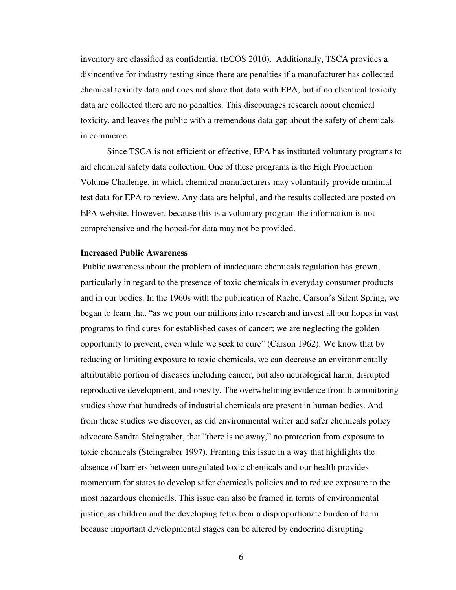inventory are classified as confidential (ECOS 2010). Additionally, TSCA provides a disincentive for industry testing since there are penalties if a manufacturer has collected chemical toxicity data and does not share that data with EPA, but if no chemical toxicity data are collected there are no penalties. This discourages research about chemical toxicity, and leaves the public with a tremendous data gap about the safety of chemicals in commerce.

Since TSCA is not efficient or effective, EPA has instituted voluntary programs to aid chemical safety data collection. One of these programs is the High Production Volume Challenge, in which chemical manufacturers may voluntarily provide minimal test data for EPA to review. Any data are helpful, and the results collected are posted on EPA website. However, because this is a voluntary program the information is not comprehensive and the hoped-for data may not be provided.

# **Increased Public Awareness**

 Public awareness about the problem of inadequate chemicals regulation has grown, particularly in regard to the presence of toxic chemicals in everyday consumer products and in our bodies. In the 1960s with the publication of Rachel Carson's Silent Spring, we began to learn that "as we pour our millions into research and invest all our hopes in vast programs to find cures for established cases of cancer; we are neglecting the golden opportunity to prevent, even while we seek to cure" (Carson 1962). We know that by reducing or limiting exposure to toxic chemicals, we can decrease an environmentally attributable portion of diseases including cancer, but also neurological harm, disrupted reproductive development, and obesity. The overwhelming evidence from biomonitoring studies show that hundreds of industrial chemicals are present in human bodies. And from these studies we discover, as did environmental writer and safer chemicals policy advocate Sandra Steingraber, that "there is no away," no protection from exposure to toxic chemicals (Steingraber 1997). Framing this issue in a way that highlights the absence of barriers between unregulated toxic chemicals and our health provides momentum for states to develop safer chemicals policies and to reduce exposure to the most hazardous chemicals. This issue can also be framed in terms of environmental justice, as children and the developing fetus bear a disproportionate burden of harm because important developmental stages can be altered by endocrine disrupting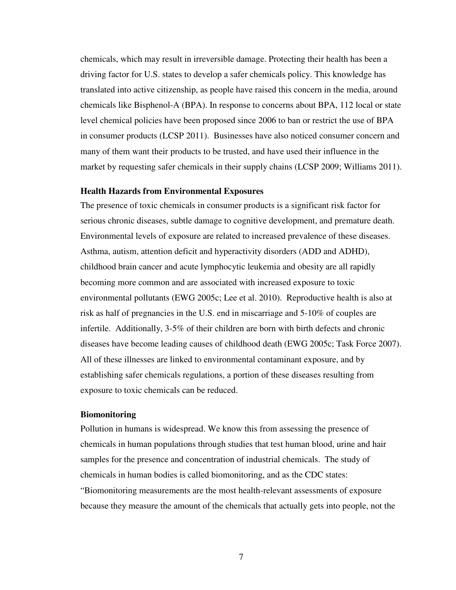chemicals, which may result in irreversible damage. Protecting their health has been a driving factor for U.S. states to develop a safer chemicals policy. This knowledge has translated into active citizenship, as people have raised this concern in the media, around chemicals like Bisphenol-A (BPA). In response to concerns about BPA, 112 local or state level chemical policies have been proposed since 2006 to ban or restrict the use of BPA in consumer products (LCSP 2011). Businesses have also noticed consumer concern and many of them want their products to be trusted, and have used their influence in the market by requesting safer chemicals in their supply chains (LCSP 2009; Williams 2011).

# **Health Hazards from Environmental Exposures**

The presence of toxic chemicals in consumer products is a significant risk factor for serious chronic diseases, subtle damage to cognitive development, and premature death. Environmental levels of exposure are related to increased prevalence of these diseases. Asthma, autism, attention deficit and hyperactivity disorders (ADD and ADHD), childhood brain cancer and acute lymphocytic leukemia and obesity are all rapidly becoming more common and are associated with increased exposure to toxic environmental pollutants (EWG 2005c; Lee et al. 2010). Reproductive health is also at risk as half of pregnancies in the U.S. end in miscarriage and 5-10% of couples are infertile. Additionally, 3-5% of their children are born with birth defects and chronic diseases have become leading causes of childhood death (EWG 2005c; Task Force 2007). All of these illnesses are linked to environmental contaminant exposure, and by establishing safer chemicals regulations, a portion of these diseases resulting from exposure to toxic chemicals can be reduced.

## **Biomonitoring**

Pollution in humans is widespread. We know this from assessing the presence of chemicals in human populations through studies that test human blood, urine and hair samples for the presence and concentration of industrial chemicals. The study of chemicals in human bodies is called biomonitoring, and as the CDC states: "Biomonitoring measurements are the most health-relevant assessments of exposure because they measure the amount of the chemicals that actually gets into people, not the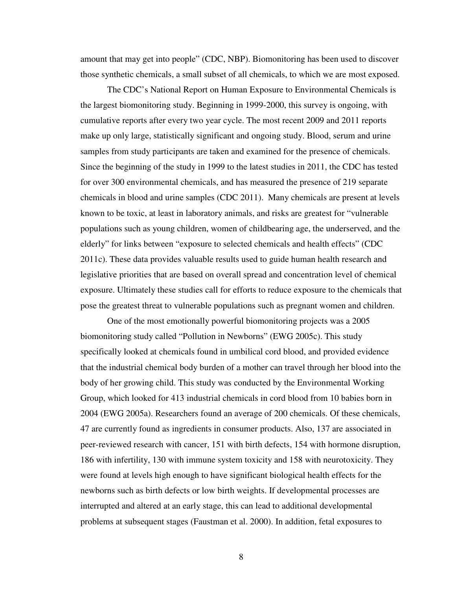amount that may get into people" (CDC, NBP). Biomonitoring has been used to discover those synthetic chemicals, a small subset of all chemicals, to which we are most exposed.

The CDC's National Report on Human Exposure to Environmental Chemicals is the largest biomonitoring study. Beginning in 1999-2000, this survey is ongoing, with cumulative reports after every two year cycle. The most recent 2009 and 2011 reports make up only large, statistically significant and ongoing study. Blood, serum and urine samples from study participants are taken and examined for the presence of chemicals. Since the beginning of the study in 1999 to the latest studies in 2011, the CDC has tested for over 300 environmental chemicals, and has measured the presence of 219 separate chemicals in blood and urine samples (CDC 2011). Many chemicals are present at levels known to be toxic, at least in laboratory animals, and risks are greatest for "vulnerable populations such as young children, women of childbearing age, the underserved, and the elderly" for links between "exposure to selected chemicals and health effects" (CDC 2011c). These data provides valuable results used to guide human health research and legislative priorities that are based on overall spread and concentration level of chemical exposure. Ultimately these studies call for efforts to reduce exposure to the chemicals that pose the greatest threat to vulnerable populations such as pregnant women and children.

One of the most emotionally powerful biomonitoring projects was a 2005 biomonitoring study called "Pollution in Newborns" (EWG 2005c). This study specifically looked at chemicals found in umbilical cord blood, and provided evidence that the industrial chemical body burden of a mother can travel through her blood into the body of her growing child. This study was conducted by the Environmental Working Group, which looked for 413 industrial chemicals in cord blood from 10 babies born in 2004 (EWG 2005a). Researchers found an average of 200 chemicals. Of these chemicals, 47 are currently found as ingredients in consumer products. Also, 137 are associated in peer-reviewed research with cancer, 151 with birth defects, 154 with hormone disruption, 186 with infertility, 130 with immune system toxicity and 158 with neurotoxicity. They were found at levels high enough to have significant biological health effects for the newborns such as birth defects or low birth weights. If developmental processes are interrupted and altered at an early stage, this can lead to additional developmental problems at subsequent stages (Faustman et al. 2000). In addition, fetal exposures to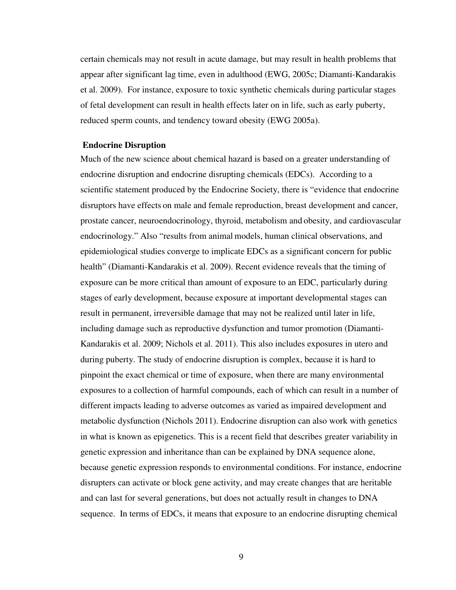certain chemicals may not result in acute damage, but may result in health problems that appear after significant lag time, even in adulthood (EWG, 2005c; Diamanti-Kandarakis et al. 2009). For instance, exposure to toxic synthetic chemicals during particular stages of fetal development can result in health effects later on in life, such as early puberty, reduced sperm counts, and tendency toward obesity (EWG 2005a).

# **Endocrine Disruption**

Much of the new science about chemical hazard is based on a greater understanding of endocrine disruption and endocrine disrupting chemicals (EDCs). According to a scientific statement produced by the Endocrine Society, there is "evidence that endocrine disruptors have effects on male and female reproduction, breast development and cancer, prostate cancer, neuroendocrinology, thyroid, metabolism and obesity, and cardiovascular endocrinology." Also "results from animal models, human clinical observations, and epidemiological studies converge to implicate EDCs as a significant concern for public health" (Diamanti-Kandarakis et al. 2009). Recent evidence reveals that the timing of exposure can be more critical than amount of exposure to an EDC, particularly during stages of early development, because exposure at important developmental stages can result in permanent, irreversible damage that may not be realized until later in life, including damage such as reproductive dysfunction and tumor promotion (Diamanti-Kandarakis et al. 2009; Nichols et al. 2011). This also includes exposures in utero and during puberty. The study of endocrine disruption is complex, because it is hard to pinpoint the exact chemical or time of exposure, when there are many environmental exposures to a collection of harmful compounds, each of which can result in a number of different impacts leading to adverse outcomes as varied as impaired development and metabolic dysfunction (Nichols 2011). Endocrine disruption can also work with genetics in what is known as epigenetics. This is a recent field that describes greater variability in genetic expression and inheritance than can be explained by DNA sequence alone, because genetic expression responds to environmental conditions. For instance, endocrine disrupters can activate or block gene activity, and may create changes that are heritable and can last for several generations, but does not actually result in changes to DNA sequence. In terms of EDCs, it means that exposure to an endocrine disrupting chemical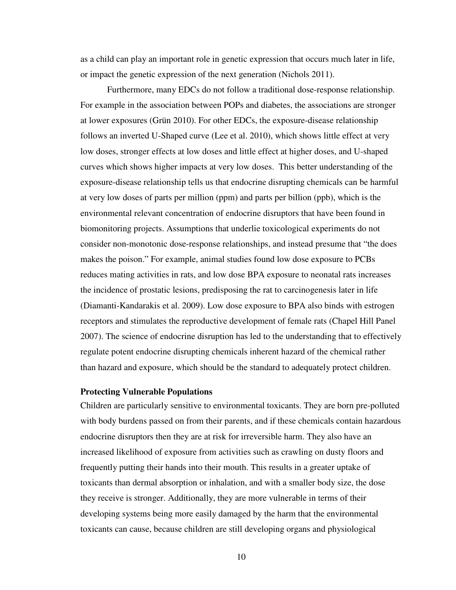as a child can play an important role in genetic expression that occurs much later in life, or impact the genetic expression of the next generation (Nichols 2011).

 Furthermore, many EDCs do not follow a traditional dose-response relationship. For example in the association between POPs and diabetes, the associations are stronger at lower exposures (Grün 2010). For other EDCs, the exposure-disease relationship follows an inverted U-Shaped curve (Lee et al. 2010), which shows little effect at very low doses, stronger effects at low doses and little effect at higher doses, and U-shaped curves which shows higher impacts at very low doses. This better understanding of the exposure-disease relationship tells us that endocrine disrupting chemicals can be harmful at very low doses of parts per million (ppm) and parts per billion (ppb), which is the environmental relevant concentration of endocrine disruptors that have been found in biomonitoring projects. Assumptions that underlie toxicological experiments do not consider non-monotonic dose-response relationships, and instead presume that "the does makes the poison." For example, animal studies found low dose exposure to PCBs reduces mating activities in rats, and low dose BPA exposure to neonatal rats increases the incidence of prostatic lesions, predisposing the rat to carcinogenesis later in life (Diamanti-Kandarakis et al. 2009). Low dose exposure to BPA also binds with estrogen receptors and stimulates the reproductive development of female rats (Chapel Hill Panel 2007). The science of endocrine disruption has led to the understanding that to effectively regulate potent endocrine disrupting chemicals inherent hazard of the chemical rather than hazard and exposure, which should be the standard to adequately protect children.

# **Protecting Vulnerable Populations**

Children are particularly sensitive to environmental toxicants. They are born pre-polluted with body burdens passed on from their parents, and if these chemicals contain hazardous endocrine disruptors then they are at risk for irreversible harm. They also have an increased likelihood of exposure from activities such as crawling on dusty floors and frequently putting their hands into their mouth. This results in a greater uptake of toxicants than dermal absorption or inhalation, and with a smaller body size, the dose they receive is stronger. Additionally, they are more vulnerable in terms of their developing systems being more easily damaged by the harm that the environmental toxicants can cause, because children are still developing organs and physiological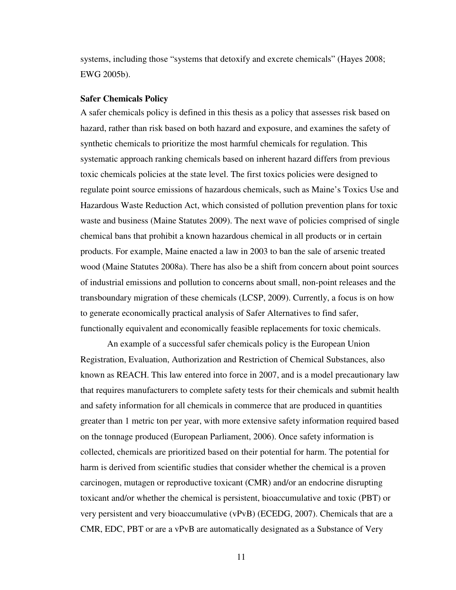systems, including those "systems that detoxify and excrete chemicals" (Hayes 2008; EWG 2005b).

### **Safer Chemicals Policy**

A safer chemicals policy is defined in this thesis as a policy that assesses risk based on hazard, rather than risk based on both hazard and exposure, and examines the safety of synthetic chemicals to prioritize the most harmful chemicals for regulation. This systematic approach ranking chemicals based on inherent hazard differs from previous toxic chemicals policies at the state level. The first toxics policies were designed to regulate point source emissions of hazardous chemicals, such as Maine's Toxics Use and Hazardous Waste Reduction Act, which consisted of pollution prevention plans for toxic waste and business (Maine Statutes 2009). The next wave of policies comprised of single chemical bans that prohibit a known hazardous chemical in all products or in certain products. For example, Maine enacted a law in 2003 to ban the sale of arsenic treated wood (Maine Statutes 2008a). There has also be a shift from concern about point sources of industrial emissions and pollution to concerns about small, non-point releases and the transboundary migration of these chemicals (LCSP, 2009). Currently, a focus is on how to generate economically practical analysis of Safer Alternatives to find safer, functionally equivalent and economically feasible replacements for toxic chemicals.

An example of a successful safer chemicals policy is the European Union Registration, Evaluation, Authorization and Restriction of Chemical Substances, also known as REACH. This law entered into force in 2007, and is a model precautionary law that requires manufacturers to complete safety tests for their chemicals and submit health and safety information for all chemicals in commerce that are produced in quantities greater than 1 metric ton per year, with more extensive safety information required based on the tonnage produced (European Parliament, 2006). Once safety information is collected, chemicals are prioritized based on their potential for harm. The potential for harm is derived from scientific studies that consider whether the chemical is a proven carcinogen, mutagen or reproductive toxicant (CMR) and/or an endocrine disrupting toxicant and/or whether the chemical is persistent, bioaccumulative and toxic (PBT) or very persistent and very bioaccumulative (vPvB) (ECEDG, 2007). Chemicals that are a CMR, EDC, PBT or are a vPvB are automatically designated as a Substance of Very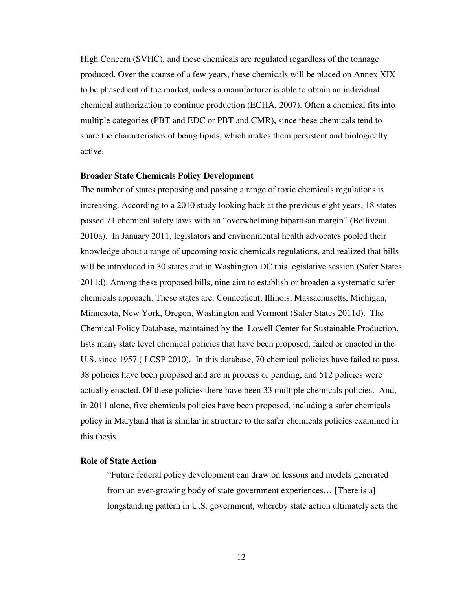High Concern (SVHC), and these chemicals are regulated regardless of the tonnage produced. Over the course of a few years, these chemicals will be placed on Annex XIX to be phased out of the market, unless a manufacturer is able to obtain an individual chemical authorization to continue production (ECHA, 2007). Often a chemical fits into multiple categories (PBT and EDC or PBT and CMR), since these chemicals tend to share the characteristics of being lipids, which makes them persistent and biologically active.

# **Broader State Chemicals Policy Development**

The number of states proposing and passing a range of toxic chemicals regulations is increasing. According to a 2010 study looking back at the previous eight years, 18 states passed 71 chemical safety laws with an "overwhelming bipartisan margin" (Belliveau 2010a). In January 2011, legislators and environmental health advocates pooled their knowledge about a range of upcoming toxic chemicals regulations, and realized that bills will be introduced in 30 states and in Washington DC this legislative session (Safer States 2011d). Among these proposed bills, nine aim to establish or broaden a systematic safer chemicals approach. These states are: Connecticut, Illinois, Massachusetts, Michigan, Minnesota, New York, Oregon, Washington and Vermont (Safer States 2011d). The Chemical Policy Database, maintained by the Lowell Center for Sustainable Production, lists many state level chemical policies that have been proposed, failed or enacted in the U.S. since 1957 ( LCSP 2010). In this database, 70 chemical policies have failed to pass, 38 policies have been proposed and are in process or pending, and 512 policies were actually enacted. Of these policies there have been 33 multiple chemicals policies. And, in 2011 alone, five chemicals policies have been proposed, including a safer chemicals policy in Maryland that is similar in structure to the safer chemicals policies examined in this thesis.

# **Role of State Action**

"Future federal policy development can draw on lessons and models generated from an ever-growing body of state government experiences… [There is a] longstanding pattern in U.S. government, whereby state action ultimately sets the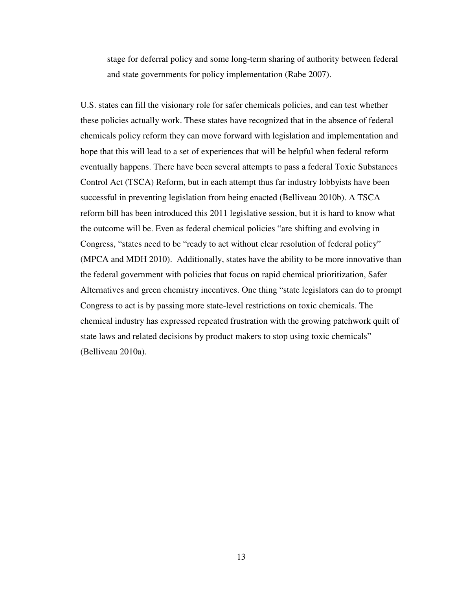stage for deferral policy and some long-term sharing of authority between federal and state governments for policy implementation (Rabe 2007).

U.S. states can fill the visionary role for safer chemicals policies, and can test whether these policies actually work. These states have recognized that in the absence of federal chemicals policy reform they can move forward with legislation and implementation and hope that this will lead to a set of experiences that will be helpful when federal reform eventually happens. There have been several attempts to pass a federal Toxic Substances Control Act (TSCA) Reform, but in each attempt thus far industry lobbyists have been successful in preventing legislation from being enacted (Belliveau 2010b). A TSCA reform bill has been introduced this 2011 legislative session, but it is hard to know what the outcome will be. Even as federal chemical policies "are shifting and evolving in Congress, "states need to be "ready to act without clear resolution of federal policy" (MPCA and MDH 2010). Additionally, states have the ability to be more innovative than the federal government with policies that focus on rapid chemical prioritization, Safer Alternatives and green chemistry incentives. One thing "state legislators can do to prompt Congress to act is by passing more state-level restrictions on toxic chemicals. The chemical industry has expressed repeated frustration with the growing patchwork quilt of state laws and related decisions by product makers to stop using toxic chemicals" (Belliveau 2010a).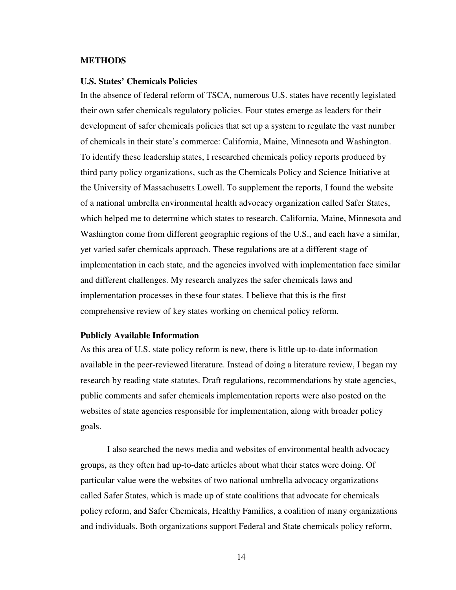# **METHODS**

## **U.S. States' Chemicals Policies**

In the absence of federal reform of TSCA, numerous U.S. states have recently legislated their own safer chemicals regulatory policies. Four states emerge as leaders for their development of safer chemicals policies that set up a system to regulate the vast number of chemicals in their state's commerce: California, Maine, Minnesota and Washington. To identify these leadership states, I researched chemicals policy reports produced by third party policy organizations, such as the Chemicals Policy and Science Initiative at the University of Massachusetts Lowell. To supplement the reports, I found the website of a national umbrella environmental health advocacy organization called Safer States, which helped me to determine which states to research. California, Maine, Minnesota and Washington come from different geographic regions of the U.S., and each have a similar, yet varied safer chemicals approach. These regulations are at a different stage of implementation in each state, and the agencies involved with implementation face similar and different challenges. My research analyzes the safer chemicals laws and implementation processes in these four states. I believe that this is the first comprehensive review of key states working on chemical policy reform.

# **Publicly Available Information**

As this area of U.S. state policy reform is new, there is little up-to-date information available in the peer-reviewed literature. Instead of doing a literature review, I began my research by reading state statutes. Draft regulations, recommendations by state agencies, public comments and safer chemicals implementation reports were also posted on the websites of state agencies responsible for implementation, along with broader policy goals.

I also searched the news media and websites of environmental health advocacy groups, as they often had up-to-date articles about what their states were doing. Of particular value were the websites of two national umbrella advocacy organizations called Safer States, which is made up of state coalitions that advocate for chemicals policy reform, and Safer Chemicals, Healthy Families, a coalition of many organizations and individuals. Both organizations support Federal and State chemicals policy reform,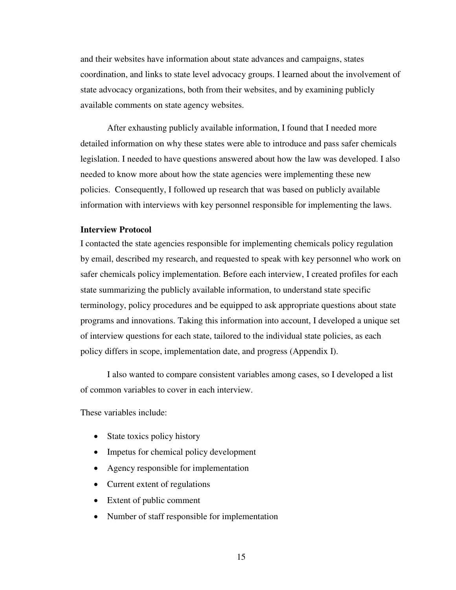and their websites have information about state advances and campaigns, states coordination, and links to state level advocacy groups. I learned about the involvement of state advocacy organizations, both from their websites, and by examining publicly available comments on state agency websites.

After exhausting publicly available information, I found that I needed more detailed information on why these states were able to introduce and pass safer chemicals legislation. I needed to have questions answered about how the law was developed. I also needed to know more about how the state agencies were implementing these new policies. Consequently, I followed up research that was based on publicly available information with interviews with key personnel responsible for implementing the laws.

# **Interview Protocol**

I contacted the state agencies responsible for implementing chemicals policy regulation by email, described my research, and requested to speak with key personnel who work on safer chemicals policy implementation. Before each interview, I created profiles for each state summarizing the publicly available information, to understand state specific terminology, policy procedures and be equipped to ask appropriate questions about state programs and innovations. Taking this information into account, I developed a unique set of interview questions for each state, tailored to the individual state policies, as each policy differs in scope, implementation date, and progress (Appendix I).

I also wanted to compare consistent variables among cases, so I developed a list of common variables to cover in each interview.

These variables include:

- State toxics policy history
- Impetus for chemical policy development
- Agency responsible for implementation
- Current extent of regulations
- Extent of public comment
- Number of staff responsible for implementation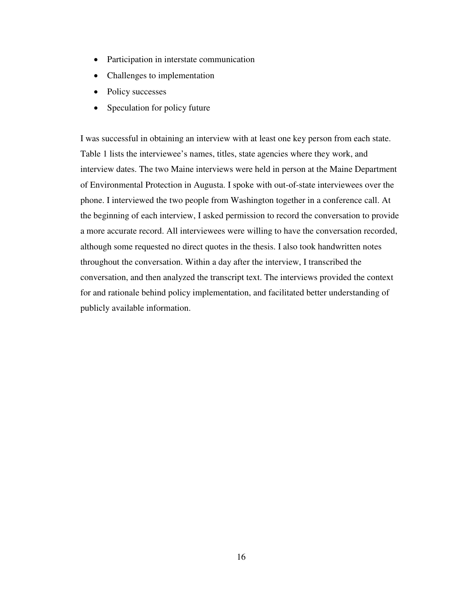- Participation in interstate communication
- Challenges to implementation
- Policy successes
- Speculation for policy future

I was successful in obtaining an interview with at least one key person from each state. Table 1 lists the interviewee's names, titles, state agencies where they work, and interview dates. The two Maine interviews were held in person at the Maine Department of Environmental Protection in Augusta. I spoke with out-of-state interviewees over the phone. I interviewed the two people from Washington together in a conference call. At the beginning of each interview, I asked permission to record the conversation to provide a more accurate record. All interviewees were willing to have the conversation recorded, although some requested no direct quotes in the thesis. I also took handwritten notes throughout the conversation. Within a day after the interview, I transcribed the conversation, and then analyzed the transcript text. The interviews provided the context for and rationale behind policy implementation, and facilitated better understanding of publicly available information.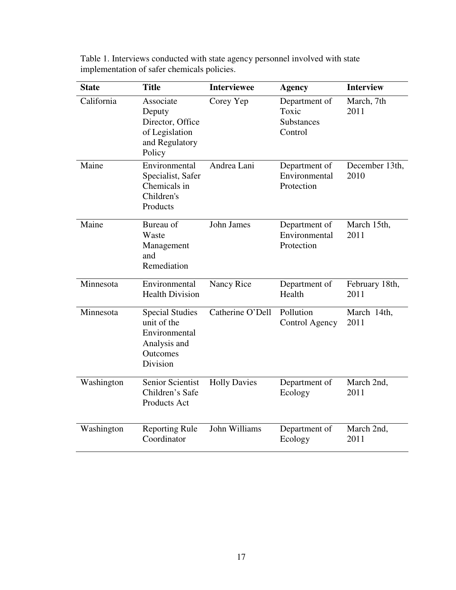| <b>State</b> | <b>Title</b>                                                                                   | <b>Interviewee</b>  | <b>Agency</b>                                          | <b>Interview</b>       |
|--------------|------------------------------------------------------------------------------------------------|---------------------|--------------------------------------------------------|------------------------|
| California   | Associate<br>Deputy<br>Director, Office<br>of Legislation<br>and Regulatory<br>Policy          | Corey Yep           | Department of<br>Toxic<br><b>Substances</b><br>Control | March, 7th<br>2011     |
| Maine        | Environmental<br>Specialist, Safer<br>Chemicals in<br>Children's<br>Products                   | Andrea Lani         | Department of<br>Environmental<br>Protection           | December 13th,<br>2010 |
| Maine        | Bureau of<br>Waste<br>Management<br>and<br>Remediation                                         | John James          | Department of<br>Environmental<br>Protection           | March 15th,<br>2011    |
| Minnesota    | Environmental<br><b>Health Division</b>                                                        | Nancy Rice          | Department of<br>Health                                | February 18th,<br>2011 |
| Minnesota    | <b>Special Studies</b><br>unit of the<br>Environmental<br>Analysis and<br>Outcomes<br>Division | Catherine O'Dell    | Pollution<br>Control Agency                            | March 14th,<br>2011    |
| Washington   | Senior Scientist<br>Children's Safe<br>Products Act                                            | <b>Holly Davies</b> | Department of<br>Ecology                               | March 2nd,<br>2011     |
| Washington   | <b>Reporting Rule</b><br>Coordinator                                                           | John Williams       | Department of<br>Ecology                               | March 2nd,<br>2011     |

Table 1. Interviews conducted with state agency personnel involved with state implementation of safer chemicals policies.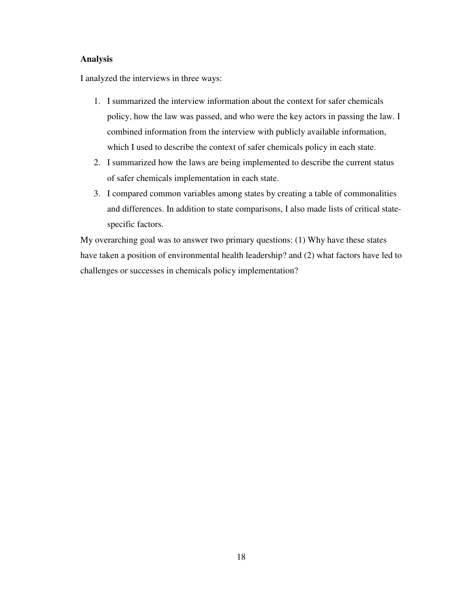# **Analysis**

I analyzed the interviews in three ways:

- 1. I summarized the interview information about the context for safer chemicals policy, how the law was passed, and who were the key actors in passing the law. I combined information from the interview with publicly available information, which I used to describe the context of safer chemicals policy in each state.
- 2. I summarized how the laws are being implemented to describe the current status of safer chemicals implementation in each state.
- 3. I compared common variables among states by creating a table of commonalities and differences. In addition to state comparisons, I also made lists of critical statespecific factors.

My overarching goal was to answer two primary questions: (1) Why have these states have taken a position of environmental health leadership? and (2) what factors have led to challenges or successes in chemicals policy implementation?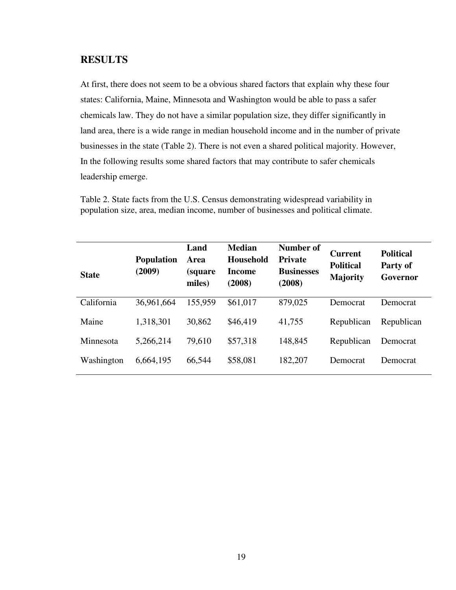# **RESULTS**

At first, there does not seem to be a obvious shared factors that explain why these four states: California, Maine, Minnesota and Washington would be able to pass a safer chemicals law. They do not have a similar population size, they differ significantly in land area, there is a wide range in median household income and in the number of private businesses in the state (Table 2). There is not even a shared political majority. However, In the following results some shared factors that may contribute to safer chemicals leadership emerge.

Table 2. State facts from the U.S. Census demonstrating widespread variability in population size, area, median income, number of businesses and political climate.

| <b>State</b> | <b>Population</b><br>(2009) | Land<br>Area<br><i>(square)</i><br>miles) | <b>Median</b><br><b>Household</b><br>Income<br>(2008) | Number of<br><b>Private</b><br><b>Businesses</b><br>(2008) | <b>Current</b><br><b>Political</b><br><b>Majority</b> | <b>Political</b><br>Party of<br>Governor |
|--------------|-----------------------------|-------------------------------------------|-------------------------------------------------------|------------------------------------------------------------|-------------------------------------------------------|------------------------------------------|
| California   | 36,961,664                  | 155,959                                   | \$61,017                                              | 879,025                                                    | Democrat                                              | <b>Democrat</b>                          |
| Maine        | 1,318,301                   | 30,862                                    | \$46,419                                              | 41,755                                                     | Republican                                            | Republican                               |
| Minnesota    | 5,266,214                   | 79,610                                    | \$57,318                                              | 148,845                                                    | Republican                                            | Democrat                                 |
| Washington   | 6,664,195                   | 66,544                                    | \$58,081                                              | 182,207                                                    | Democrat                                              | Democrat                                 |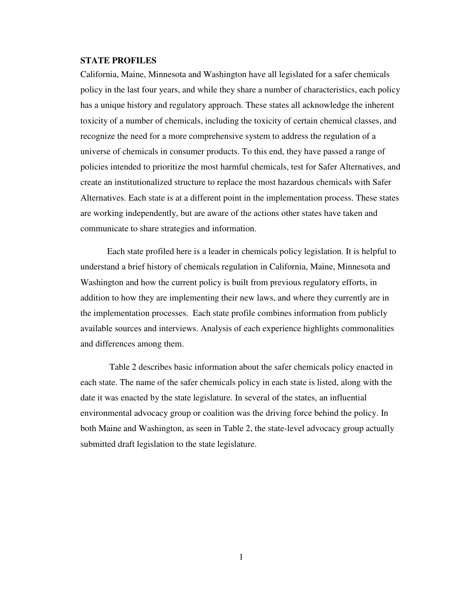# **STATE PROFILES**

California, Maine, Minnesota and Washington have all legislated for a safer chemicals policy in the last four years, and while they share a number of characteristics, each policy has a unique history and regulatory approach. These states all acknowledge the inherent toxicity of a number of chemicals, including the toxicity of certain chemical classes, and recognize the need for a more comprehensive system to address the regulation of a universe of chemicals in consumer products. To this end, they have passed a range of policies intended to prioritize the most harmful chemicals, test for Safer Alternatives, and create an institutionalized structure to replace the most hazardous chemicals with Safer Alternatives. Each state is at a different point in the implementation process. These states are working independently, but are aware of the actions other states have taken and communicate to share strategies and information.

Each state profiled here is a leader in chemicals policy legislation. It is helpful to understand a brief history of chemicals regulation in California, Maine, Minnesota and Washington and how the current policy is built from previous regulatory efforts, in addition to how they are implementing their new laws, and where they currently are in the implementation processes. Each state profile combines information from publicly available sources and interviews. Analysis of each experience highlights commonalities and differences among them.

 Table 2 describes basic information about the safer chemicals policy enacted in each state. The name of the safer chemicals policy in each state is listed, along with the date it was enacted by the state legislature. In several of the states, an influential environmental advocacy group or coalition was the driving force behind the policy. In both Maine and Washington, as seen in Table 2, the state-level advocacy group actually submitted draft legislation to the state legislature.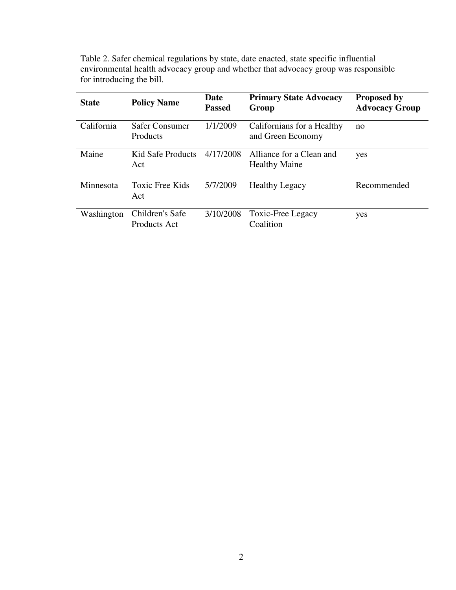| <b>State</b> | <b>Policy Name</b>                | Date<br><b>Passed</b> | <b>Primary State Advocacy</b><br>Group           | <b>Proposed by</b><br><b>Advocacy Group</b> |
|--------------|-----------------------------------|-----------------------|--------------------------------------------------|---------------------------------------------|
| California   | Safer Consumer<br><b>Products</b> | 1/1/2009              | Californians for a Healthy<br>and Green Economy  | no                                          |
| Maine        | Kid Safe Products<br>Act          | 4/17/2008             | Alliance for a Clean and<br><b>Healthy Maine</b> | yes                                         |
| Minnesota    | Toxic Free Kids<br>Act            | 5/7/2009              | <b>Healthy Legacy</b>                            | Recommended                                 |
| Washington   | Children's Safe<br>Products Act   | 3/10/2008             | Toxic-Free Legacy<br>Coalition                   | yes                                         |

Table 2. Safer chemical regulations by state, date enacted, state specific influential environmental health advocacy group and whether that advocacy group was responsible for introducing the bill.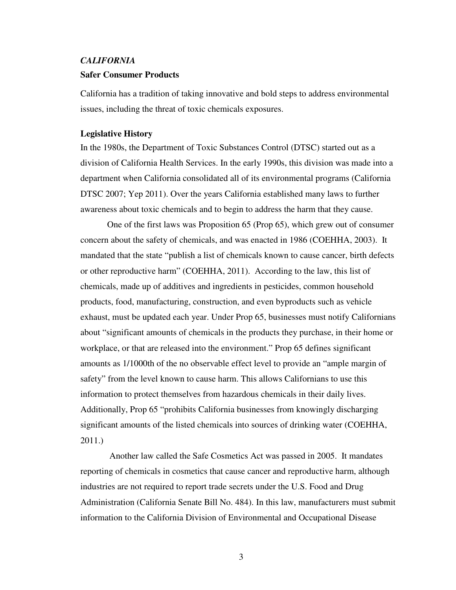## *CALIFORNIA*

#### **Safer Consumer Products**

California has a tradition of taking innovative and bold steps to address environmental issues, including the threat of toxic chemicals exposures.

# **Legislative History**

In the 1980s, the Department of Toxic Substances Control (DTSC) started out as a division of California Health Services. In the early 1990s, this division was made into a department when California consolidated all of its environmental programs (California DTSC 2007; Yep 2011). Over the years California established many laws to further awareness about toxic chemicals and to begin to address the harm that they cause.

One of the first laws was Proposition 65 (Prop 65), which grew out of consumer concern about the safety of chemicals, and was enacted in 1986 (COEHHA, 2003). It mandated that the state "publish a list of chemicals known to cause cancer, birth defects or other reproductive harm" (COEHHA, 2011). According to the law, this list of chemicals, made up of additives and ingredients in pesticides, common household products, food, manufacturing, construction, and even byproducts such as vehicle exhaust, must be updated each year. Under Prop 65, businesses must notify Californians about "significant amounts of chemicals in the products they purchase, in their home or workplace, or that are released into the environment." Prop 65 defines significant amounts as 1/1000th of the no observable effect level to provide an "ample margin of safety" from the level known to cause harm. This allows Californians to use this information to protect themselves from hazardous chemicals in their daily lives. Additionally, Prop 65 "prohibits California businesses from knowingly discharging significant amounts of the listed chemicals into sources of drinking water (COEHHA, 2011.)

 Another law called the Safe Cosmetics Act was passed in 2005. It mandates reporting of chemicals in cosmetics that cause cancer and reproductive harm, although industries are not required to report trade secrets under the U.S. Food and Drug Administration (California Senate Bill No. 484). In this law, manufacturers must submit information to the California Division of Environmental and Occupational Disease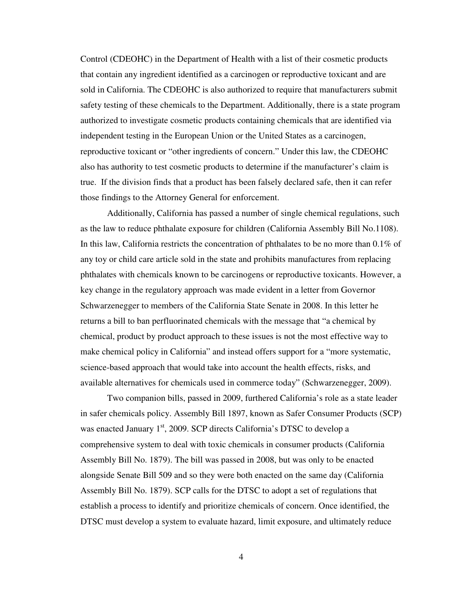Control (CDEOHC) in the Department of Health with a list of their cosmetic products that contain any ingredient identified as a carcinogen or reproductive toxicant and are sold in California. The CDEOHC is also authorized to require that manufacturers submit safety testing of these chemicals to the Department. Additionally, there is a state program authorized to investigate cosmetic products containing chemicals that are identified via independent testing in the European Union or the United States as a carcinogen, reproductive toxicant or "other ingredients of concern." Under this law, the CDEOHC also has authority to test cosmetic products to determine if the manufacturer's claim is true. If the division finds that a product has been falsely declared safe, then it can refer those findings to the Attorney General for enforcement.

Additionally, California has passed a number of single chemical regulations, such as the law to reduce phthalate exposure for children (California Assembly Bill No.1108). In this law, California restricts the concentration of phthalates to be no more than 0.1% of any toy or child care article sold in the state and prohibits manufactures from replacing phthalates with chemicals known to be carcinogens or reproductive toxicants. However, a key change in the regulatory approach was made evident in a letter from Governor Schwarzenegger to members of the California State Senate in 2008. In this letter he returns a bill to ban perfluorinated chemicals with the message that "a chemical by chemical, product by product approach to these issues is not the most effective way to make chemical policy in California" and instead offers support for a "more systematic, science-based approach that would take into account the health effects, risks, and available alternatives for chemicals used in commerce today" (Schwarzenegger, 2009).

Two companion bills, passed in 2009, furthered California's role as a state leader in safer chemicals policy. Assembly Bill 1897, known as Safer Consumer Products (SCP) was enacted January  $1<sup>st</sup>$ , 2009. SCP directs California's DTSC to develop a comprehensive system to deal with toxic chemicals in consumer products (California Assembly Bill No. 1879). The bill was passed in 2008, but was only to be enacted alongside Senate Bill 509 and so they were both enacted on the same day (California Assembly Bill No. 1879). SCP calls for the DTSC to adopt a set of regulations that establish a process to identify and prioritize chemicals of concern. Once identified, the DTSC must develop a system to evaluate hazard, limit exposure, and ultimately reduce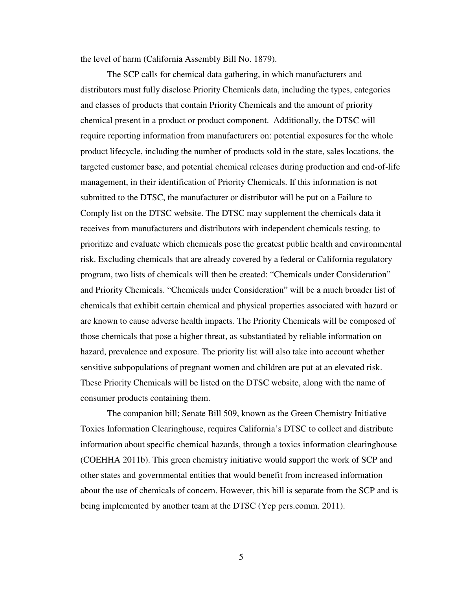the level of harm (California Assembly Bill No. 1879).

The SCP calls for chemical data gathering, in which manufacturers and distributors must fully disclose Priority Chemicals data, including the types, categories and classes of products that contain Priority Chemicals and the amount of priority chemical present in a product or product component. Additionally, the DTSC will require reporting information from manufacturers on: potential exposures for the whole product lifecycle, including the number of products sold in the state, sales locations, the targeted customer base, and potential chemical releases during production and end-of-life management, in their identification of Priority Chemicals. If this information is not submitted to the DTSC, the manufacturer or distributor will be put on a Failure to Comply list on the DTSC website. The DTSC may supplement the chemicals data it receives from manufacturers and distributors with independent chemicals testing, to prioritize and evaluate which chemicals pose the greatest public health and environmental risk. Excluding chemicals that are already covered by a federal or California regulatory program, two lists of chemicals will then be created: "Chemicals under Consideration" and Priority Chemicals. "Chemicals under Consideration" will be a much broader list of chemicals that exhibit certain chemical and physical properties associated with hazard or are known to cause adverse health impacts. The Priority Chemicals will be composed of those chemicals that pose a higher threat, as substantiated by reliable information on hazard, prevalence and exposure. The priority list will also take into account whether sensitive subpopulations of pregnant women and children are put at an elevated risk. These Priority Chemicals will be listed on the DTSC website, along with the name of consumer products containing them.

The companion bill; Senate Bill 509, known as the Green Chemistry Initiative Toxics Information Clearinghouse, requires California's DTSC to collect and distribute information about specific chemical hazards, through a toxics information clearinghouse (COEHHA 2011b). This green chemistry initiative would support the work of SCP and other states and governmental entities that would benefit from increased information about the use of chemicals of concern. However, this bill is separate from the SCP and is being implemented by another team at the DTSC (Yep pers.comm. 2011).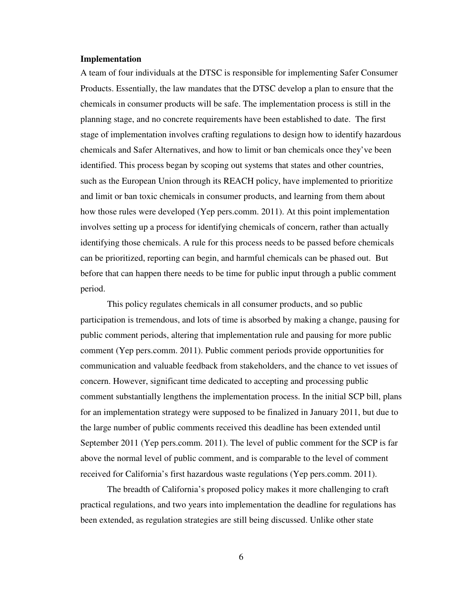# **Implementation**

A team of four individuals at the DTSC is responsible for implementing Safer Consumer Products. Essentially, the law mandates that the DTSC develop a plan to ensure that the chemicals in consumer products will be safe. The implementation process is still in the planning stage, and no concrete requirements have been established to date. The first stage of implementation involves crafting regulations to design how to identify hazardous chemicals and Safer Alternatives, and how to limit or ban chemicals once they've been identified. This process began by scoping out systems that states and other countries, such as the European Union through its REACH policy, have implemented to prioritize and limit or ban toxic chemicals in consumer products, and learning from them about how those rules were developed (Yep pers.comm. 2011). At this point implementation involves setting up a process for identifying chemicals of concern, rather than actually identifying those chemicals. A rule for this process needs to be passed before chemicals can be prioritized, reporting can begin, and harmful chemicals can be phased out. But before that can happen there needs to be time for public input through a public comment period.

This policy regulates chemicals in all consumer products, and so public participation is tremendous, and lots of time is absorbed by making a change, pausing for public comment periods, altering that implementation rule and pausing for more public comment (Yep pers.comm. 2011). Public comment periods provide opportunities for communication and valuable feedback from stakeholders, and the chance to vet issues of concern. However, significant time dedicated to accepting and processing public comment substantially lengthens the implementation process. In the initial SCP bill, plans for an implementation strategy were supposed to be finalized in January 2011, but due to the large number of public comments received this deadline has been extended until September 2011 (Yep pers.comm. 2011). The level of public comment for the SCP is far above the normal level of public comment, and is comparable to the level of comment received for California's first hazardous waste regulations (Yep pers.comm. 2011).

The breadth of California's proposed policy makes it more challenging to craft practical regulations, and two years into implementation the deadline for regulations has been extended, as regulation strategies are still being discussed. Unlike other state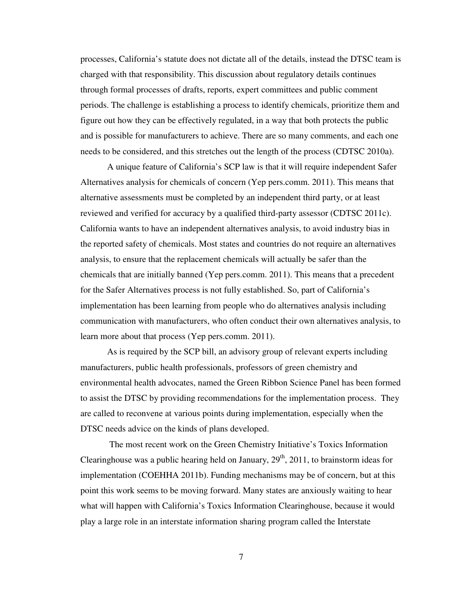processes, California's statute does not dictate all of the details, instead the DTSC team is charged with that responsibility. This discussion about regulatory details continues through formal processes of drafts, reports, expert committees and public comment periods. The challenge is establishing a process to identify chemicals, prioritize them and figure out how they can be effectively regulated, in a way that both protects the public and is possible for manufacturers to achieve. There are so many comments, and each one needs to be considered, and this stretches out the length of the process (CDTSC 2010a).

A unique feature of California's SCP law is that it will require independent Safer Alternatives analysis for chemicals of concern (Yep pers.comm. 2011). This means that alternative assessments must be completed by an independent third party, or at least reviewed and verified for accuracy by a qualified third-party assessor (CDTSC 2011c). California wants to have an independent alternatives analysis, to avoid industry bias in the reported safety of chemicals. Most states and countries do not require an alternatives analysis, to ensure that the replacement chemicals will actually be safer than the chemicals that are initially banned (Yep pers.comm. 2011). This means that a precedent for the Safer Alternatives process is not fully established. So, part of California's implementation has been learning from people who do alternatives analysis including communication with manufacturers, who often conduct their own alternatives analysis, to learn more about that process (Yep pers.comm. 2011).

As is required by the SCP bill, an advisory group of relevant experts including manufacturers, public health professionals, professors of green chemistry and environmental health advocates, named the Green Ribbon Science Panel has been formed to assist the DTSC by providing recommendations for the implementation process. They are called to reconvene at various points during implementation, especially when the DTSC needs advice on the kinds of plans developed.

 The most recent work on the Green Chemistry Initiative's Toxics Information Clearinghouse was a public hearing held on January,  $29<sup>th</sup>$ ,  $2011$ , to brainstorm ideas for implementation (COEHHA 2011b). Funding mechanisms may be of concern, but at this point this work seems to be moving forward. Many states are anxiously waiting to hear what will happen with California's Toxics Information Clearinghouse, because it would play a large role in an interstate information sharing program called the Interstate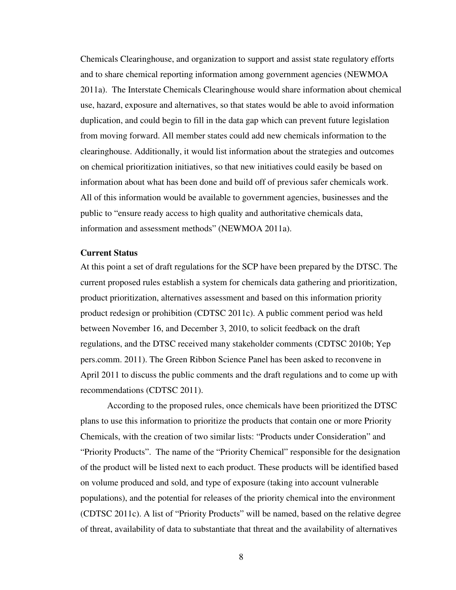Chemicals Clearinghouse, and organization to support and assist state regulatory efforts and to share chemical reporting information among government agencies (NEWMOA 2011a). The Interstate Chemicals Clearinghouse would share information about chemical use, hazard, exposure and alternatives, so that states would be able to avoid information duplication, and could begin to fill in the data gap which can prevent future legislation from moving forward. All member states could add new chemicals information to the clearinghouse. Additionally, it would list information about the strategies and outcomes on chemical prioritization initiatives, so that new initiatives could easily be based on information about what has been done and build off of previous safer chemicals work. All of this information would be available to government agencies, businesses and the public to "ensure ready access to high quality and authoritative chemicals data, information and assessment methods" (NEWMOA 2011a).

# **Current Status**

At this point a set of draft regulations for the SCP have been prepared by the DTSC. The current proposed rules establish a system for chemicals data gathering and prioritization, product prioritization, alternatives assessment and based on this information priority product redesign or prohibition (CDTSC 2011c). A public comment period was held between November 16, and December 3, 2010, to solicit feedback on the draft regulations, and the DTSC received many stakeholder comments (CDTSC 2010b; Yep pers.comm. 2011). The Green Ribbon Science Panel has been asked to reconvene in April 2011 to discuss the public comments and the draft regulations and to come up with recommendations (CDTSC 2011).

According to the proposed rules, once chemicals have been prioritized the DTSC plans to use this information to prioritize the products that contain one or more Priority Chemicals, with the creation of two similar lists: "Products under Consideration" and "Priority Products". The name of the "Priority Chemical" responsible for the designation of the product will be listed next to each product. These products will be identified based on volume produced and sold, and type of exposure (taking into account vulnerable populations), and the potential for releases of the priority chemical into the environment (CDTSC 2011c). A list of "Priority Products" will be named, based on the relative degree of threat, availability of data to substantiate that threat and the availability of alternatives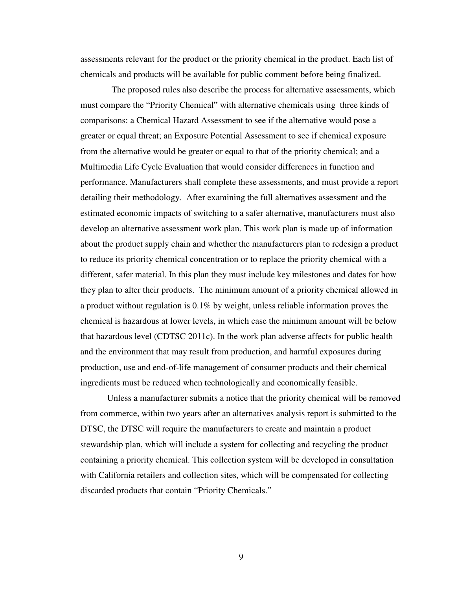assessments relevant for the product or the priority chemical in the product. Each list of chemicals and products will be available for public comment before being finalized.

 The proposed rules also describe the process for alternative assessments, which must compare the "Priority Chemical" with alternative chemicals using three kinds of comparisons: a Chemical Hazard Assessment to see if the alternative would pose a greater or equal threat; an Exposure Potential Assessment to see if chemical exposure from the alternative would be greater or equal to that of the priority chemical; and a Multimedia Life Cycle Evaluation that would consider differences in function and performance. Manufacturers shall complete these assessments, and must provide a report detailing their methodology. After examining the full alternatives assessment and the estimated economic impacts of switching to a safer alternative, manufacturers must also develop an alternative assessment work plan. This work plan is made up of information about the product supply chain and whether the manufacturers plan to redesign a product to reduce its priority chemical concentration or to replace the priority chemical with a different, safer material. In this plan they must include key milestones and dates for how they plan to alter their products. The minimum amount of a priority chemical allowed in a product without regulation is 0.1% by weight, unless reliable information proves the chemical is hazardous at lower levels, in which case the minimum amount will be below that hazardous level (CDTSC 2011c). In the work plan adverse affects for public health and the environment that may result from production, and harmful exposures during production, use and end-of-life management of consumer products and their chemical ingredients must be reduced when technologically and economically feasible.

Unless a manufacturer submits a notice that the priority chemical will be removed from commerce, within two years after an alternatives analysis report is submitted to the DTSC, the DTSC will require the manufacturers to create and maintain a product stewardship plan, which will include a system for collecting and recycling the product containing a priority chemical. This collection system will be developed in consultation with California retailers and collection sites, which will be compensated for collecting discarded products that contain "Priority Chemicals."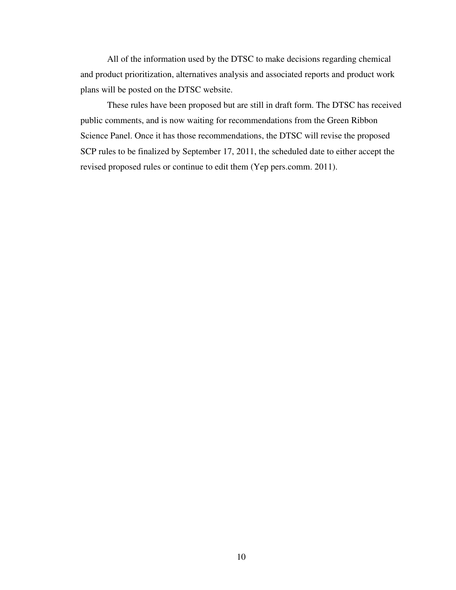All of the information used by the DTSC to make decisions regarding chemical and product prioritization, alternatives analysis and associated reports and product work plans will be posted on the DTSC website.

These rules have been proposed but are still in draft form. The DTSC has received public comments, and is now waiting for recommendations from the Green Ribbon Science Panel. Once it has those recommendations, the DTSC will revise the proposed SCP rules to be finalized by September 17, 2011, the scheduled date to either accept the revised proposed rules or continue to edit them (Yep pers.comm. 2011).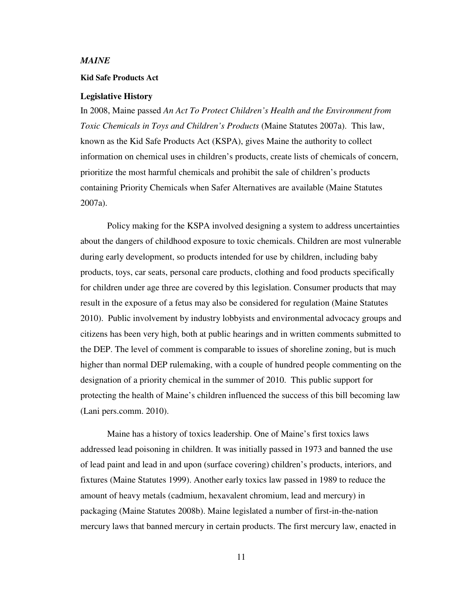### *MAINE*

### **Kid Safe Products Act**

#### **Legislative History**

In 2008, Maine passed *An Act To Protect Children's Health and the Environment from Toxic Chemicals in Toys and Children's Products* (Maine Statutes 2007a). This law, known as the Kid Safe Products Act (KSPA), gives Maine the authority to collect information on chemical uses in children's products, create lists of chemicals of concern, prioritize the most harmful chemicals and prohibit the sale of children's products containing Priority Chemicals when Safer Alternatives are available (Maine Statutes 2007a).

Policy making for the KSPA involved designing a system to address uncertainties about the dangers of childhood exposure to toxic chemicals. Children are most vulnerable during early development, so products intended for use by children, including baby products, toys, car seats, personal care products, clothing and food products specifically for children under age three are covered by this legislation. Consumer products that may result in the exposure of a fetus may also be considered for regulation (Maine Statutes 2010). Public involvement by industry lobbyists and environmental advocacy groups and citizens has been very high, both at public hearings and in written comments submitted to the DEP. The level of comment is comparable to issues of shoreline zoning, but is much higher than normal DEP rulemaking, with a couple of hundred people commenting on the designation of a priority chemical in the summer of 2010. This public support for protecting the health of Maine's children influenced the success of this bill becoming law (Lani pers.comm. 2010).

Maine has a history of toxics leadership. One of Maine's first toxics laws addressed lead poisoning in children. It was initially passed in 1973 and banned the use of lead paint and lead in and upon (surface covering) children's products, interiors, and fixtures (Maine Statutes 1999). Another early toxics law passed in 1989 to reduce the amount of heavy metals (cadmium, hexavalent chromium, lead and mercury) in packaging (Maine Statutes 2008b). Maine legislated a number of first-in-the-nation mercury laws that banned mercury in certain products. The first mercury law, enacted in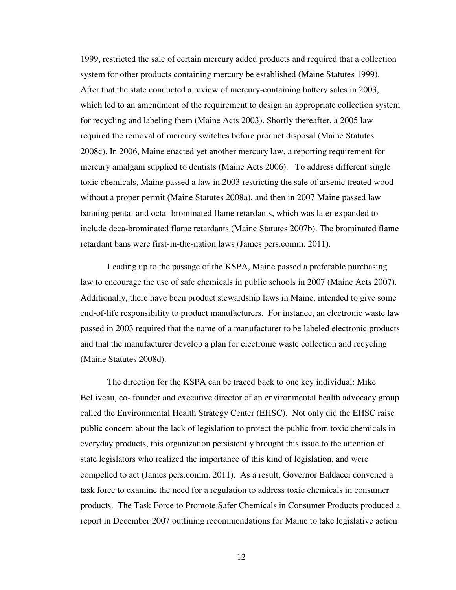1999, restricted the sale of certain mercury added products and required that a collection system for other products containing mercury be established (Maine Statutes 1999). After that the state conducted a review of mercury-containing battery sales in 2003, which led to an amendment of the requirement to design an appropriate collection system for recycling and labeling them (Maine Acts 2003). Shortly thereafter, a 2005 law required the removal of mercury switches before product disposal (Maine Statutes 2008c). In 2006, Maine enacted yet another mercury law, a reporting requirement for mercury amalgam supplied to dentists (Maine Acts 2006). To address different single toxic chemicals, Maine passed a law in 2003 restricting the sale of arsenic treated wood without a proper permit (Maine Statutes 2008a), and then in 2007 Maine passed law banning penta- and octa- brominated flame retardants, which was later expanded to include deca-brominated flame retardants (Maine Statutes 2007b). The brominated flame retardant bans were first-in-the-nation laws (James pers.comm. 2011).

Leading up to the passage of the KSPA, Maine passed a preferable purchasing law to encourage the use of safe chemicals in public schools in 2007 (Maine Acts 2007). Additionally, there have been product stewardship laws in Maine, intended to give some end-of-life responsibility to product manufacturers. For instance, an electronic waste law passed in 2003 required that the name of a manufacturer to be labeled electronic products and that the manufacturer develop a plan for electronic waste collection and recycling (Maine Statutes 2008d).

The direction for the KSPA can be traced back to one key individual: Mike Belliveau, co- founder and executive director of an environmental health advocacy group called the Environmental Health Strategy Center (EHSC). Not only did the EHSC raise public concern about the lack of legislation to protect the public from toxic chemicals in everyday products, this organization persistently brought this issue to the attention of state legislators who realized the importance of this kind of legislation, and were compelled to act (James pers.comm. 2011). As a result, Governor Baldacci convened a task force to examine the need for a regulation to address toxic chemicals in consumer products. The Task Force to Promote Safer Chemicals in Consumer Products produced a report in December 2007 outlining recommendations for Maine to take legislative action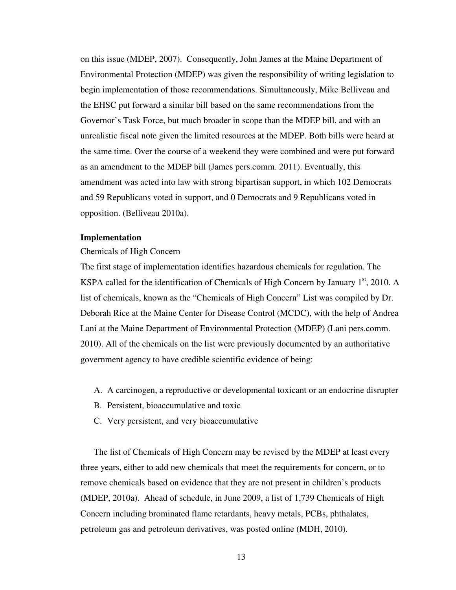on this issue (MDEP, 2007). Consequently, John James at the Maine Department of Environmental Protection (MDEP) was given the responsibility of writing legislation to begin implementation of those recommendations. Simultaneously, Mike Belliveau and the EHSC put forward a similar bill based on the same recommendations from the Governor's Task Force, but much broader in scope than the MDEP bill, and with an unrealistic fiscal note given the limited resources at the MDEP. Both bills were heard at the same time. Over the course of a weekend they were combined and were put forward as an amendment to the MDEP bill (James pers.comm. 2011). Eventually, this amendment was acted into law with strong bipartisan support, in which 102 Democrats and 59 Republicans voted in support, and 0 Democrats and 9 Republicans voted in opposition. (Belliveau 2010a).

# **Implementation**

#### Chemicals of High Concern

The first stage of implementation identifies hazardous chemicals for regulation. The KSPA called for the identification of Chemicals of High Concern by January  $1<sup>st</sup>$ , 2010. A list of chemicals, known as the "Chemicals of High Concern" List was compiled by Dr. Deborah Rice at the Maine Center for Disease Control (MCDC), with the help of Andrea Lani at the Maine Department of Environmental Protection (MDEP) (Lani pers.comm. 2010). All of the chemicals on the list were previously documented by an authoritative government agency to have credible scientific evidence of being:

- A. A carcinogen, a reproductive or developmental toxicant or an endocrine disrupter
- B. Persistent, bioaccumulative and toxic
- C. Very persistent, and very bioaccumulative

The list of Chemicals of High Concern may be revised by the MDEP at least every three years, either to add new chemicals that meet the requirements for concern, or to remove chemicals based on evidence that they are not present in children's products (MDEP, 2010a). Ahead of schedule, in June 2009, a list of 1,739 Chemicals of High Concern including brominated flame retardants, heavy metals, PCBs, phthalates, petroleum gas and petroleum derivatives, was posted online (MDH, 2010).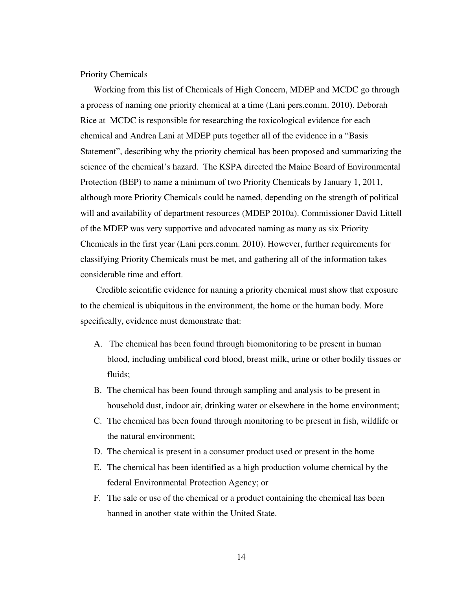Priority Chemicals

Working from this list of Chemicals of High Concern, MDEP and MCDC go through a process of naming one priority chemical at a time (Lani pers.comm. 2010). Deborah Rice at MCDC is responsible for researching the toxicological evidence for each chemical and Andrea Lani at MDEP puts together all of the evidence in a "Basis Statement", describing why the priority chemical has been proposed and summarizing the science of the chemical's hazard. The KSPA directed the Maine Board of Environmental Protection (BEP) to name a minimum of two Priority Chemicals by January 1, 2011, although more Priority Chemicals could be named, depending on the strength of political will and availability of department resources (MDEP 2010a). Commissioner David Littell of the MDEP was very supportive and advocated naming as many as six Priority Chemicals in the first year (Lani pers.comm. 2010). However, further requirements for classifying Priority Chemicals must be met, and gathering all of the information takes considerable time and effort.

 Credible scientific evidence for naming a priority chemical must show that exposure to the chemical is ubiquitous in the environment, the home or the human body. More specifically, evidence must demonstrate that:

- A. The chemical has been found through biomonitoring to be present in human blood, including umbilical cord blood, breast milk, urine or other bodily tissues or fluids;
- B. The chemical has been found through sampling and analysis to be present in household dust, indoor air, drinking water or elsewhere in the home environment;
- C. The chemical has been found through monitoring to be present in fish, wildlife or the natural environment;
- D. The chemical is present in a consumer product used or present in the home
- E. The chemical has been identified as a high production volume chemical by the federal Environmental Protection Agency; or
- F. The sale or use of the chemical or a product containing the chemical has been banned in another state within the United State.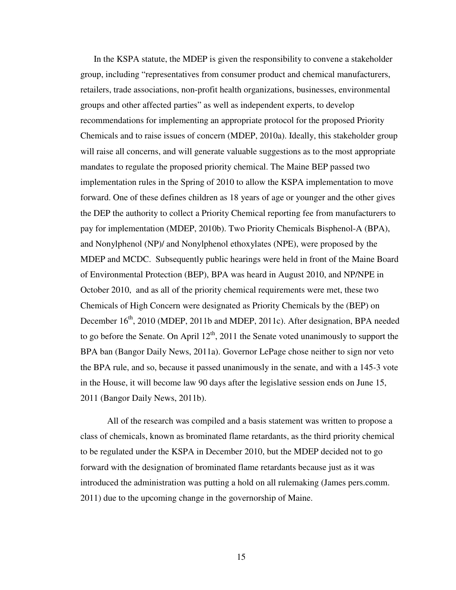In the KSPA statute, the MDEP is given the responsibility to convene a stakeholder group, including "representatives from consumer product and chemical manufacturers, retailers, trade associations, non-profit health organizations, businesses, environmental groups and other affected parties" as well as independent experts, to develop recommendations for implementing an appropriate protocol for the proposed Priority Chemicals and to raise issues of concern (MDEP, 2010a). Ideally, this stakeholder group will raise all concerns, and will generate valuable suggestions as to the most appropriate mandates to regulate the proposed priority chemical. The Maine BEP passed two implementation rules in the Spring of 2010 to allow the KSPA implementation to move forward. One of these defines children as 18 years of age or younger and the other gives the DEP the authority to collect a Priority Chemical reporting fee from manufacturers to pay for implementation (MDEP, 2010b). Two Priority Chemicals Bisphenol-A (BPA), and Nonylphenol (NP)/ and Nonylphenol ethoxylates (NPE), were proposed by the MDEP and MCDC. Subsequently public hearings were held in front of the Maine Board of Environmental Protection (BEP), BPA was heard in August 2010, and NP/NPE in October 2010, and as all of the priority chemical requirements were met, these two Chemicals of High Concern were designated as Priority Chemicals by the (BEP) on December 16<sup>th</sup>, 2010 (MDEP, 2011b and MDEP, 2011c). After designation, BPA needed to go before the Senate. On April  $12<sup>th</sup>$ , 2011 the Senate voted unanimously to support the BPA ban (Bangor Daily News, 2011a). Governor LePage chose neither to sign nor veto the BPA rule, and so, because it passed unanimously in the senate, and with a 145-3 vote in the House, it will become law 90 days after the legislative session ends on June 15, 2011 (Bangor Daily News, 2011b).

All of the research was compiled and a basis statement was written to propose a class of chemicals, known as brominated flame retardants, as the third priority chemical to be regulated under the KSPA in December 2010, but the MDEP decided not to go forward with the designation of brominated flame retardants because just as it was introduced the administration was putting a hold on all rulemaking (James pers.comm. 2011) due to the upcoming change in the governorship of Maine.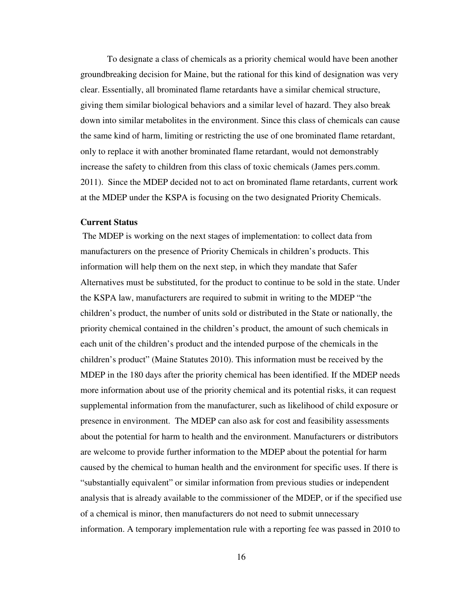To designate a class of chemicals as a priority chemical would have been another groundbreaking decision for Maine, but the rational for this kind of designation was very clear. Essentially, all brominated flame retardants have a similar chemical structure, giving them similar biological behaviors and a similar level of hazard. They also break down into similar metabolites in the environment. Since this class of chemicals can cause the same kind of harm, limiting or restricting the use of one brominated flame retardant, only to replace it with another brominated flame retardant, would not demonstrably increase the safety to children from this class of toxic chemicals (James pers.comm. 2011). Since the MDEP decided not to act on brominated flame retardants, current work at the MDEP under the KSPA is focusing on the two designated Priority Chemicals.

# **Current Status**

 The MDEP is working on the next stages of implementation: to collect data from manufacturers on the presence of Priority Chemicals in children's products. This information will help them on the next step, in which they mandate that Safer Alternatives must be substituted, for the product to continue to be sold in the state. Under the KSPA law, manufacturers are required to submit in writing to the MDEP "the children's product, the number of units sold or distributed in the State or nationally, the priority chemical contained in the children's product, the amount of such chemicals in each unit of the children's product and the intended purpose of the chemicals in the children's product" (Maine Statutes 2010). This information must be received by the MDEP in the 180 days after the priority chemical has been identified. If the MDEP needs more information about use of the priority chemical and its potential risks, it can request supplemental information from the manufacturer, such as likelihood of child exposure or presence in environment. The MDEP can also ask for cost and feasibility assessments about the potential for harm to health and the environment. Manufacturers or distributors are welcome to provide further information to the MDEP about the potential for harm caused by the chemical to human health and the environment for specific uses. If there is "substantially equivalent" or similar information from previous studies or independent analysis that is already available to the commissioner of the MDEP, or if the specified use of a chemical is minor, then manufacturers do not need to submit unnecessary information. A temporary implementation rule with a reporting fee was passed in 2010 to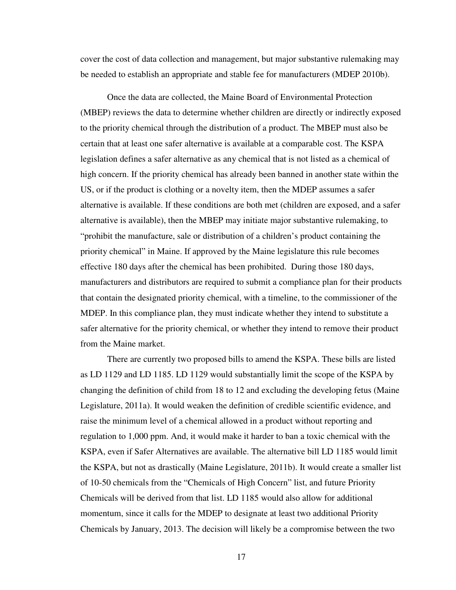cover the cost of data collection and management, but major substantive rulemaking may be needed to establish an appropriate and stable fee for manufacturers (MDEP 2010b).

Once the data are collected, the Maine Board of Environmental Protection (MBEP) reviews the data to determine whether children are directly or indirectly exposed to the priority chemical through the distribution of a product. The MBEP must also be certain that at least one safer alternative is available at a comparable cost. The KSPA legislation defines a safer alternative as any chemical that is not listed as a chemical of high concern. If the priority chemical has already been banned in another state within the US, or if the product is clothing or a novelty item, then the MDEP assumes a safer alternative is available. If these conditions are both met (children are exposed, and a safer alternative is available), then the MBEP may initiate major substantive rulemaking, to "prohibit the manufacture, sale or distribution of a children's product containing the priority chemical" in Maine. If approved by the Maine legislature this rule becomes effective 180 days after the chemical has been prohibited. During those 180 days, manufacturers and distributors are required to submit a compliance plan for their products that contain the designated priority chemical, with a timeline, to the commissioner of the MDEP. In this compliance plan, they must indicate whether they intend to substitute a safer alternative for the priority chemical, or whether they intend to remove their product from the Maine market.

 There are currently two proposed bills to amend the KSPA. These bills are listed as LD 1129 and LD 1185. LD 1129 would substantially limit the scope of the KSPA by changing the definition of child from 18 to 12 and excluding the developing fetus (Maine Legislature, 2011a). It would weaken the definition of credible scientific evidence, and raise the minimum level of a chemical allowed in a product without reporting and regulation to 1,000 ppm. And, it would make it harder to ban a toxic chemical with the KSPA, even if Safer Alternatives are available. The alternative bill LD 1185 would limit the KSPA, but not as drastically (Maine Legislature, 2011b). It would create a smaller list of 10-50 chemicals from the "Chemicals of High Concern" list, and future Priority Chemicals will be derived from that list. LD 1185 would also allow for additional momentum, since it calls for the MDEP to designate at least two additional Priority Chemicals by January, 2013. The decision will likely be a compromise between the two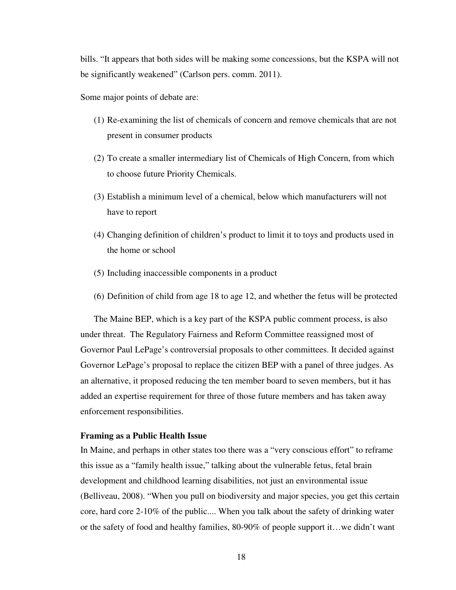bills. "It appears that both sides will be making some concessions, but the KSPA will not be significantly weakened" (Carlson pers. comm. 2011).

Some major points of debate are:

- (1) Re-examining the list of chemicals of concern and remove chemicals that are not present in consumer products
- (2) To create a smaller intermediary list of Chemicals of High Concern, from which to choose future Priority Chemicals.
- (3) Establish a minimum level of a chemical, below which manufacturers will not have to report
- (4) Changing definition of children's product to limit it to toys and products used in the home or school
- (5) Including inaccessible components in a product
- (6) Definition of child from age 18 to age 12, and whether the fetus will be protected

The Maine BEP, which is a key part of the KSPA public comment process, is also under threat. The Regulatory Fairness and Reform Committee reassigned most of Governor Paul LePage's controversial proposals to other committees. It decided against Governor LePage's proposal to replace the citizen BEP with a panel of three judges. As an alternative, it proposed reducing the ten member board to seven members, but it has added an expertise requirement for three of those future members and has taken away enforcement responsibilities.

# **Framing as a Public Health Issue**

In Maine, and perhaps in other states too there was a "very conscious effort" to reframe this issue as a "family health issue," talking about the vulnerable fetus, fetal brain development and childhood learning disabilities, not just an environmental issue (Belliveau, 2008). "When you pull on biodiversity and major species, you get this certain core, hard core 2-10% of the public.... When you talk about the safety of drinking water or the safety of food and healthy families, 80-90% of people support it…we didn't want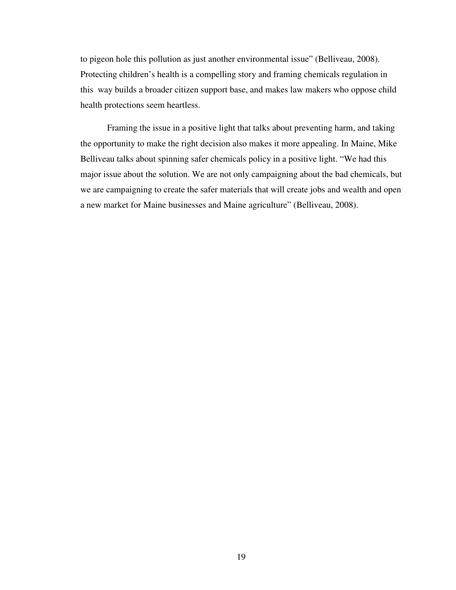to pigeon hole this pollution as just another environmental issue" (Belliveau, 2008). Protecting children's health is a compelling story and framing chemicals regulation in this way builds a broader citizen support base, and makes law makers who oppose child health protections seem heartless.

Framing the issue in a positive light that talks about preventing harm, and taking the opportunity to make the right decision also makes it more appealing. In Maine, Mike Belliveau talks about spinning safer chemicals policy in a positive light. "We had this major issue about the solution. We are not only campaigning about the bad chemicals, but we are campaigning to create the safer materials that will create jobs and wealth and open a new market for Maine businesses and Maine agriculture" (Belliveau, 2008).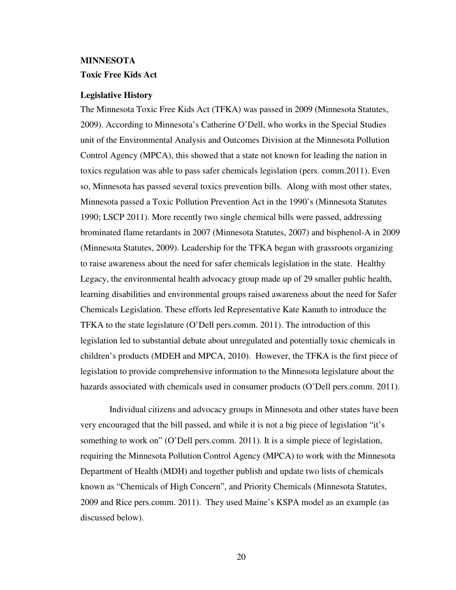# **MINNESOTA Toxic Free Kids Act**

### **Legislative History**

The Minnesota Toxic Free Kids Act (TFKA) was passed in 2009 (Minnesota Statutes, 2009). According to Minnesota's Catherine O'Dell, who works in the Special Studies unit of the Environmental Analysis and Outcomes Division at the Minnesota Pollution Control Agency (MPCA), this showed that a state not known for leading the nation in toxics regulation was able to pass safer chemicals legislation (pers. comm.2011). Even so, Minnesota has passed several toxics prevention bills. Along with most other states, Minnesota passed a Toxic Pollution Prevention Act in the 1990's (Minnesota Statutes 1990; LSCP 2011). More recently two single chemical bills were passed, addressing brominated flame retardants in 2007 (Minnesota Statutes, 2007) and bisphenol-A in 2009 (Minnesota Statutes, 2009). Leadership for the TFKA began with grassroots organizing to raise awareness about the need for safer chemicals legislation in the state. Healthy Legacy, the environmental health advocacy group made up of 29 smaller public health, learning disabilities and environmental groups raised awareness about the need for Safer Chemicals Legislation. These efforts led Representative Kate Kanuth to introduce the TFKA to the state legislature (O'Dell pers.comm. 2011). The introduction of this legislation led to substantial debate about unregulated and potentially toxic chemicals in children's products (MDEH and MPCA, 2010). However, the TFKA is the first piece of legislation to provide comprehensive information to the Minnesota legislature about the hazards associated with chemicals used in consumer products (O'Dell pers.comm. 2011).

 Individual citizens and advocacy groups in Minnesota and other states have been very encouraged that the bill passed, and while it is not a big piece of legislation "it's something to work on" (O'Dell pers.comm. 2011). It is a simple piece of legislation, requiring the Minnesota Pollution Control Agency (MPCA) to work with the Minnesota Department of Health (MDH) and together publish and update two lists of chemicals known as "Chemicals of High Concern", and Priority Chemicals (Minnesota Statutes, 2009 and Rice pers.comm. 2011). They used Maine's KSPA model as an example (as discussed below).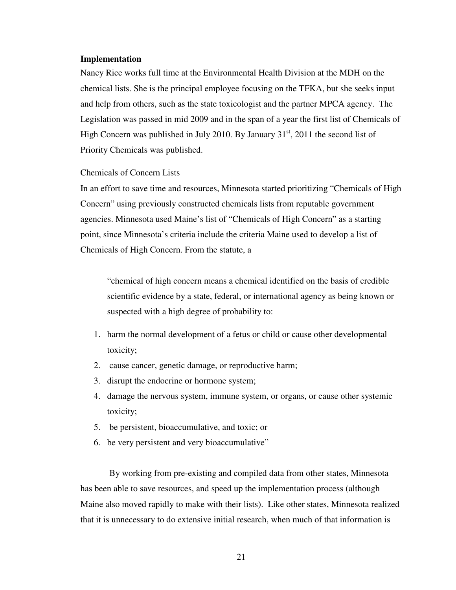## **Implementation**

Nancy Rice works full time at the Environmental Health Division at the MDH on the chemical lists. She is the principal employee focusing on the TFKA, but she seeks input and help from others, such as the state toxicologist and the partner MPCA agency. The Legislation was passed in mid 2009 and in the span of a year the first list of Chemicals of High Concern was published in July 2010. By January  $31<sup>st</sup>$ , 2011 the second list of Priority Chemicals was published.

### Chemicals of Concern Lists

In an effort to save time and resources, Minnesota started prioritizing "Chemicals of High Concern" using previously constructed chemicals lists from reputable government agencies. Minnesota used Maine's list of "Chemicals of High Concern" as a starting point, since Minnesota's criteria include the criteria Maine used to develop a list of Chemicals of High Concern. From the statute, a

"chemical of high concern means a chemical identified on the basis of credible scientific evidence by a state, federal, or international agency as being known or suspected with a high degree of probability to:

- 1. harm the normal development of a fetus or child or cause other developmental toxicity;
- 2. cause cancer, genetic damage, or reproductive harm;
- 3. disrupt the endocrine or hormone system;
- 4. damage the nervous system, immune system, or organs, or cause other systemic toxicity;
- 5. be persistent, bioaccumulative, and toxic; or
- 6. be very persistent and very bioaccumulative"

 By working from pre-existing and compiled data from other states, Minnesota has been able to save resources, and speed up the implementation process (although Maine also moved rapidly to make with their lists). Like other states, Minnesota realized that it is unnecessary to do extensive initial research, when much of that information is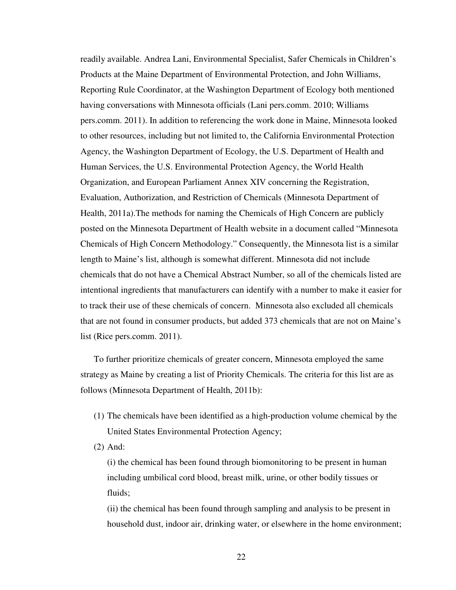readily available. Andrea Lani, Environmental Specialist, Safer Chemicals in Children's Products at the Maine Department of Environmental Protection, and John Williams, Reporting Rule Coordinator, at the Washington Department of Ecology both mentioned having conversations with Minnesota officials (Lani pers.comm. 2010; Williams pers.comm. 2011). In addition to referencing the work done in Maine, Minnesota looked to other resources, including but not limited to, the California Environmental Protection Agency, the Washington Department of Ecology, the U.S. Department of Health and Human Services, the U.S. Environmental Protection Agency, the World Health Organization, and European Parliament Annex XIV concerning the Registration, Evaluation, Authorization, and Restriction of Chemicals (Minnesota Department of Health, 2011a).The methods for naming the Chemicals of High Concern are publicly posted on the Minnesota Department of Health website in a document called "Minnesota Chemicals of High Concern Methodology." Consequently, the Minnesota list is a similar length to Maine's list, although is somewhat different. Minnesota did not include chemicals that do not have a Chemical Abstract Number, so all of the chemicals listed are intentional ingredients that manufacturers can identify with a number to make it easier for to track their use of these chemicals of concern. Minnesota also excluded all chemicals that are not found in consumer products, but added 373 chemicals that are not on Maine's list (Rice pers.comm. 2011).

To further prioritize chemicals of greater concern, Minnesota employed the same strategy as Maine by creating a list of Priority Chemicals. The criteria for this list are as follows (Minnesota Department of Health, 2011b):

(1) The chemicals have been identified as a high-production volume chemical by the United States Environmental Protection Agency;

(2) And:

(i) the chemical has been found through biomonitoring to be present in human including umbilical cord blood, breast milk, urine, or other bodily tissues or fluids;

(ii) the chemical has been found through sampling and analysis to be present in household dust, indoor air, drinking water, or elsewhere in the home environment;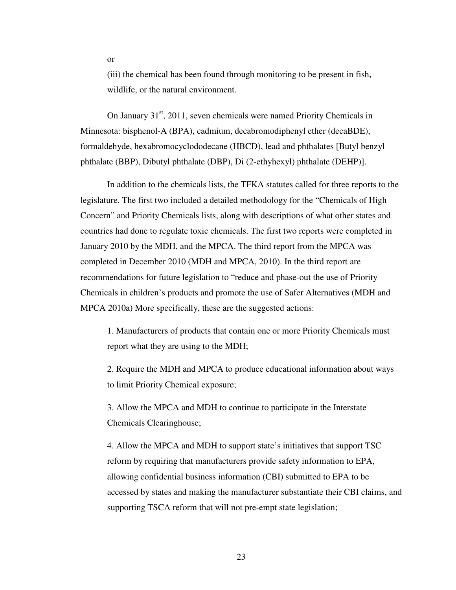(iii) the chemical has been found through monitoring to be present in fish, wildlife, or the natural environment.

On January  $31<sup>st</sup>$ , 2011, seven chemicals were named Priority Chemicals in Minnesota: bisphenol-A (BPA), cadmium, decabromodiphenyl ether (decaBDE), formaldehyde, hexabromocyclododecane (HBCD), lead and phthalates [Butyl benzyl phthalate (BBP), Dibutyl phthalate (DBP), Di (2-ethyhexyl) phthalate (DEHP)].

In addition to the chemicals lists, the TFKA statutes called for three reports to the legislature. The first two included a detailed methodology for the "Chemicals of High Concern" and Priority Chemicals lists, along with descriptions of what other states and countries had done to regulate toxic chemicals. The first two reports were completed in January 2010 by the MDH, and the MPCA. The third report from the MPCA was completed in December 2010 (MDH and MPCA, 2010). In the third report are recommendations for future legislation to "reduce and phase-out the use of Priority Chemicals in children's products and promote the use of Safer Alternatives (MDH and MPCA 2010a) More specifically, these are the suggested actions:

1. Manufacturers of products that contain one or more Priority Chemicals must report what they are using to the MDH;

2. Require the MDH and MPCA to produce educational information about ways to limit Priority Chemical exposure;

3. Allow the MPCA and MDH to continue to participate in the Interstate Chemicals Clearinghouse;

4. Allow the MPCA and MDH to support state's initiatives that support TSC reform by requiring that manufacturers provide safety information to EPA, allowing confidential business information (CBI) submitted to EPA to be accessed by states and making the manufacturer substantiate their CBI claims, and supporting TSCA reform that will not pre-empt state legislation;

or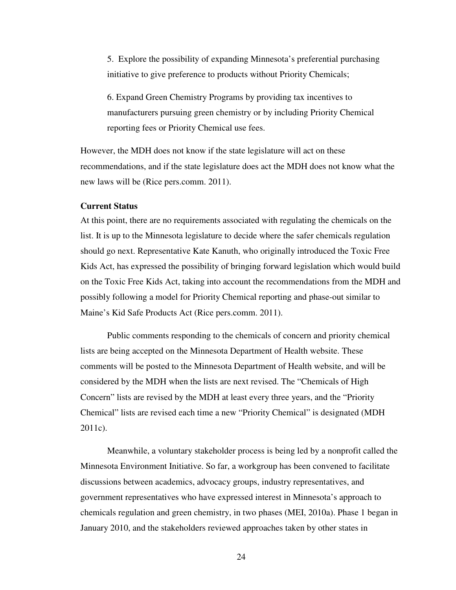5. Explore the possibility of expanding Minnesota's preferential purchasing initiative to give preference to products without Priority Chemicals;

6. Expand Green Chemistry Programs by providing tax incentives to manufacturers pursuing green chemistry or by including Priority Chemical reporting fees or Priority Chemical use fees.

However, the MDH does not know if the state legislature will act on these recommendations, and if the state legislature does act the MDH does not know what the new laws will be (Rice pers.comm. 2011).

### **Current Status**

At this point, there are no requirements associated with regulating the chemicals on the list. It is up to the Minnesota legislature to decide where the safer chemicals regulation should go next. Representative Kate Kanuth, who originally introduced the Toxic Free Kids Act, has expressed the possibility of bringing forward legislation which would build on the Toxic Free Kids Act, taking into account the recommendations from the MDH and possibly following a model for Priority Chemical reporting and phase-out similar to Maine's Kid Safe Products Act (Rice pers.comm. 2011).

Public comments responding to the chemicals of concern and priority chemical lists are being accepted on the Minnesota Department of Health website. These comments will be posted to the Minnesota Department of Health website, and will be considered by the MDH when the lists are next revised. The "Chemicals of High Concern" lists are revised by the MDH at least every three years, and the "Priority Chemical" lists are revised each time a new "Priority Chemical" is designated (MDH 2011c).

Meanwhile, a voluntary stakeholder process is being led by a nonprofit called the Minnesota Environment Initiative. So far, a workgroup has been convened to facilitate discussions between academics, advocacy groups, industry representatives, and government representatives who have expressed interest in Minnesota's approach to chemicals regulation and green chemistry, in two phases (MEI, 2010a). Phase 1 began in January 2010, and the stakeholders reviewed approaches taken by other states in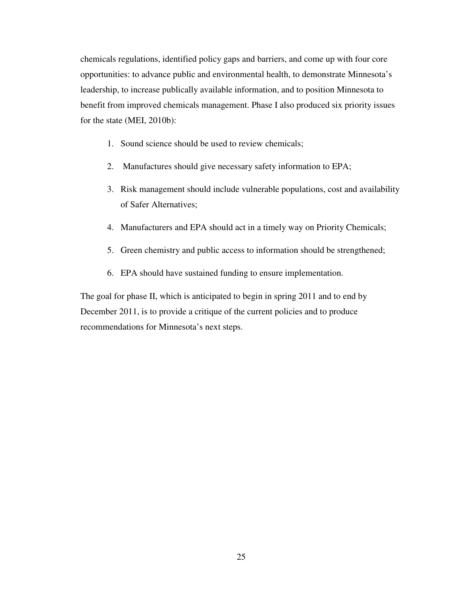chemicals regulations, identified policy gaps and barriers, and come up with four core opportunities: to advance public and environmental health, to demonstrate Minnesota's leadership, to increase publically available information, and to position Minnesota to benefit from improved chemicals management. Phase I also produced six priority issues for the state (MEI, 2010b):

- 1. Sound science should be used to review chemicals;
- 2. Manufactures should give necessary safety information to EPA;
- 3. Risk management should include vulnerable populations, cost and availability of Safer Alternatives;
- 4. Manufacturers and EPA should act in a timely way on Priority Chemicals;
- 5. Green chemistry and public access to information should be strengthened;
- 6. EPA should have sustained funding to ensure implementation.

The goal for phase II, which is anticipated to begin in spring 2011 and to end by December 2011, is to provide a critique of the current policies and to produce recommendations for Minnesota's next steps.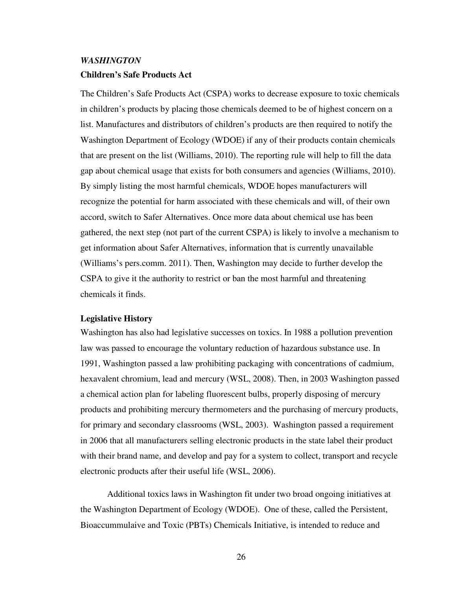# *WASHINGTON*  **Children's Safe Products Act**

The Children's Safe Products Act (CSPA) works to decrease exposure to toxic chemicals in children's products by placing those chemicals deemed to be of highest concern on a list. Manufactures and distributors of children's products are then required to notify the Washington Department of Ecology (WDOE) if any of their products contain chemicals that are present on the list (Williams, 2010). The reporting rule will help to fill the data gap about chemical usage that exists for both consumers and agencies (Williams, 2010). By simply listing the most harmful chemicals, WDOE hopes manufacturers will recognize the potential for harm associated with these chemicals and will, of their own accord, switch to Safer Alternatives. Once more data about chemical use has been gathered, the next step (not part of the current CSPA) is likely to involve a mechanism to get information about Safer Alternatives, information that is currently unavailable (Williams's pers.comm. 2011). Then, Washington may decide to further develop the CSPA to give it the authority to restrict or ban the most harmful and threatening chemicals it finds.

### **Legislative History**

Washington has also had legislative successes on toxics. In 1988 a pollution prevention law was passed to encourage the voluntary reduction of hazardous substance use. In 1991, Washington passed a law prohibiting packaging with concentrations of cadmium, hexavalent chromium, lead and mercury (WSL, 2008). Then, in 2003 Washington passed a chemical action plan for labeling fluorescent bulbs, properly disposing of mercury products and prohibiting mercury thermometers and the purchasing of mercury products, for primary and secondary classrooms (WSL, 2003). Washington passed a requirement in 2006 that all manufacturers selling electronic products in the state label their product with their brand name, and develop and pay for a system to collect, transport and recycle electronic products after their useful life (WSL, 2006).

Additional toxics laws in Washington fit under two broad ongoing initiatives at the Washington Department of Ecology (WDOE). One of these, called the Persistent, Bioaccummulaive and Toxic (PBTs) Chemicals Initiative, is intended to reduce and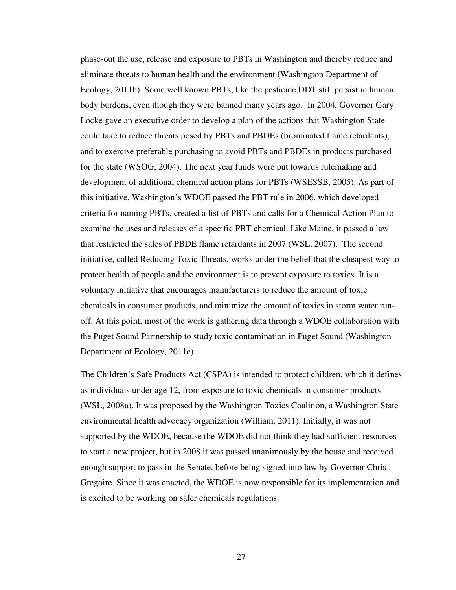phase-out the use, release and exposure to PBTs in Washington and thereby reduce and eliminate threats to human health and the environment (Washington Department of Ecology, 2011b). Some well known PBTs, like the pesticide DDT still persist in human body burdens, even though they were banned many years ago. In 2004, Governor Gary Locke gave an executive order to develop a plan of the actions that Washington State could take to reduce threats posed by PBTs and PBDEs (brominated flame retardants), and to exercise preferable purchasing to avoid PBTs and PBDEs in products purchased for the state (WSOG, 2004). The next year funds were put towards rulemaking and development of additional chemical action plans for PBTs (WSESSB, 2005). As part of this initiative, Washington's WDOE passed the PBT rule in 2006, which developed criteria for naming PBTs, created a list of PBTs and calls for a Chemical Action Plan to examine the uses and releases of a specific PBT chemical. Like Maine, it passed a law that restricted the sales of PBDE flame retardants in 2007 (WSL, 2007). The second initiative, called Reducing Toxic Threats, works under the belief that the cheapest way to protect health of people and the environment is to prevent exposure to toxics. It is a voluntary initiative that encourages manufacturers to reduce the amount of toxic chemicals in consumer products, and minimize the amount of toxics in storm water runoff. At this point, most of the work is gathering data through a WDOE collaboration with the Puget Sound Partnership to study toxic contamination in Puget Sound (Washington Department of Ecology, 2011c).

The Children's Safe Products Act (CSPA) is intended to protect children, which it defines as individuals under age 12, from exposure to toxic chemicals in consumer products (WSL, 2008a). It was proposed by the Washington Toxics Coalition, a Washington State environmental health advocacy organization (William, 2011). Initially, it was not supported by the WDOE, because the WDOE did not think they had sufficient resources to start a new project, but in 2008 it was passed unanimously by the house and received enough support to pass in the Senate, before being signed into law by Governor Chris Gregoire. Since it was enacted, the WDOE is now responsible for its implementation and is excited to be working on safer chemicals regulations.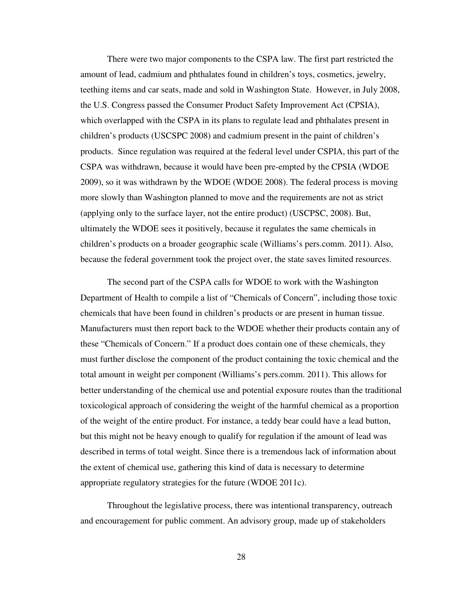There were two major components to the CSPA law. The first part restricted the amount of lead, cadmium and phthalates found in children's toys, cosmetics, jewelry, teething items and car seats, made and sold in Washington State. However, in July 2008, the U.S. Congress passed the Consumer Product Safety Improvement Act (CPSIA), which overlapped with the CSPA in its plans to regulate lead and phthalates present in children's products (USCSPC 2008) and cadmium present in the paint of children's products. Since regulation was required at the federal level under CSPIA, this part of the CSPA was withdrawn, because it would have been pre-empted by the CPSIA (WDOE 2009), so it was withdrawn by the WDOE (WDOE 2008). The federal process is moving more slowly than Washington planned to move and the requirements are not as strict (applying only to the surface layer, not the entire product) (USCPSC, 2008). But, ultimately the WDOE sees it positively, because it regulates the same chemicals in children's products on a broader geographic scale (Williams's pers.comm. 2011). Also, because the federal government took the project over, the state saves limited resources.

The second part of the CSPA calls for WDOE to work with the Washington Department of Health to compile a list of "Chemicals of Concern", including those toxic chemicals that have been found in children's products or are present in human tissue. Manufacturers must then report back to the WDOE whether their products contain any of these "Chemicals of Concern." If a product does contain one of these chemicals, they must further disclose the component of the product containing the toxic chemical and the total amount in weight per component (Williams's pers.comm. 2011). This allows for better understanding of the chemical use and potential exposure routes than the traditional toxicological approach of considering the weight of the harmful chemical as a proportion of the weight of the entire product. For instance, a teddy bear could have a lead button, but this might not be heavy enough to qualify for regulation if the amount of lead was described in terms of total weight. Since there is a tremendous lack of information about the extent of chemical use, gathering this kind of data is necessary to determine appropriate regulatory strategies for the future (WDOE 2011c).

Throughout the legislative process, there was intentional transparency, outreach and encouragement for public comment. An advisory group, made up of stakeholders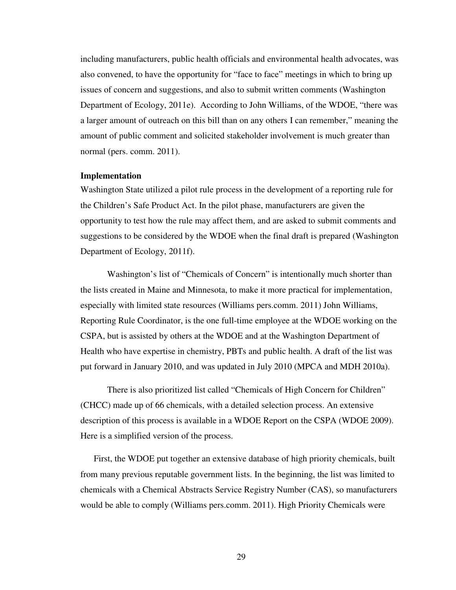including manufacturers, public health officials and environmental health advocates, was also convened, to have the opportunity for "face to face" meetings in which to bring up issues of concern and suggestions, and also to submit written comments (Washington Department of Ecology, 2011e). According to John Williams, of the WDOE, "there was a larger amount of outreach on this bill than on any others I can remember," meaning the amount of public comment and solicited stakeholder involvement is much greater than normal (pers. comm. 2011).

## **Implementation**

Washington State utilized a pilot rule process in the development of a reporting rule for the Children's Safe Product Act. In the pilot phase, manufacturers are given the opportunity to test how the rule may affect them, and are asked to submit comments and suggestions to be considered by the WDOE when the final draft is prepared (Washington Department of Ecology, 2011f).

Washington's list of "Chemicals of Concern" is intentionally much shorter than the lists created in Maine and Minnesota, to make it more practical for implementation, especially with limited state resources (Williams pers.comm. 2011) John Williams, Reporting Rule Coordinator, is the one full-time employee at the WDOE working on the CSPA, but is assisted by others at the WDOE and at the Washington Department of Health who have expertise in chemistry, PBTs and public health. A draft of the list was put forward in January 2010, and was updated in July 2010 (MPCA and MDH 2010a).

There is also prioritized list called "Chemicals of High Concern for Children" (CHCC) made up of 66 chemicals, with a detailed selection process. An extensive description of this process is available in a WDOE Report on the CSPA (WDOE 2009). Here is a simplified version of the process.

First, the WDOE put together an extensive database of high priority chemicals, built from many previous reputable government lists. In the beginning, the list was limited to chemicals with a Chemical Abstracts Service Registry Number (CAS), so manufacturers would be able to comply (Williams pers.comm. 2011). High Priority Chemicals were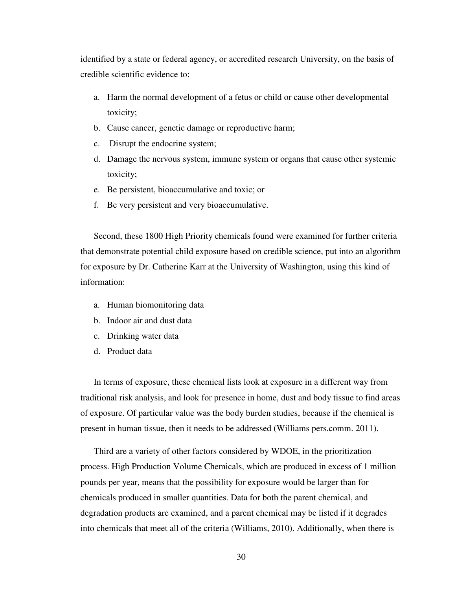identified by a state or federal agency, or accredited research University, on the basis of credible scientific evidence to:

- a. Harm the normal development of a fetus or child or cause other developmental toxicity;
- b. Cause cancer, genetic damage or reproductive harm;
- c. Disrupt the endocrine system;
- d. Damage the nervous system, immune system or organs that cause other systemic toxicity;
- e. Be persistent, bioaccumulative and toxic; or
- f. Be very persistent and very bioaccumulative.

Second, these 1800 High Priority chemicals found were examined for further criteria that demonstrate potential child exposure based on credible science, put into an algorithm for exposure by Dr. Catherine Karr at the University of Washington, using this kind of information:

- a. Human biomonitoring data
- b. Indoor air and dust data
- c. Drinking water data
- d. Product data

In terms of exposure, these chemical lists look at exposure in a different way from traditional risk analysis, and look for presence in home, dust and body tissue to find areas of exposure. Of particular value was the body burden studies, because if the chemical is present in human tissue, then it needs to be addressed (Williams pers.comm. 2011).

Third are a variety of other factors considered by WDOE, in the prioritization process. High Production Volume Chemicals, which are produced in excess of 1 million pounds per year, means that the possibility for exposure would be larger than for chemicals produced in smaller quantities. Data for both the parent chemical, and degradation products are examined, and a parent chemical may be listed if it degrades into chemicals that meet all of the criteria (Williams, 2010). Additionally, when there is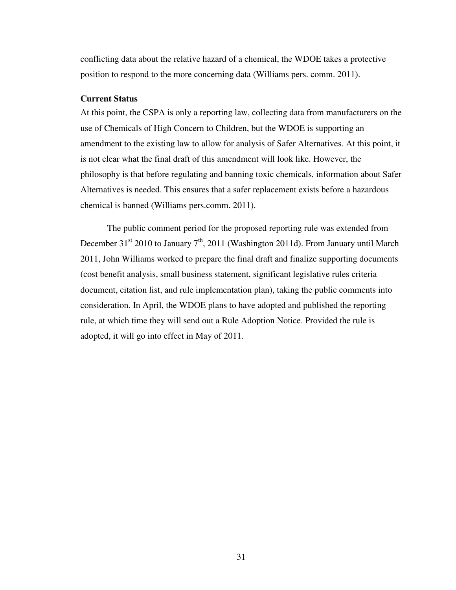conflicting data about the relative hazard of a chemical, the WDOE takes a protective position to respond to the more concerning data (Williams pers. comm. 2011).

# **Current Status**

At this point, the CSPA is only a reporting law, collecting data from manufacturers on the use of Chemicals of High Concern to Children, but the WDOE is supporting an amendment to the existing law to allow for analysis of Safer Alternatives. At this point, it is not clear what the final draft of this amendment will look like. However, the philosophy is that before regulating and banning toxic chemicals, information about Safer Alternatives is needed. This ensures that a safer replacement exists before a hazardous chemical is banned (Williams pers.comm. 2011).

The public comment period for the proposed reporting rule was extended from December 31<sup>st</sup> 2010 to January 7<sup>th</sup>, 2011 (Washington 2011d). From January until March 2011, John Williams worked to prepare the final draft and finalize supporting documents (cost benefit analysis, small business statement, significant legislative rules criteria document, citation list, and rule implementation plan), taking the public comments into consideration. In April, the WDOE plans to have adopted and published the reporting rule, at which time they will send out a Rule Adoption Notice. Provided the rule is adopted, it will go into effect in May of 2011.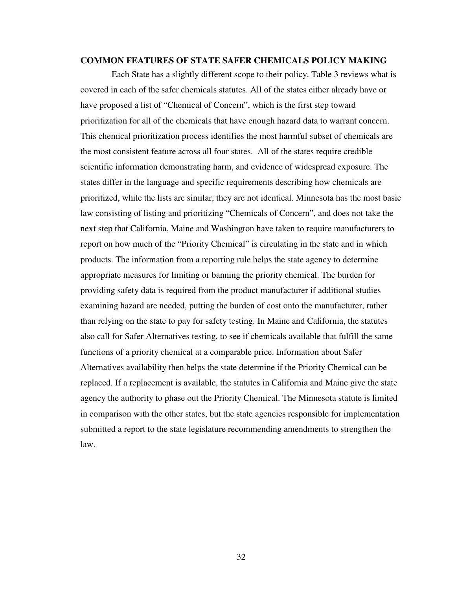# **COMMON FEATURES OF STATE SAFER CHEMICALS POLICY MAKING**

 Each State has a slightly different scope to their policy. Table 3 reviews what is covered in each of the safer chemicals statutes. All of the states either already have or have proposed a list of "Chemical of Concern", which is the first step toward prioritization for all of the chemicals that have enough hazard data to warrant concern. This chemical prioritization process identifies the most harmful subset of chemicals are the most consistent feature across all four states. All of the states require credible scientific information demonstrating harm, and evidence of widespread exposure. The states differ in the language and specific requirements describing how chemicals are prioritized, while the lists are similar, they are not identical. Minnesota has the most basic law consisting of listing and prioritizing "Chemicals of Concern", and does not take the next step that California, Maine and Washington have taken to require manufacturers to report on how much of the "Priority Chemical" is circulating in the state and in which products. The information from a reporting rule helps the state agency to determine appropriate measures for limiting or banning the priority chemical. The burden for providing safety data is required from the product manufacturer if additional studies examining hazard are needed, putting the burden of cost onto the manufacturer, rather than relying on the state to pay for safety testing. In Maine and California, the statutes also call for Safer Alternatives testing, to see if chemicals available that fulfill the same functions of a priority chemical at a comparable price. Information about Safer Alternatives availability then helps the state determine if the Priority Chemical can be replaced. If a replacement is available, the statutes in California and Maine give the state agency the authority to phase out the Priority Chemical. The Minnesota statute is limited in comparison with the other states, but the state agencies responsible for implementation submitted a report to the state legislature recommending amendments to strengthen the law.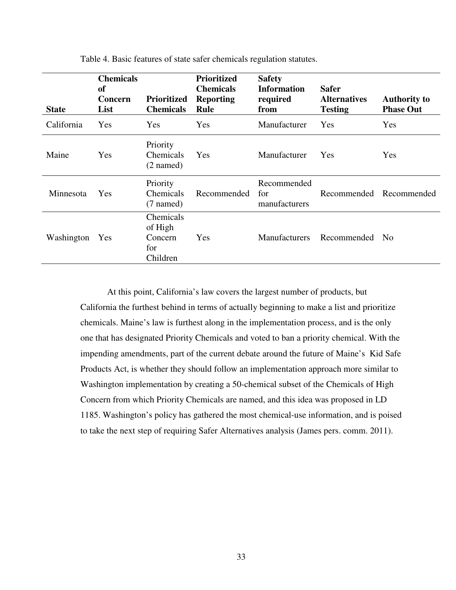| <b>State</b> | <b>Chemicals</b><br><sub>of</sub><br>Concern<br>List | <b>Prioritized</b><br><b>Chemicals</b>             | <b>Prioritized</b><br><b>Chemicals</b><br><b>Reporting</b><br><b>Rule</b> | <b>Safety</b><br><b>Information</b><br>required<br>from | <b>Safer</b><br><b>Alternatives</b><br><b>Testing</b> | <b>Authority to</b><br><b>Phase Out</b> |
|--------------|------------------------------------------------------|----------------------------------------------------|---------------------------------------------------------------------------|---------------------------------------------------------|-------------------------------------------------------|-----------------------------------------|
| California   | Yes                                                  | Yes                                                | Yes                                                                       | Manufacturer                                            | Yes                                                   | Yes                                     |
| Maine        | Yes                                                  | Priority<br>Chemicals<br>$(2$ named)               | Yes                                                                       | Manufacturer                                            | Yes                                                   | Yes                                     |
| Minnesota    | <b>Yes</b>                                           | Priority<br><b>Chemicals</b><br>$(7$ named)        | Recommended                                                               | Recommended<br>for<br>manufacturers                     | Recommended                                           | Recommended                             |
| Washington   | <b>Yes</b>                                           | Chemicals<br>of High<br>Concern<br>for<br>Children | Yes                                                                       | <b>Manufacturers</b>                                    | Recommended                                           | N <sub>0</sub>                          |

Table 4. Basic features of state safer chemicals regulation statutes.

At this point, California's law covers the largest number of products, but California the furthest behind in terms of actually beginning to make a list and prioritize chemicals. Maine's law is furthest along in the implementation process, and is the only one that has designated Priority Chemicals and voted to ban a priority chemical. With the impending amendments, part of the current debate around the future of Maine's Kid Safe Products Act, is whether they should follow an implementation approach more similar to Washington implementation by creating a 50-chemical subset of the Chemicals of High Concern from which Priority Chemicals are named, and this idea was proposed in LD 1185. Washington's policy has gathered the most chemical-use information, and is poised to take the next step of requiring Safer Alternatives analysis (James pers. comm. 2011).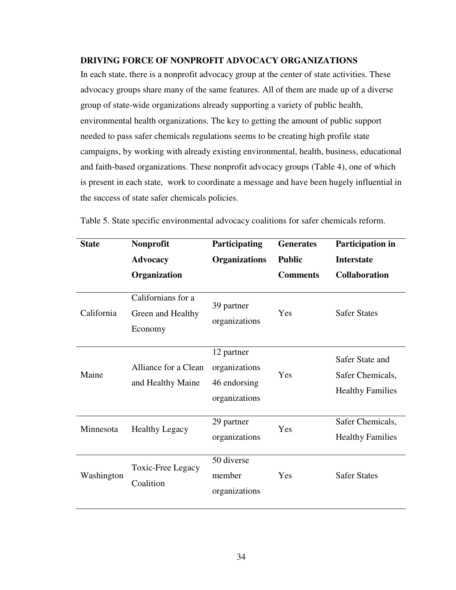# **DRIVING FORCE OF NONPROFIT ADVOCACY ORGANIZATIONS**

In each state, there is a nonprofit advocacy group at the center of state activities. These advocacy groups share many of the same features. All of them are made up of a diverse group of state-wide organizations already supporting a variety of public health, environmental health organizations. The key to getting the amount of public support needed to pass safer chemicals regulations seems to be creating high profile state campaigns, by working with already existing environmental, health, business, educational and faith-based organizations. These nonprofit advocacy groups (Table 4), one of which is present in each state, work to coordinate a message and have been hugely influential in the success of state safer chemicals policies.

| <b>State</b> | Nonprofit<br><b>Advocacy</b>                       | Participating<br><b>Organizations</b>                        | <b>Generates</b><br><b>Public</b> | Participation in<br><b>Interstate</b>                          |
|--------------|----------------------------------------------------|--------------------------------------------------------------|-----------------------------------|----------------------------------------------------------------|
|              | Organization                                       |                                                              | <b>Comments</b>                   | <b>Collaboration</b>                                           |
| California   | Californians for a<br>Green and Healthy<br>Economy | 39 partner<br>organizations                                  | Yes                               | <b>Safer States</b>                                            |
| Maine        | Alliance for a Clean<br>and Healthy Maine          | 12 partner<br>organizations<br>46 endorsing<br>organizations | Yes                               | Safer State and<br>Safer Chemicals,<br><b>Healthy Families</b> |
| Minnesota    | <b>Healthy Legacy</b>                              | 29 partner<br>organizations                                  | Yes                               | Safer Chemicals,<br><b>Healthy Families</b>                    |
| Washington   | Toxic-Free Legacy<br>Coalition                     | 50 diverse<br>member<br>organizations                        | <b>Yes</b>                        | <b>Safer States</b>                                            |

Table 5. State specific environmental advocacy coalitions for safer chemicals reform.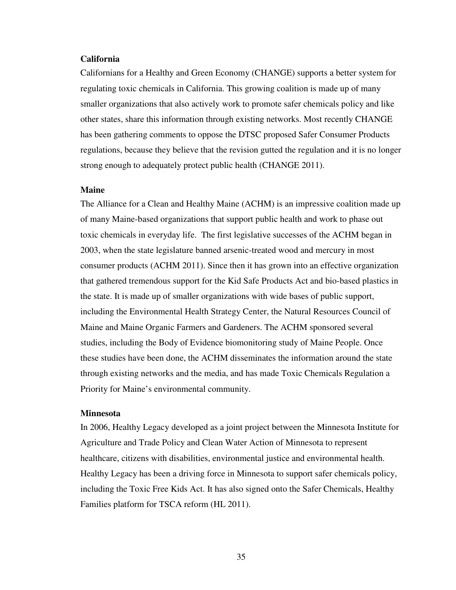# **California**

Californians for a Healthy and Green Economy (CHANGE) supports a better system for regulating toxic chemicals in California. This growing coalition is made up of many smaller organizations that also actively work to promote safer chemicals policy and like other states, share this information through existing networks. Most recently CHANGE has been gathering comments to oppose the DTSC proposed Safer Consumer Products regulations, because they believe that the revision gutted the regulation and it is no longer strong enough to adequately protect public health (CHANGE 2011).

### **Maine**

The Alliance for a Clean and Healthy Maine (ACHM) is an impressive coalition made up of many Maine-based organizations that support public health and work to phase out toxic chemicals in everyday life. The first legislative successes of the ACHM began in 2003, when the state legislature banned arsenic-treated wood and mercury in most consumer products (ACHM 2011). Since then it has grown into an effective organization that gathered tremendous support for the Kid Safe Products Act and bio-based plastics in the state. It is made up of smaller organizations with wide bases of public support, including the Environmental Health Strategy Center, the Natural Resources Council of Maine and Maine Organic Farmers and Gardeners. The ACHM sponsored several studies, including the Body of Evidence biomonitoring study of Maine People. Once these studies have been done, the ACHM disseminates the information around the state through existing networks and the media, and has made Toxic Chemicals Regulation a Priority for Maine's environmental community.

### **Minnesota**

In 2006, Healthy Legacy developed as a joint project between the Minnesota Institute for Agriculture and Trade Policy and Clean Water Action of Minnesota to represent healthcare, citizens with disabilities, environmental justice and environmental health. Healthy Legacy has been a driving force in Minnesota to support safer chemicals policy, including the Toxic Free Kids Act. It has also signed onto the Safer Chemicals, Healthy Families platform for TSCA reform (HL 2011).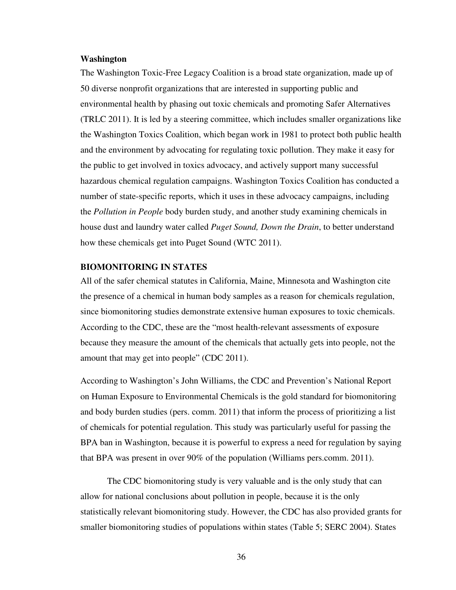### **Washington**

The Washington Toxic-Free Legacy Coalition is a broad state organization, made up of 50 diverse nonprofit organizations that are interested in supporting public and environmental health by phasing out toxic chemicals and promoting Safer Alternatives (TRLC 2011). It is led by a steering committee, which includes smaller organizations like the Washington Toxics Coalition, which began work in 1981 to protect both public health and the environment by advocating for regulating toxic pollution. They make it easy for the public to get involved in toxics advocacy, and actively support many successful hazardous chemical regulation campaigns. Washington Toxics Coalition has conducted a number of state-specific reports, which it uses in these advocacy campaigns, including the *Pollution in People* body burden study, and another study examining chemicals in house dust and laundry water called *Puget Sound, Down the Drain*, to better understand how these chemicals get into Puget Sound (WTC 2011).

# **BIOMONITORING IN STATES**

All of the safer chemical statutes in California, Maine, Minnesota and Washington cite the presence of a chemical in human body samples as a reason for chemicals regulation, since biomonitoring studies demonstrate extensive human exposures to toxic chemicals. According to the CDC, these are the "most health-relevant assessments of exposure because they measure the amount of the chemicals that actually gets into people, not the amount that may get into people" (CDC 2011).

According to Washington's John Williams, the CDC and Prevention's National Report on Human Exposure to Environmental Chemicals is the gold standard for biomonitoring and body burden studies (pers. comm. 2011) that inform the process of prioritizing a list of chemicals for potential regulation. This study was particularly useful for passing the BPA ban in Washington, because it is powerful to express a need for regulation by saying that BPA was present in over 90% of the population (Williams pers.comm. 2011).

The CDC biomonitoring study is very valuable and is the only study that can allow for national conclusions about pollution in people, because it is the only statistically relevant biomonitoring study. However, the CDC has also provided grants for smaller biomonitoring studies of populations within states (Table 5; SERC 2004). States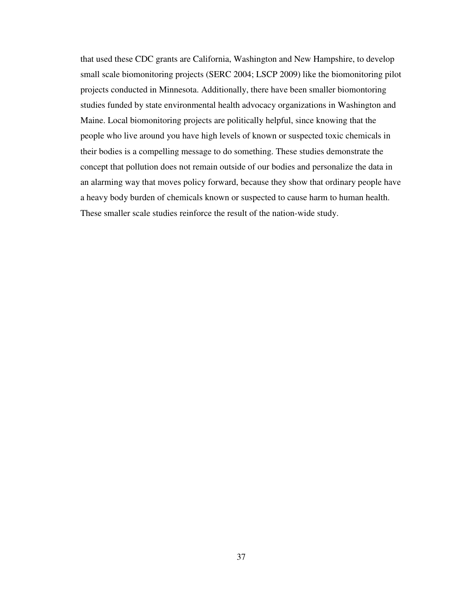that used these CDC grants are California, Washington and New Hampshire, to develop small scale biomonitoring projects (SERC 2004; LSCP 2009) like the biomonitoring pilot projects conducted in Minnesota. Additionally, there have been smaller biomontoring studies funded by state environmental health advocacy organizations in Washington and Maine. Local biomonitoring projects are politically helpful, since knowing that the people who live around you have high levels of known or suspected toxic chemicals in their bodies is a compelling message to do something. These studies demonstrate the concept that pollution does not remain outside of our bodies and personalize the data in an alarming way that moves policy forward, because they show that ordinary people have a heavy body burden of chemicals known or suspected to cause harm to human health. These smaller scale studies reinforce the result of the nation-wide study.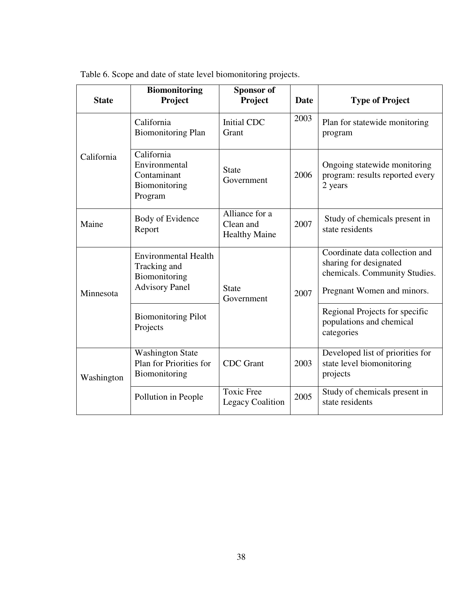| <b>State</b> | <b>Biomonitoring</b><br>Project                                                       | Sponsor of<br>Project                               | Date | <b>Type of Project</b>                                                                                                  |
|--------------|---------------------------------------------------------------------------------------|-----------------------------------------------------|------|-------------------------------------------------------------------------------------------------------------------------|
|              | California<br><b>Biomonitoring Plan</b>                                               | <b>Initial CDC</b><br>Grant                         | 2003 | Plan for statewide monitoring<br>program                                                                                |
| California   | California<br>Environmental<br>Contaminant<br>Biomonitoring<br>Program                | <b>State</b><br>Government                          | 2006 | Ongoing statewide monitoring<br>program: results reported every<br>2 years                                              |
| Maine        | Body of Evidence<br>Report                                                            | Alliance for a<br>Clean and<br><b>Healthy Maine</b> | 2007 | Study of chemicals present in<br>state residents                                                                        |
| Minnesota    | <b>Environmental Health</b><br>Tracking and<br>Biomonitoring<br><b>Advisory Panel</b> | <b>State</b><br>2007<br>Government                  |      | Coordinate data collection and<br>sharing for designated<br>chemicals. Community Studies.<br>Pregnant Women and minors. |
|              | <b>Biomonitoring Pilot</b><br>Projects                                                |                                                     |      | Regional Projects for specific<br>populations and chemical<br>categories                                                |
| Washington   | <b>Washington State</b><br>Plan for Priorities for<br>Biomonitoring                   | <b>CDC</b> Grant                                    | 2003 | Developed list of priorities for<br>state level biomonitoring<br>projects                                               |
|              | Pollution in People                                                                   | <b>Toxic Free</b><br><b>Legacy Coalition</b>        | 2005 | Study of chemicals present in<br>state residents                                                                        |

Table 6. Scope and date of state level biomonitoring projects.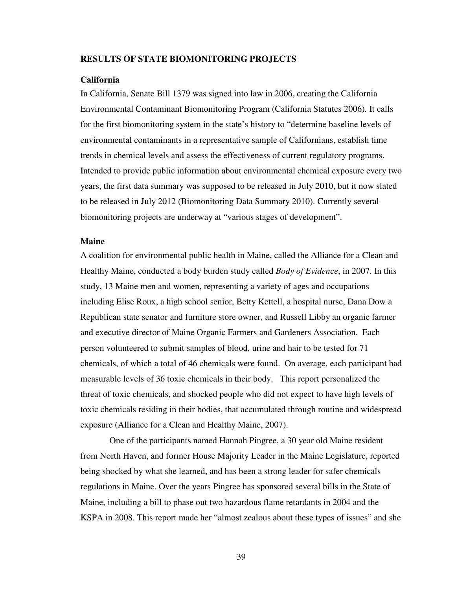### **RESULTS OF STATE BIOMONITORING PROJECTS**

### **California**

In California, Senate Bill 1379 was signed into law in 2006, creating the California Environmental Contaminant Biomonitoring Program (California Statutes 2006)*.* It calls for the first biomonitoring system in the state's history to "determine baseline levels of environmental contaminants in a representative sample of Californians, establish time trends in chemical levels and assess the effectiveness of current regulatory programs. Intended to provide public information about environmental chemical exposure every two years, the first data summary was supposed to be released in July 2010, but it now slated to be released in July 2012 (Biomonitoring Data Summary 2010). Currently several biomonitoring projects are underway at "various stages of development".

### **Maine**

A coalition for environmental public health in Maine, called the Alliance for a Clean and Healthy Maine, conducted a body burden study called *Body of Evidence*, in 2007. In this study, 13 Maine men and women, representing a variety of ages and occupations including Elise Roux, a high school senior, Betty Kettell, a hospital nurse, Dana Dow a Republican state senator and furniture store owner, and Russell Libby an organic farmer and executive director of Maine Organic Farmers and Gardeners Association. Each person volunteered to submit samples of blood, urine and hair to be tested for 71 chemicals, of which a total of 46 chemicals were found. On average, each participant had measurable levels of 36 toxic chemicals in their body. This report personalized the threat of toxic chemicals, and shocked people who did not expect to have high levels of toxic chemicals residing in their bodies, that accumulated through routine and widespread exposure (Alliance for a Clean and Healthy Maine, 2007).

 One of the participants named Hannah Pingree, a 30 year old Maine resident from North Haven, and former House Majority Leader in the Maine Legislature, reported being shocked by what she learned, and has been a strong leader for safer chemicals regulations in Maine. Over the years Pingree has sponsored several bills in the State of Maine, including a bill to phase out two hazardous flame retardants in 2004 and the KSPA in 2008. This report made her "almost zealous about these types of issues" and she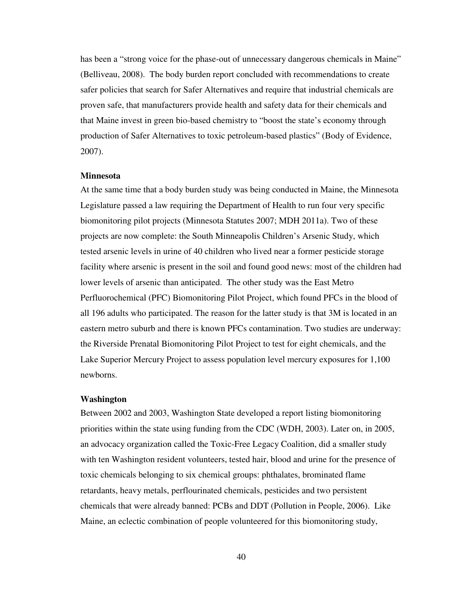has been a "strong voice for the phase-out of unnecessary dangerous chemicals in Maine" (Belliveau, 2008). The body burden report concluded with recommendations to create safer policies that search for Safer Alternatives and require that industrial chemicals are proven safe, that manufacturers provide health and safety data for their chemicals and that Maine invest in green bio-based chemistry to "boost the state's economy through production of Safer Alternatives to toxic petroleum-based plastics" (Body of Evidence, 2007).

### **Minnesota**

At the same time that a body burden study was being conducted in Maine, the Minnesota Legislature passed a law requiring the Department of Health to run four very specific biomonitoring pilot projects (Minnesota Statutes 2007; MDH 2011a). Two of these projects are now complete: the South Minneapolis Children's Arsenic Study, which tested arsenic levels in urine of 40 children who lived near a former pesticide storage facility where arsenic is present in the soil and found good news: most of the children had lower levels of arsenic than anticipated. The other study was the East Metro Perfluorochemical (PFC) Biomonitoring Pilot Project, which found PFCs in the blood of all 196 adults who participated. The reason for the latter study is that 3M is located in an eastern metro suburb and there is known PFCs contamination. Two studies are underway: the Riverside Prenatal Biomonitoring Pilot Project to test for eight chemicals, and the Lake Superior Mercury Project to assess population level mercury exposures for 1,100 newborns.

#### **Washington**

Between 2002 and 2003, Washington State developed a report listing biomonitoring priorities within the state using funding from the CDC (WDH, 2003). Later on, in 2005, an advocacy organization called the Toxic-Free Legacy Coalition, did a smaller study with ten Washington resident volunteers, tested hair, blood and urine for the presence of toxic chemicals belonging to six chemical groups: phthalates, brominated flame retardants, heavy metals, perflourinated chemicals, pesticides and two persistent chemicals that were already banned: PCBs and DDT (Pollution in People, 2006). Like Maine, an eclectic combination of people volunteered for this biomonitoring study,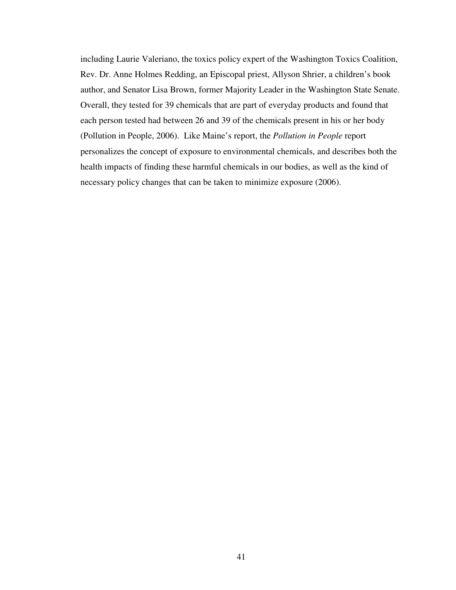including Laurie Valeriano, the toxics policy expert of the Washington Toxics Coalition, Rev. Dr. Anne Holmes Redding, an Episcopal priest, Allyson Shrier, a children's book author, and Senator Lisa Brown, former Majority Leader in the Washington State Senate. Overall, they tested for 39 chemicals that are part of everyday products and found that each person tested had between 26 and 39 of the chemicals present in his or her body (Pollution in People, 2006). Like Maine's report, the *Pollution in People* report personalizes the concept of exposure to environmental chemicals, and describes both the health impacts of finding these harmful chemicals in our bodies, as well as the kind of necessary policy changes that can be taken to minimize exposure (2006).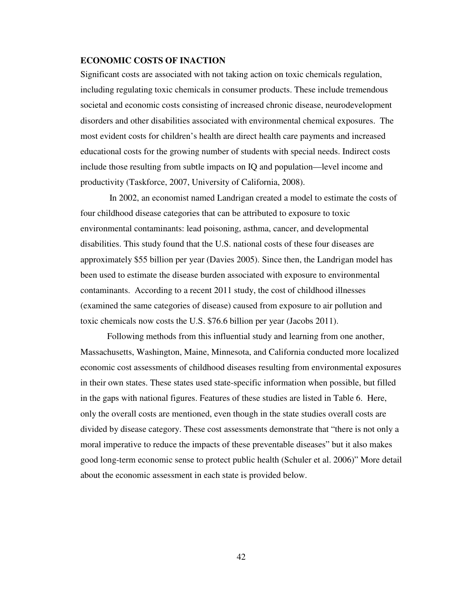# **ECONOMIC COSTS OF INACTION**

Significant costs are associated with not taking action on toxic chemicals regulation, including regulating toxic chemicals in consumer products. These include tremendous societal and economic costs consisting of increased chronic disease, neurodevelopment disorders and other disabilities associated with environmental chemical exposures. The most evident costs for children's health are direct health care payments and increased educational costs for the growing number of students with special needs. Indirect costs include those resulting from subtle impacts on IQ and population—level income and productivity (Taskforce, 2007, University of California, 2008).

 In 2002, an economist named Landrigan created a model to estimate the costs of four childhood disease categories that can be attributed to exposure to toxic environmental contaminants: lead poisoning, asthma, cancer, and developmental disabilities. This study found that the U.S. national costs of these four diseases are approximately \$55 billion per year (Davies 2005). Since then, the Landrigan model has been used to estimate the disease burden associated with exposure to environmental contaminants. According to a recent 2011 study, the cost of childhood illnesses (examined the same categories of disease) caused from exposure to air pollution and toxic chemicals now costs the U.S. \$76.6 billion per year (Jacobs 2011).

Following methods from this influential study and learning from one another, Massachusetts, Washington, Maine, Minnesota, and California conducted more localized economic cost assessments of childhood diseases resulting from environmental exposures in their own states. These states used state-specific information when possible, but filled in the gaps with national figures. Features of these studies are listed in Table 6. Here, only the overall costs are mentioned, even though in the state studies overall costs are divided by disease category. These cost assessments demonstrate that "there is not only a moral imperative to reduce the impacts of these preventable diseases" but it also makes good long-term economic sense to protect public health (Schuler et al. 2006)" More detail about the economic assessment in each state is provided below.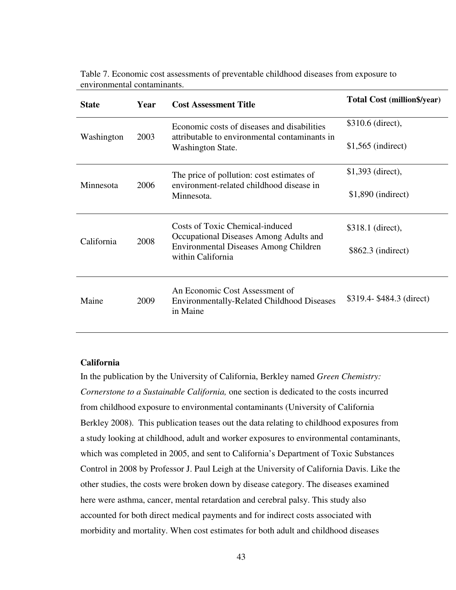| <b>State</b> | Year | <b>Cost Assessment Title</b>                                                                    | Total Cost (million\$/year) |
|--------------|------|-------------------------------------------------------------------------------------------------|-----------------------------|
| Washington   | 2003 | Economic costs of diseases and disabilities<br>attributable to environmental contaminants in    | \$310.6 (direct),           |
|              |      | Washington State.                                                                               | $$1,565$ (indirect)         |
| Minnesota    | 2006 | The price of pollution: cost estimates of<br>environment-related childhood disease in           | $$1,393$ (direct),          |
|              |      | Minnesota.                                                                                      | $$1,890$ (indirect)         |
| California   | 2008 | <b>Costs of Toxic Chemical-induced</b><br>Occupational Diseases Among Adults and                | \$318.1 (direct),           |
|              |      | Environmental Diseases Among Children<br>within California                                      | $$862.3$ (indirect)         |
| Maine        | 2009 | An Economic Cost Assessment of<br><b>Environmentally-Related Childhood Diseases</b><br>in Maine | \$319.4-\$484.3 (direct)    |

Table 7. Economic cost assessments of preventable childhood diseases from exposure to environmental contaminants.

# **California**

In the publication by the University of California, Berkley named *Green Chemistry: Cornerstone to a Sustainable California,* one section is dedicated to the costs incurred from childhood exposure to environmental contaminants (University of California Berkley 2008). This publication teases out the data relating to childhood exposures from a study looking at childhood, adult and worker exposures to environmental contaminants, which was completed in 2005, and sent to California's Department of Toxic Substances Control in 2008 by Professor J. Paul Leigh at the University of California Davis. Like the other studies, the costs were broken down by disease category. The diseases examined here were asthma, cancer, mental retardation and cerebral palsy. This study also accounted for both direct medical payments and for indirect costs associated with morbidity and mortality. When cost estimates for both adult and childhood diseases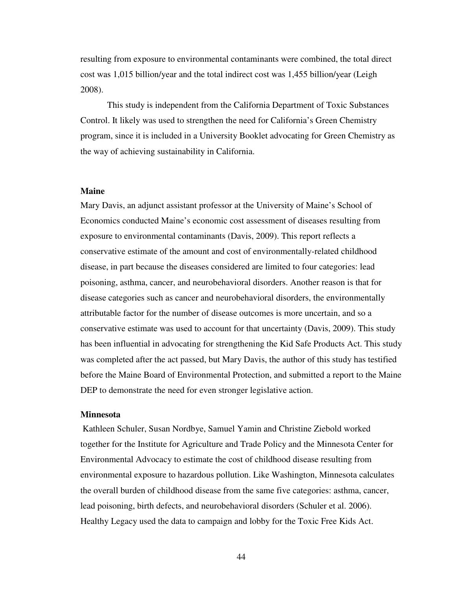resulting from exposure to environmental contaminants were combined, the total direct cost was 1,015 billion/year and the total indirect cost was 1,455 billion/year (Leigh 2008).

 This study is independent from the California Department of Toxic Substances Control. It likely was used to strengthen the need for California's Green Chemistry program, since it is included in a University Booklet advocating for Green Chemistry as the way of achieving sustainability in California.

### **Maine**

Mary Davis, an adjunct assistant professor at the University of Maine's School of Economics conducted Maine's economic cost assessment of diseases resulting from exposure to environmental contaminants (Davis, 2009). This report reflects a conservative estimate of the amount and cost of environmentally-related childhood disease, in part because the diseases considered are limited to four categories: lead poisoning, asthma, cancer, and neurobehavioral disorders. Another reason is that for disease categories such as cancer and neurobehavioral disorders, the environmentally attributable factor for the number of disease outcomes is more uncertain, and so a conservative estimate was used to account for that uncertainty (Davis, 2009). This study has been influential in advocating for strengthening the Kid Safe Products Act. This study was completed after the act passed, but Mary Davis, the author of this study has testified before the Maine Board of Environmental Protection, and submitted a report to the Maine DEP to demonstrate the need for even stronger legislative action.

### **Minnesota**

 Kathleen Schuler, Susan Nordbye, Samuel Yamin and Christine Ziebold worked together for the Institute for Agriculture and Trade Policy and the Minnesota Center for Environmental Advocacy to estimate the cost of childhood disease resulting from environmental exposure to hazardous pollution. Like Washington, Minnesota calculates the overall burden of childhood disease from the same five categories: asthma, cancer, lead poisoning, birth defects, and neurobehavioral disorders (Schuler et al. 2006). Healthy Legacy used the data to campaign and lobby for the Toxic Free Kids Act.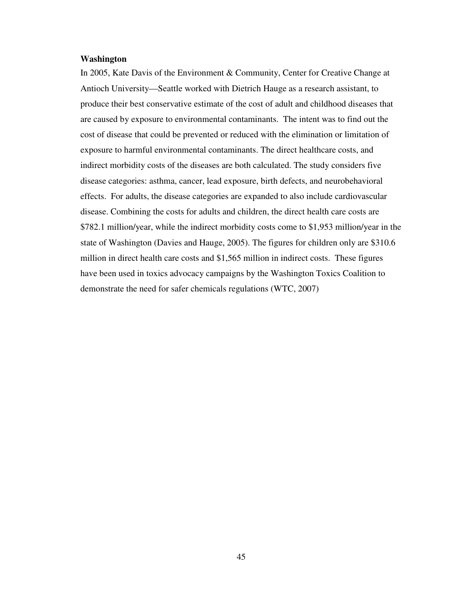### **Washington**

In 2005, Kate Davis of the Environment & Community, Center for Creative Change at Antioch University—Seattle worked with Dietrich Hauge as a research assistant, to produce their best conservative estimate of the cost of adult and childhood diseases that are caused by exposure to environmental contaminants. The intent was to find out the cost of disease that could be prevented or reduced with the elimination or limitation of exposure to harmful environmental contaminants. The direct healthcare costs, and indirect morbidity costs of the diseases are both calculated. The study considers five disease categories: asthma, cancer, lead exposure, birth defects, and neurobehavioral effects. For adults, the disease categories are expanded to also include cardiovascular disease. Combining the costs for adults and children, the direct health care costs are \$782.1 million/year, while the indirect morbidity costs come to \$1,953 million/year in the state of Washington (Davies and Hauge, 2005). The figures for children only are \$310.6 million in direct health care costs and \$1,565 million in indirect costs. These figures have been used in toxics advocacy campaigns by the Washington Toxics Coalition to demonstrate the need for safer chemicals regulations (WTC, 2007)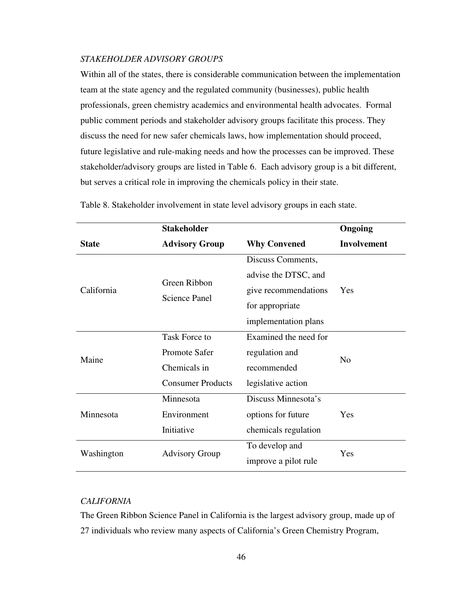### *STAKEHOLDER ADVISORY GROUPS*

Within all of the states, there is considerable communication between the implementation team at the state agency and the regulated community (businesses), public health professionals, green chemistry academics and environmental health advocates. Formal public comment periods and stakeholder advisory groups facilitate this process. They discuss the need for new safer chemicals laws, how implementation should proceed, future legislative and rule-making needs and how the processes can be improved. These stakeholder/advisory groups are listed in Table 6. Each advisory group is a bit different, but serves a critical role in improving the chemicals policy in their state.

|              | <b>Stakeholder</b>                   | Ongoing               |                    |  |
|--------------|--------------------------------------|-----------------------|--------------------|--|
| <b>State</b> | <b>Advisory Group</b>                | <b>Why Convened</b>   | <b>Involvement</b> |  |
| California   |                                      | Discuss Comments,     |                    |  |
|              | Green Ribbon<br><b>Science Panel</b> | advise the DTSC, and  | Yes                |  |
|              |                                      | give recommendations  |                    |  |
|              |                                      | for appropriate       |                    |  |
|              |                                      | implementation plans  |                    |  |
| Maine        | Task Force to                        | Examined the need for |                    |  |
|              | Promote Safer                        | regulation and        | N <sub>0</sub>     |  |
|              | Chemicals in                         | recommended           |                    |  |
|              | <b>Consumer Products</b>             | legislative action    |                    |  |
| Minnesota    | Minnesota                            | Discuss Minnesota's   |                    |  |
|              | Environment                          | options for future    | Yes                |  |
|              | Initiative                           | chemicals regulation  |                    |  |
| Washington   | <b>Advisory Group</b>                | To develop and        | Yes                |  |
|              |                                      | improve a pilot rule  |                    |  |

Table 8. Stakeholder involvement in state level advisory groups in each state.

# *CALIFORNIA*

The Green Ribbon Science Panel in California is the largest advisory group, made up of 27 individuals who review many aspects of California's Green Chemistry Program,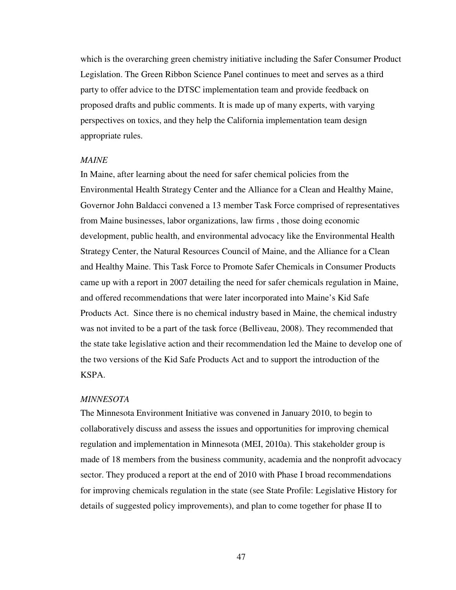which is the overarching green chemistry initiative including the Safer Consumer Product Legislation. The Green Ribbon Science Panel continues to meet and serves as a third party to offer advice to the DTSC implementation team and provide feedback on proposed drafts and public comments. It is made up of many experts, with varying perspectives on toxics, and they help the California implementation team design appropriate rules.

### *MAINE*

In Maine, after learning about the need for safer chemical policies from the Environmental Health Strategy Center and the Alliance for a Clean and Healthy Maine, Governor John Baldacci convened a 13 member Task Force comprised of representatives from Maine businesses, labor organizations, law firms , those doing economic development, public health, and environmental advocacy like the Environmental Health Strategy Center, the Natural Resources Council of Maine, and the Alliance for a Clean and Healthy Maine. This Task Force to Promote Safer Chemicals in Consumer Products came up with a report in 2007 detailing the need for safer chemicals regulation in Maine, and offered recommendations that were later incorporated into Maine's Kid Safe Products Act. Since there is no chemical industry based in Maine, the chemical industry was not invited to be a part of the task force (Belliveau, 2008). They recommended that the state take legislative action and their recommendation led the Maine to develop one of the two versions of the Kid Safe Products Act and to support the introduction of the KSPA.

#### *MINNESOTA*

The Minnesota Environment Initiative was convened in January 2010, to begin to collaboratively discuss and assess the issues and opportunities for improving chemical regulation and implementation in Minnesota (MEI, 2010a). This stakeholder group is made of 18 members from the business community, academia and the nonprofit advocacy sector. They produced a report at the end of 2010 with Phase I broad recommendations for improving chemicals regulation in the state (see State Profile: Legislative History for details of suggested policy improvements), and plan to come together for phase II to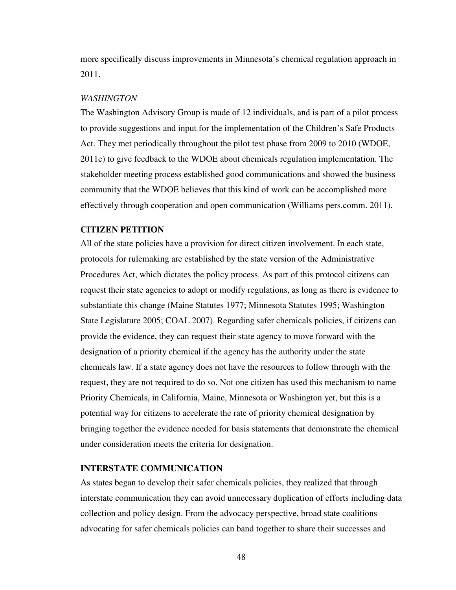more specifically discuss improvements in Minnesota's chemical regulation approach in 2011.

#### *WASHINGTON*

The Washington Advisory Group is made of 12 individuals, and is part of a pilot process to provide suggestions and input for the implementation of the Children's Safe Products Act. They met periodically throughout the pilot test phase from 2009 to 2010 (WDOE, 2011e) to give feedback to the WDOE about chemicals regulation implementation. The stakeholder meeting process established good communications and showed the business community that the WDOE believes that this kind of work can be accomplished more effectively through cooperation and open communication (Williams pers.comm. 2011).

### **CITIZEN PETITION**

All of the state policies have a provision for direct citizen involvement. In each state, protocols for rulemaking are established by the state version of the Administrative Procedures Act, which dictates the policy process. As part of this protocol citizens can request their state agencies to adopt or modify regulations, as long as there is evidence to substantiate this change (Maine Statutes 1977; Minnesota Statutes 1995; Washington State Legislature 2005; COAL 2007). Regarding safer chemicals policies, if citizens can provide the evidence, they can request their state agency to move forward with the designation of a priority chemical if the agency has the authority under the state chemicals law. If a state agency does not have the resources to follow through with the request, they are not required to do so. Not one citizen has used this mechanism to name Priority Chemicals, in California, Maine, Minnesota or Washington yet, but this is a potential way for citizens to accelerate the rate of priority chemical designation by bringing together the evidence needed for basis statements that demonstrate the chemical under consideration meets the criteria for designation.

### **INTERSTATE COMMUNICATION**

As states began to develop their safer chemicals policies, they realized that through interstate communication they can avoid unnecessary duplication of efforts including data collection and policy design. From the advocacy perspective, broad state coalitions advocating for safer chemicals policies can band together to share their successes and

48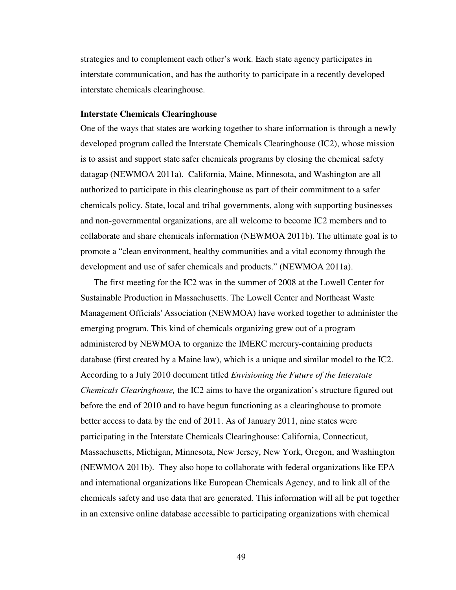strategies and to complement each other's work. Each state agency participates in interstate communication, and has the authority to participate in a recently developed interstate chemicals clearinghouse.

### **Interstate Chemicals Clearinghouse**

One of the ways that states are working together to share information is through a newly developed program called the Interstate Chemicals Clearinghouse (IC2), whose mission is to assist and support state safer chemicals programs by closing the chemical safety datagap (NEWMOA 2011a). California, Maine, Minnesota, and Washington are all authorized to participate in this clearinghouse as part of their commitment to a safer chemicals policy. State, local and tribal governments, along with supporting businesses and non-governmental organizations, are all welcome to become IC2 members and to collaborate and share chemicals information (NEWMOA 2011b). The ultimate goal is to promote a "clean environment, healthy communities and a vital economy through the development and use of safer chemicals and products." (NEWMOA 2011a).

The first meeting for the IC2 was in the summer of 2008 at the Lowell Center for Sustainable Production in Massachusetts. The Lowell Center and Northeast Waste Management Officials' Association (NEWMOA) have worked together to administer the emerging program. This kind of chemicals organizing grew out of a program administered by NEWMOA to organize the IMERC mercury-containing products database (first created by a Maine law), which is a unique and similar model to the IC2. According to a July 2010 document titled *Envisioning the Future of the Interstate Chemicals Clearinghouse,* the IC2 aims to have the organization's structure figured out before the end of 2010 and to have begun functioning as a clearinghouse to promote better access to data by the end of 2011. As of January 2011, nine states were participating in the Interstate Chemicals Clearinghouse: California, Connecticut, Massachusetts, Michigan, Minnesota, New Jersey, New York, Oregon, and Washington (NEWMOA 2011b). They also hope to collaborate with federal organizations like EPA and international organizations like European Chemicals Agency, and to link all of the chemicals safety and use data that are generated. This information will all be put together in an extensive online database accessible to participating organizations with chemical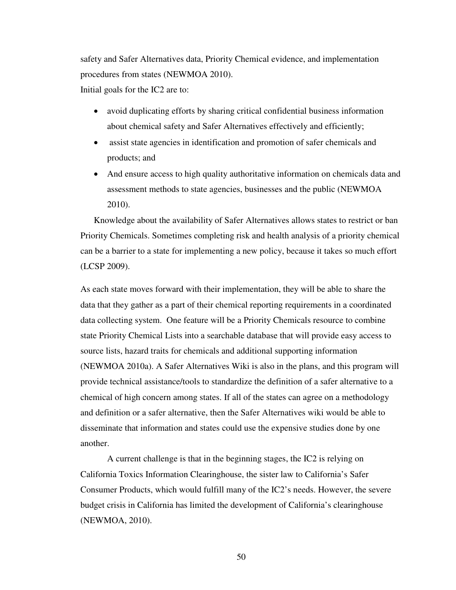safety and Safer Alternatives data, Priority Chemical evidence, and implementation procedures from states (NEWMOA 2010).

Initial goals for the IC2 are to:

- avoid duplicating efforts by sharing critical confidential business information about chemical safety and Safer Alternatives effectively and efficiently;
- assist state agencies in identification and promotion of safer chemicals and products; and
- And ensure access to high quality authoritative information on chemicals data and assessment methods to state agencies, businesses and the public (NEWMOA 2010).

Knowledge about the availability of Safer Alternatives allows states to restrict or ban Priority Chemicals. Sometimes completing risk and health analysis of a priority chemical can be a barrier to a state for implementing a new policy, because it takes so much effort (LCSP 2009).

As each state moves forward with their implementation, they will be able to share the data that they gather as a part of their chemical reporting requirements in a coordinated data collecting system. One feature will be a Priority Chemicals resource to combine state Priority Chemical Lists into a searchable database that will provide easy access to source lists, hazard traits for chemicals and additional supporting information (NEWMOA 2010a). A Safer Alternatives Wiki is also in the plans, and this program will provide technical assistance/tools to standardize the definition of a safer alternative to a chemical of high concern among states. If all of the states can agree on a methodology and definition or a safer alternative, then the Safer Alternatives wiki would be able to disseminate that information and states could use the expensive studies done by one another.

A current challenge is that in the beginning stages, the IC2 is relying on California Toxics Information Clearinghouse, the sister law to California's Safer Consumer Products, which would fulfill many of the IC2's needs. However, the severe budget crisis in California has limited the development of California's clearinghouse (NEWMOA, 2010).

50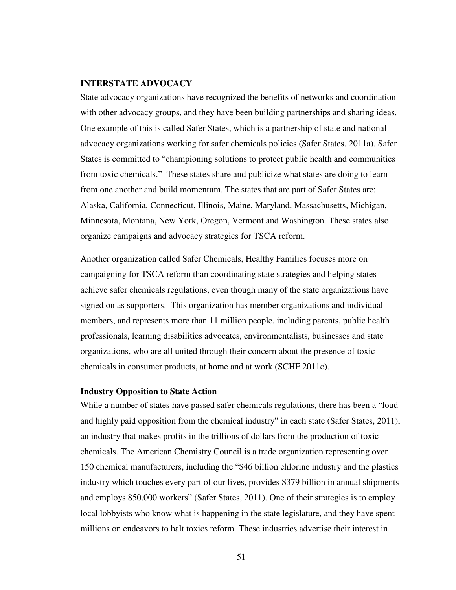#### **INTERSTATE ADVOCACY**

State advocacy organizations have recognized the benefits of networks and coordination with other advocacy groups, and they have been building partnerships and sharing ideas. One example of this is called Safer States, which is a partnership of state and national advocacy organizations working for safer chemicals policies (Safer States, 2011a). Safer States is committed to "championing solutions to protect public health and communities from toxic chemicals." These states share and publicize what states are doing to learn from one another and build momentum. The states that are part of Safer States are: Alaska, California, Connecticut, Illinois, Maine, Maryland, Massachusetts, Michigan, Minnesota, Montana, New York, Oregon, Vermont and Washington. These states also organize campaigns and advocacy strategies for TSCA reform.

Another organization called Safer Chemicals, Healthy Families focuses more on campaigning for TSCA reform than coordinating state strategies and helping states achieve safer chemicals regulations, even though many of the state organizations have signed on as supporters. This organization has member organizations and individual members, and represents more than 11 million people, including parents, public health professionals, learning disabilities advocates, environmentalists, businesses and state organizations, who are all united through their concern about the presence of toxic chemicals in consumer products, at home and at work (SCHF 2011c).

#### **Industry Opposition to State Action**

While a number of states have passed safer chemicals regulations, there has been a "loud and highly paid opposition from the chemical industry" in each state (Safer States, 2011), an industry that makes profits in the trillions of dollars from the production of toxic chemicals. The American Chemistry Council is a trade organization representing over 150 chemical manufacturers, including the "\$46 billion chlorine industry and the plastics industry which touches every part of our lives, provides \$379 billion in annual shipments and employs 850,000 workers" (Safer States, 2011). One of their strategies is to employ local lobbyists who know what is happening in the state legislature, and they have spent millions on endeavors to halt toxics reform. These industries advertise their interest in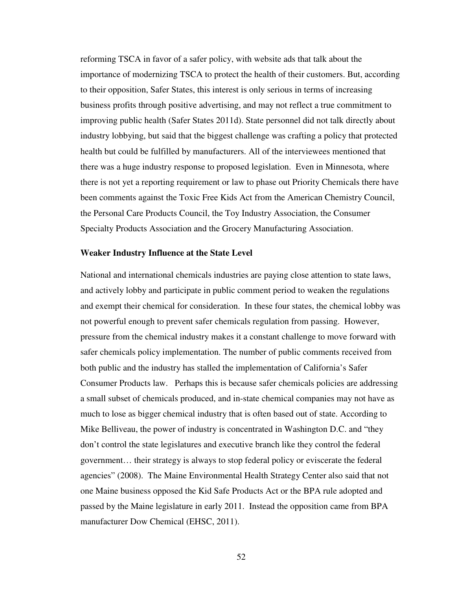reforming TSCA in favor of a safer policy, with website ads that talk about the importance of modernizing TSCA to protect the health of their customers. But, according to their opposition, Safer States, this interest is only serious in terms of increasing business profits through positive advertising, and may not reflect a true commitment to improving public health (Safer States 2011d). State personnel did not talk directly about industry lobbying, but said that the biggest challenge was crafting a policy that protected health but could be fulfilled by manufacturers. All of the interviewees mentioned that there was a huge industry response to proposed legislation. Even in Minnesota, where there is not yet a reporting requirement or law to phase out Priority Chemicals there have been comments against the Toxic Free Kids Act from the American Chemistry Council, the Personal Care Products Council, the Toy Industry Association, the Consumer Specialty Products Association and the Grocery Manufacturing Association.

#### **Weaker Industry Influence at the State Level**

National and international chemicals industries are paying close attention to state laws, and actively lobby and participate in public comment period to weaken the regulations and exempt their chemical for consideration. In these four states, the chemical lobby was not powerful enough to prevent safer chemicals regulation from passing. However, pressure from the chemical industry makes it a constant challenge to move forward with safer chemicals policy implementation. The number of public comments received from both public and the industry has stalled the implementation of California's Safer Consumer Products law. Perhaps this is because safer chemicals policies are addressing a small subset of chemicals produced, and in-state chemical companies may not have as much to lose as bigger chemical industry that is often based out of state. According to Mike Belliveau, the power of industry is concentrated in Washington D.C. and "they don't control the state legislatures and executive branch like they control the federal government… their strategy is always to stop federal policy or eviscerate the federal agencies" (2008). The Maine Environmental Health Strategy Center also said that not one Maine business opposed the Kid Safe Products Act or the BPA rule adopted and passed by the Maine legislature in early 2011. Instead the opposition came from BPA manufacturer Dow Chemical (EHSC, 2011).

52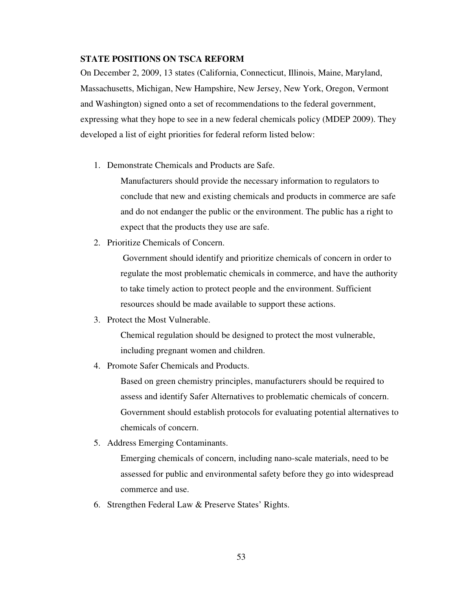### **STATE POSITIONS ON TSCA REFORM**

On December 2, 2009, 13 states (California, Connecticut, Illinois, Maine, Maryland, Massachusetts, Michigan, New Hampshire, New Jersey, New York, Oregon, Vermont and Washington) signed onto a set of recommendations to the federal government, expressing what they hope to see in a new federal chemicals policy (MDEP 2009). They developed a list of eight priorities for federal reform listed below:

1. Demonstrate Chemicals and Products are Safe.

Manufacturers should provide the necessary information to regulators to conclude that new and existing chemicals and products in commerce are safe and do not endanger the public or the environment. The public has a right to expect that the products they use are safe.

2. Prioritize Chemicals of Concern.

 Government should identify and prioritize chemicals of concern in order to regulate the most problematic chemicals in commerce, and have the authority to take timely action to protect people and the environment. Sufficient resources should be made available to support these actions.

3. Protect the Most Vulnerable.

Chemical regulation should be designed to protect the most vulnerable, including pregnant women and children.

4. Promote Safer Chemicals and Products.

Based on green chemistry principles, manufacturers should be required to assess and identify Safer Alternatives to problematic chemicals of concern. Government should establish protocols for evaluating potential alternatives to chemicals of concern.

5. Address Emerging Contaminants.

Emerging chemicals of concern, including nano-scale materials, need to be assessed for public and environmental safety before they go into widespread commerce and use.

6. Strengthen Federal Law & Preserve States' Rights.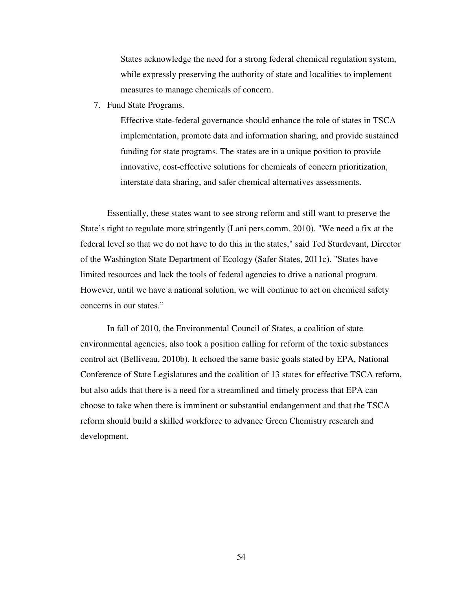States acknowledge the need for a strong federal chemical regulation system, while expressly preserving the authority of state and localities to implement measures to manage chemicals of concern.

7. Fund State Programs.

Effective state-federal governance should enhance the role of states in TSCA implementation, promote data and information sharing, and provide sustained funding for state programs. The states are in a unique position to provide innovative, cost-effective solutions for chemicals of concern prioritization, interstate data sharing, and safer chemical alternatives assessments.

Essentially, these states want to see strong reform and still want to preserve the State's right to regulate more stringently (Lani pers.comm. 2010). "We need a fix at the federal level so that we do not have to do this in the states," said Ted Sturdevant, Director of the Washington State Department of Ecology (Safer States, 2011c). "States have limited resources and lack the tools of federal agencies to drive a national program. However, until we have a national solution, we will continue to act on chemical safety concerns in our states."

In fall of 2010, the Environmental Council of States, a coalition of state environmental agencies, also took a position calling for reform of the toxic substances control act (Belliveau, 2010b). It echoed the same basic goals stated by EPA, National Conference of State Legislatures and the coalition of 13 states for effective TSCA reform, but also adds that there is a need for a streamlined and timely process that EPA can choose to take when there is imminent or substantial endangerment and that the TSCA reform should build a skilled workforce to advance Green Chemistry research and development.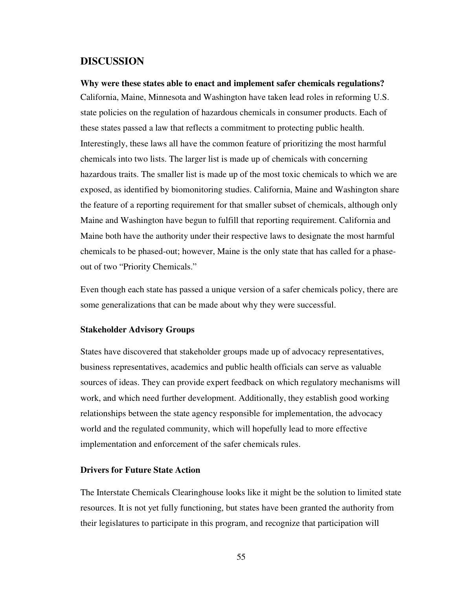# **DISCUSSION**

**Why were these states able to enact and implement safer chemicals regulations?**  California, Maine, Minnesota and Washington have taken lead roles in reforming U.S. state policies on the regulation of hazardous chemicals in consumer products. Each of these states passed a law that reflects a commitment to protecting public health. Interestingly, these laws all have the common feature of prioritizing the most harmful chemicals into two lists. The larger list is made up of chemicals with concerning hazardous traits. The smaller list is made up of the most toxic chemicals to which we are exposed, as identified by biomonitoring studies. California, Maine and Washington share the feature of a reporting requirement for that smaller subset of chemicals, although only Maine and Washington have begun to fulfill that reporting requirement. California and Maine both have the authority under their respective laws to designate the most harmful chemicals to be phased-out; however, Maine is the only state that has called for a phaseout of two "Priority Chemicals."

Even though each state has passed a unique version of a safer chemicals policy, there are some generalizations that can be made about why they were successful.

#### **Stakeholder Advisory Groups**

States have discovered that stakeholder groups made up of advocacy representatives, business representatives, academics and public health officials can serve as valuable sources of ideas. They can provide expert feedback on which regulatory mechanisms will work, and which need further development. Additionally, they establish good working relationships between the state agency responsible for implementation, the advocacy world and the regulated community, which will hopefully lead to more effective implementation and enforcement of the safer chemicals rules.

#### **Drivers for Future State Action**

The Interstate Chemicals Clearinghouse looks like it might be the solution to limited state resources. It is not yet fully functioning, but states have been granted the authority from their legislatures to participate in this program, and recognize that participation will

55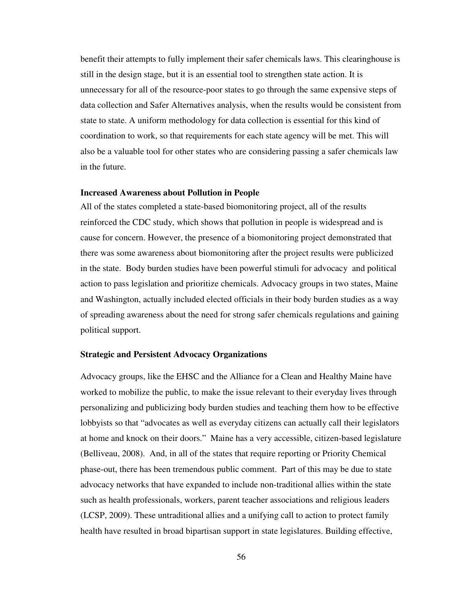benefit their attempts to fully implement their safer chemicals laws. This clearinghouse is still in the design stage, but it is an essential tool to strengthen state action. It is unnecessary for all of the resource-poor states to go through the same expensive steps of data collection and Safer Alternatives analysis, when the results would be consistent from state to state. A uniform methodology for data collection is essential for this kind of coordination to work, so that requirements for each state agency will be met. This will also be a valuable tool for other states who are considering passing a safer chemicals law in the future.

### **Increased Awareness about Pollution in People**

All of the states completed a state-based biomonitoring project, all of the results reinforced the CDC study, which shows that pollution in people is widespread and is cause for concern. However, the presence of a biomonitoring project demonstrated that there was some awareness about biomonitoring after the project results were publicized in the state. Body burden studies have been powerful stimuli for advocacy and political action to pass legislation and prioritize chemicals. Advocacy groups in two states, Maine and Washington, actually included elected officials in their body burden studies as a way of spreading awareness about the need for strong safer chemicals regulations and gaining political support.

#### **Strategic and Persistent Advocacy Organizations**

Advocacy groups, like the EHSC and the Alliance for a Clean and Healthy Maine have worked to mobilize the public, to make the issue relevant to their everyday lives through personalizing and publicizing body burden studies and teaching them how to be effective lobbyists so that "advocates as well as everyday citizens can actually call their legislators at home and knock on their doors." Maine has a very accessible, citizen-based legislature (Belliveau, 2008). And, in all of the states that require reporting or Priority Chemical phase-out, there has been tremendous public comment. Part of this may be due to state advocacy networks that have expanded to include non-traditional allies within the state such as health professionals, workers, parent teacher associations and religious leaders (LCSP, 2009). These untraditional allies and a unifying call to action to protect family health have resulted in broad bipartisan support in state legislatures. Building effective,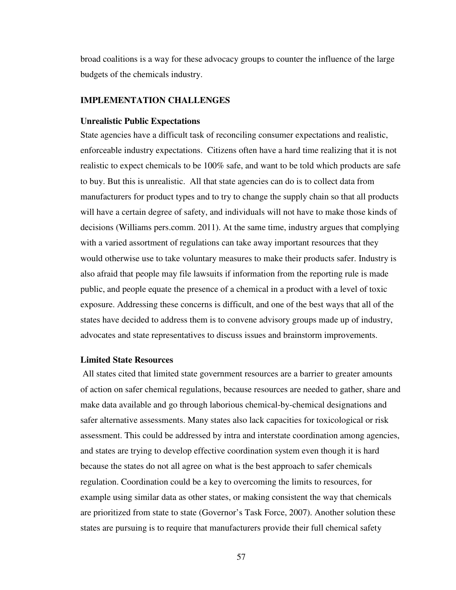broad coalitions is a way for these advocacy groups to counter the influence of the large budgets of the chemicals industry.

#### **IMPLEMENTATION CHALLENGES**

#### **Unrealistic Public Expectations**

State agencies have a difficult task of reconciling consumer expectations and realistic, enforceable industry expectations. Citizens often have a hard time realizing that it is not realistic to expect chemicals to be 100% safe, and want to be told which products are safe to buy. But this is unrealistic. All that state agencies can do is to collect data from manufacturers for product types and to try to change the supply chain so that all products will have a certain degree of safety, and individuals will not have to make those kinds of decisions (Williams pers.comm. 2011). At the same time, industry argues that complying with a varied assortment of regulations can take away important resources that they would otherwise use to take voluntary measures to make their products safer. Industry is also afraid that people may file lawsuits if information from the reporting rule is made public, and people equate the presence of a chemical in a product with a level of toxic exposure. Addressing these concerns is difficult, and one of the best ways that all of the states have decided to address them is to convene advisory groups made up of industry, advocates and state representatives to discuss issues and brainstorm improvements.

#### **Limited State Resources**

 All states cited that limited state government resources are a barrier to greater amounts of action on safer chemical regulations, because resources are needed to gather, share and make data available and go through laborious chemical-by-chemical designations and safer alternative assessments. Many states also lack capacities for toxicological or risk assessment. This could be addressed by intra and interstate coordination among agencies, and states are trying to develop effective coordination system even though it is hard because the states do not all agree on what is the best approach to safer chemicals regulation. Coordination could be a key to overcoming the limits to resources, for example using similar data as other states, or making consistent the way that chemicals are prioritized from state to state (Governor's Task Force, 2007). Another solution these states are pursuing is to require that manufacturers provide their full chemical safety

57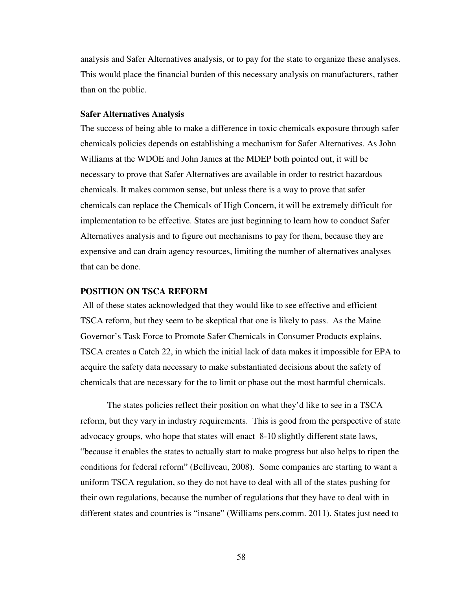analysis and Safer Alternatives analysis, or to pay for the state to organize these analyses. This would place the financial burden of this necessary analysis on manufacturers, rather than on the public.

#### **Safer Alternatives Analysis**

The success of being able to make a difference in toxic chemicals exposure through safer chemicals policies depends on establishing a mechanism for Safer Alternatives. As John Williams at the WDOE and John James at the MDEP both pointed out, it will be necessary to prove that Safer Alternatives are available in order to restrict hazardous chemicals. It makes common sense, but unless there is a way to prove that safer chemicals can replace the Chemicals of High Concern, it will be extremely difficult for implementation to be effective. States are just beginning to learn how to conduct Safer Alternatives analysis and to figure out mechanisms to pay for them, because they are expensive and can drain agency resources, limiting the number of alternatives analyses that can be done.

### **POSITION ON TSCA REFORM**

All of these states acknowledged that they would like to see effective and efficient TSCA reform, but they seem to be skeptical that one is likely to pass. As the Maine Governor's Task Force to Promote Safer Chemicals in Consumer Products explains, TSCA creates a Catch 22, in which the initial lack of data makes it impossible for EPA to acquire the safety data necessary to make substantiated decisions about the safety of chemicals that are necessary for the to limit or phase out the most harmful chemicals.

The states policies reflect their position on what they'd like to see in a TSCA reform, but they vary in industry requirements. This is good from the perspective of state advocacy groups, who hope that states will enact 8-10 slightly different state laws, "because it enables the states to actually start to make progress but also helps to ripen the conditions for federal reform" (Belliveau, 2008). Some companies are starting to want a uniform TSCA regulation, so they do not have to deal with all of the states pushing for their own regulations, because the number of regulations that they have to deal with in different states and countries is "insane" (Williams pers.comm. 2011). States just need to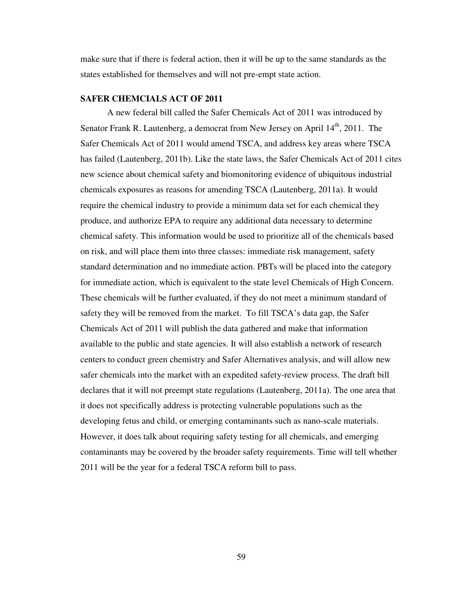make sure that if there is federal action, then it will be up to the same standards as the states established for themselves and will not pre-empt state action.

### **SAFER CHEMCIALS ACT OF 2011**

A new federal bill called the Safer Chemicals Act of 2011 was introduced by Senator Frank R. Lautenberg, a democrat from New Jersey on April  $14<sup>th</sup>$ , 2011. The Safer Chemicals Act of 2011 would amend TSCA, and address key areas where TSCA has failed (Lautenberg, 2011b). Like the state laws, the Safer Chemicals Act of 2011 cites new science about chemical safety and biomonitoring evidence of ubiquitous industrial chemicals exposures as reasons for amending TSCA (Lautenberg, 2011a). It would require the chemical industry to provide a minimum data set for each chemical they produce, and authorize EPA to require any additional data necessary to determine chemical safety. This information would be used to prioritize all of the chemicals based on risk, and will place them into three classes: immediate risk management, safety standard determination and no immediate action. PBTs will be placed into the category for immediate action, which is equivalent to the state level Chemicals of High Concern. These chemicals will be further evaluated, if they do not meet a minimum standard of safety they will be removed from the market. To fill TSCA's data gap, the Safer Chemicals Act of 2011 will publish the data gathered and make that information available to the public and state agencies. It will also establish a network of research centers to conduct green chemistry and Safer Alternatives analysis, and will allow new safer chemicals into the market with an expedited safety-review process. The draft bill declares that it will not preempt state regulations (Lautenberg, 2011a). The one area that it does not specifically address is protecting vulnerable populations such as the developing fetus and child, or emerging contaminants such as nano-scale materials. However, it does talk about requiring safety testing for all chemicals, and emerging contaminants may be covered by the broader safety requirements. Time will tell whether 2011 will be the year for a federal TSCA reform bill to pass.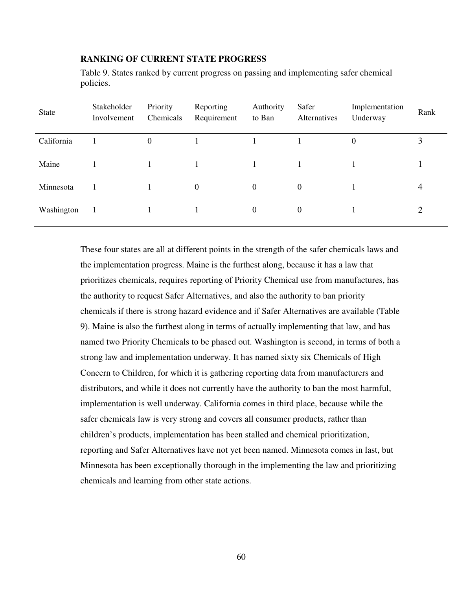## **RANKING OF CURRENT STATE PROGRESS**

Table 9. States ranked by current progress on passing and implementing safer chemical policies.

| State      | Stakeholder<br>Involvement | Priority<br>Chemicals | Reporting<br>Requirement | Authority<br>to Ban | Safer<br>Alternatives | Implementation<br>Underway | Rank |
|------------|----------------------------|-----------------------|--------------------------|---------------------|-----------------------|----------------------------|------|
| California |                            | $\Omega$              |                          |                     |                       | $\theta$                   | 3    |
| Maine      |                            |                       |                          |                     |                       |                            |      |
| Minnesota  |                            |                       | $\Omega$                 | $\Omega$            | $\theta$              |                            |      |
| Washington | - 1                        |                       |                          | $\theta$            | $\boldsymbol{0}$      |                            | 2    |

These four states are all at different points in the strength of the safer chemicals laws and the implementation progress. Maine is the furthest along, because it has a law that prioritizes chemicals, requires reporting of Priority Chemical use from manufactures, has the authority to request Safer Alternatives, and also the authority to ban priority chemicals if there is strong hazard evidence and if Safer Alternatives are available (Table 9). Maine is also the furthest along in terms of actually implementing that law, and has named two Priority Chemicals to be phased out. Washington is second, in terms of both a strong law and implementation underway. It has named sixty six Chemicals of High Concern to Children, for which it is gathering reporting data from manufacturers and distributors, and while it does not currently have the authority to ban the most harmful, implementation is well underway. California comes in third place, because while the safer chemicals law is very strong and covers all consumer products, rather than children's products, implementation has been stalled and chemical prioritization, reporting and Safer Alternatives have not yet been named. Minnesota comes in last, but Minnesota has been exceptionally thorough in the implementing the law and prioritizing chemicals and learning from other state actions.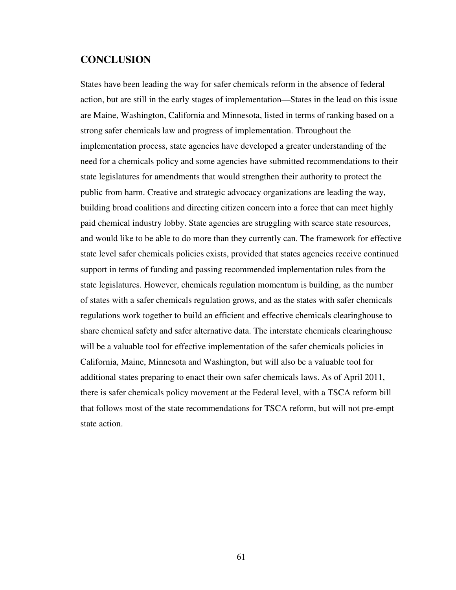# **CONCLUSION**

States have been leading the way for safer chemicals reform in the absence of federal action, but are still in the early stages of implementation—States in the lead on this issue are Maine, Washington, California and Minnesota, listed in terms of ranking based on a strong safer chemicals law and progress of implementation. Throughout the implementation process, state agencies have developed a greater understanding of the need for a chemicals policy and some agencies have submitted recommendations to their state legislatures for amendments that would strengthen their authority to protect the public from harm. Creative and strategic advocacy organizations are leading the way, building broad coalitions and directing citizen concern into a force that can meet highly paid chemical industry lobby. State agencies are struggling with scarce state resources, and would like to be able to do more than they currently can. The framework for effective state level safer chemicals policies exists, provided that states agencies receive continued support in terms of funding and passing recommended implementation rules from the state legislatures. However, chemicals regulation momentum is building, as the number of states with a safer chemicals regulation grows, and as the states with safer chemicals regulations work together to build an efficient and effective chemicals clearinghouse to share chemical safety and safer alternative data. The interstate chemicals clearinghouse will be a valuable tool for effective implementation of the safer chemicals policies in California, Maine, Minnesota and Washington, but will also be a valuable tool for additional states preparing to enact their own safer chemicals laws. As of April 2011, there is safer chemicals policy movement at the Federal level, with a TSCA reform bill that follows most of the state recommendations for TSCA reform, but will not pre-empt state action.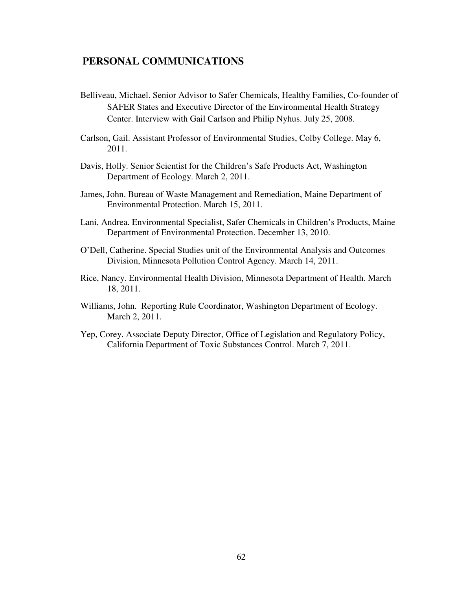# **PERSONAL COMMUNICATIONS**

- Belliveau, Michael. Senior Advisor to Safer Chemicals, Healthy Families, Co-founder of SAFER States and Executive Director of the Environmental Health Strategy Center. Interview with Gail Carlson and Philip Nyhus. July 25, 2008.
- Carlson, Gail. Assistant Professor of Environmental Studies, Colby College. May 6, 2011.
- Davis, Holly. Senior Scientist for the Children's Safe Products Act, Washington Department of Ecology. March 2, 2011.
- James, John. Bureau of Waste Management and Remediation, Maine Department of Environmental Protection. March 15, 2011.
- Lani, Andrea. Environmental Specialist, Safer Chemicals in Children's Products, Maine Department of Environmental Protection. December 13, 2010.
- O'Dell, Catherine. Special Studies unit of the Environmental Analysis and Outcomes Division, Minnesota Pollution Control Agency. March 14, 2011.
- Rice, Nancy. Environmental Health Division, Minnesota Department of Health. March 18, 2011.
- Williams, John. Reporting Rule Coordinator, Washington Department of Ecology. March 2, 2011.
- Yep, Corey. Associate Deputy Director, Office of Legislation and Regulatory Policy, California Department of Toxic Substances Control. March 7, 2011.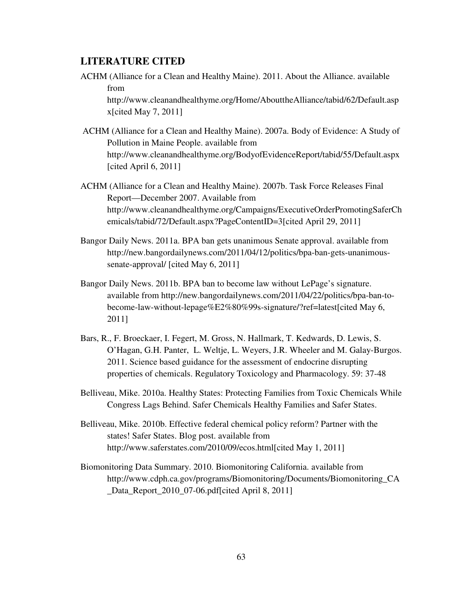# **LITERATURE CITED**

ACHM (Alliance for a Clean and Healthy Maine). 2011. About the Alliance. available from

http://www.cleanandhealthyme.org/Home/AbouttheAlliance/tabid/62/Default.asp x[cited May 7, 2011]

- ACHM (Alliance for a Clean and Healthy Maine). 2007a. Body of Evidence: A Study of Pollution in Maine People. available from http://www.cleanandhealthyme.org/BodyofEvidenceReport/tabid/55/Default.aspx [cited April 6, 2011]
- ACHM (Alliance for a Clean and Healthy Maine). 2007b. Task Force Releases Final Report—December 2007. Available from http://www.cleanandhealthyme.org/Campaigns/ExecutiveOrderPromotingSaferCh emicals/tabid/72/Default.aspx?PageContentID=3[cited April 29, 2011]
- Bangor Daily News. 2011a. BPA ban gets unanimous Senate approval. available from http://new.bangordailynews.com/2011/04/12/politics/bpa-ban-gets-unanimoussenate-approval/ [cited May 6, 2011]
- Bangor Daily News. 2011b. BPA ban to become law without LePage's signature. available from http://new.bangordailynews.com/2011/04/22/politics/bpa-ban-tobecome-law-without-lepage%E2%80%99s-signature/?ref=latest[cited May 6, 2011]
- Bars, R., F. Broeckaer, I. Fegert, M. Gross, N. Hallmark, T. Kedwards, D. Lewis, S. O'Hagan, G.H. Panter, L. Weltje, L. Weyers, J.R. Wheeler and M. Galay-Burgos. 2011. Science based guidance for the assessment of endocrine disrupting properties of chemicals. Regulatory Toxicology and Pharmacology. 59: 37-48
- Belliveau, Mike. 2010a. Healthy States: Protecting Families from Toxic Chemicals While Congress Lags Behind. Safer Chemicals Healthy Families and Safer States.
- Belliveau, Mike. 2010b. Effective federal chemical policy reform? Partner with the states! Safer States. Blog post. available from http://www.saferstates.com/2010/09/ecos.html[cited May 1, 2011]
- Biomonitoring Data Summary. 2010. Biomonitoring California. available from http://www.cdph.ca.gov/programs/Biomonitoring/Documents/Biomonitoring\_CA \_Data\_Report\_2010\_07-06.pdf[cited April 8, 2011]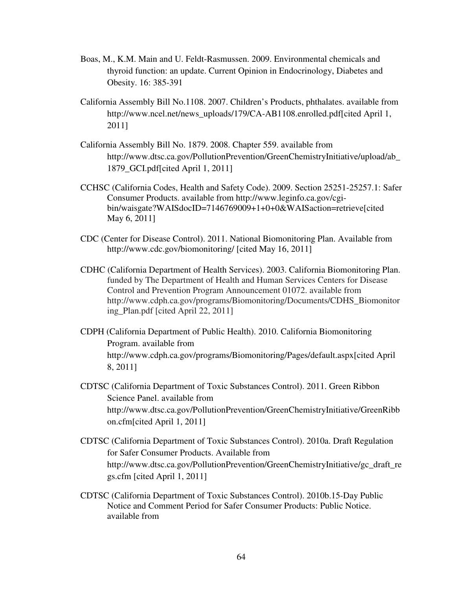- Boas, M., K.M. Main and U. Feldt-Rasmussen. 2009. Environmental chemicals and thyroid function: an update. Current Opinion in Endocrinology, Diabetes and Obesity. 16: 385-391
- California Assembly Bill No.1108. 2007. Children's Products, phthalates. available from http://www.ncel.net/news\_uploads/179/CA-AB1108.enrolled.pdf[cited April 1, 2011]
- California Assembly Bill No. 1879. 2008. Chapter 559. available from http://www.dtsc.ca.gov/PollutionPrevention/GreenChemistryInitiative/upload/ab\_ 1879\_GCI.pdf[cited April 1, 2011]
- CCHSC (California Codes, Health and Safety Code). 2009. Section 25251-25257.1: Safer Consumer Products. available from http://www.leginfo.ca.gov/cgibin/waisgate?WAISdocID=7146769009+1+0+0&WAISaction=retrieve[cited May 6, 2011]
- CDC (Center for Disease Control). 2011. National Biomonitoring Plan. Available from http://www.cdc.gov/biomonitoring/ [cited May 16, 2011]
- CDHC (California Department of Health Services). 2003. California Biomonitoring Plan. funded by The Department of Health and Human Services Centers for Disease Control and Prevention Program Announcement 01072. available from http://www.cdph.ca.gov/programs/Biomonitoring/Documents/CDHS\_Biomonitor ing\_Plan.pdf [cited April 22, 2011]
- CDPH (California Department of Public Health). 2010. California Biomonitoring Program. available from http://www.cdph.ca.gov/programs/Biomonitoring/Pages/default.aspx[cited April 8, 2011]
- CDTSC (California Department of Toxic Substances Control). 2011. Green Ribbon Science Panel. available from http://www.dtsc.ca.gov/PollutionPrevention/GreenChemistryInitiative/GreenRibb on.cfm[cited April 1, 2011]
- CDTSC (California Department of Toxic Substances Control). 2010a. Draft Regulation for Safer Consumer Products. Available from http://www.dtsc.ca.gov/PollutionPrevention/GreenChemistryInitiative/gc\_draft\_re gs.cfm [cited April 1, 2011]
- CDTSC (California Department of Toxic Substances Control). 2010b.15-Day Public Notice and Comment Period for Safer Consumer Products: Public Notice. available from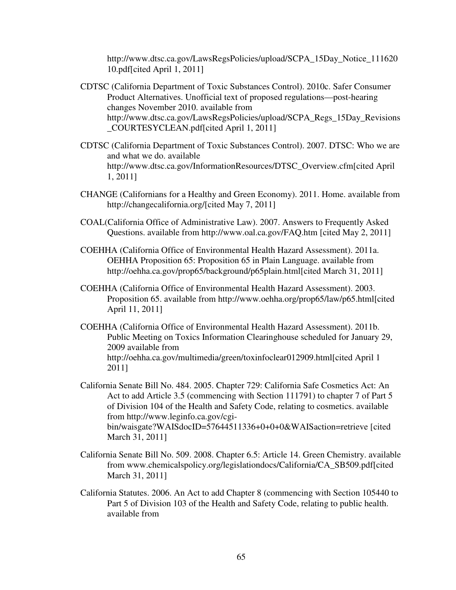http://www.dtsc.ca.gov/LawsRegsPolicies/upload/SCPA\_15Day\_Notice\_111620 10.pdf[cited April 1, 2011]

- CDTSC (California Department of Toxic Substances Control). 2010c. Safer Consumer Product Alternatives. Unofficial text of proposed regulations—post-hearing changes November 2010. available from http://www.dtsc.ca.gov/LawsRegsPolicies/upload/SCPA\_Regs\_15Day\_Revisions \_COURTESYCLEAN.pdf[cited April 1, 2011]
- CDTSC (California Department of Toxic Substances Control). 2007. DTSC: Who we are and what we do. available http://www.dtsc.ca.gov/InformationResources/DTSC\_Overview.cfm[cited April 1, 2011]
- CHANGE (Californians for a Healthy and Green Economy). 2011. Home. available from http://changecalifornia.org/[cited May 7, 2011]
- COAL(California Office of Administrative Law). 2007. Answers to Frequently Asked Questions. available from http://www.oal.ca.gov/FAQ.htm [cited May 2, 2011]
- COEHHA (California Office of Environmental Health Hazard Assessment). 2011a. OEHHA Proposition 65: Proposition 65 in Plain Language. available from http://oehha.ca.gov/prop65/background/p65plain.html[cited March 31, 2011]
- COEHHA (California Office of Environmental Health Hazard Assessment). 2003. Proposition 65. available from http://www.oehha.org/prop65/law/p65.html[cited April 11, 2011]
- COEHHA (California Office of Environmental Health Hazard Assessment). 2011b. Public Meeting on Toxics Information Clearinghouse scheduled for January 29, 2009 available from http://oehha.ca.gov/multimedia/green/toxinfoclear012909.html[cited April 1 2011]

California Senate Bill No. 484. 2005. Chapter 729: California Safe Cosmetics Act: An Act to add Article 3.5 (commencing with Section 111791) to chapter 7 of Part 5 of Division 104 of the Health and Safety Code, relating to cosmetics. available from http://www.leginfo.ca.gov/cgibin/waisgate?WAISdocID=57644511336+0+0+0&WAISaction=retrieve [cited March 31, 2011]

- California Senate Bill No. 509. 2008. Chapter 6.5: Article 14. Green Chemistry. available from www.chemicalspolicy.org/legislationdocs/California/CA\_SB509.pdf[cited March 31, 2011]
- California Statutes. 2006. An Act to add Chapter 8 (commencing with Section 105440 to Part 5 of Division 103 of the Health and Safety Code, relating to public health. available from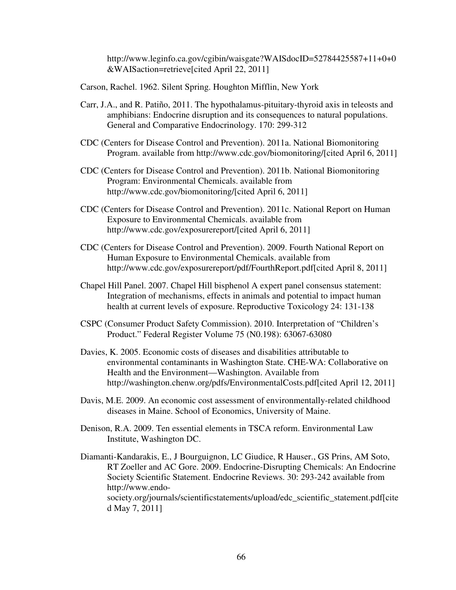http://www.leginfo.ca.gov/cgibin/waisgate?WAISdocID=52784425587+11+0+0 &WAISaction=retrieve[cited April 22, 2011]

- Carson, Rachel. 1962. Silent Spring. Houghton Mifflin, New York
- Carr, J.A., and R. Patiño, 2011. The hypothalamus-pituitary-thyroid axis in teleosts and amphibians: Endocrine disruption and its consequences to natural populations. General and Comparative Endocrinology. 170: 299-312
- CDC (Centers for Disease Control and Prevention). 2011a. National Biomonitoring Program. available from http://www.cdc.gov/biomonitoring/[cited April 6, 2011]
- CDC (Centers for Disease Control and Prevention). 2011b. National Biomonitoring Program: Environmental Chemicals. available from http://www.cdc.gov/biomonitoring/[cited April 6, 2011]
- CDC (Centers for Disease Control and Prevention). 2011c. National Report on Human Exposure to Environmental Chemicals. available from http://www.cdc.gov/exposurereport/[cited April 6, 2011]
- CDC (Centers for Disease Control and Prevention). 2009. Fourth National Report on Human Exposure to Environmental Chemicals. available from http://www.cdc.gov/exposurereport/pdf/FourthReport.pdf[cited April 8, 2011]
- Chapel Hill Panel. 2007. Chapel Hill bisphenol A expert panel consensus statement: Integration of mechanisms, effects in animals and potential to impact human health at current levels of exposure. Reproductive Toxicology 24: 131-138
- CSPC (Consumer Product Safety Commission). 2010. Interpretation of "Children's Product." Federal Register Volume 75 (N0.198): 63067-63080
- Davies, K. 2005. Economic costs of diseases and disabilities attributable to environmental contaminants in Washington State. CHE-WA: Collaborative on Health and the Environment—Washington. Available from http://washington.chenw.org/pdfs/EnvironmentalCosts.pdf[cited April 12, 2011]
- Davis, M.E. 2009. An economic cost assessment of environmentally-related childhood diseases in Maine. School of Economics, University of Maine.
- Denison, R.A. 2009. Ten essential elements in TSCA reform. Environmental Law Institute, Washington DC.
- Diamanti-Kandarakis, E., J Bourguignon, LC Giudice, R Hauser., GS Prins, AM Soto, RT Zoeller and AC Gore. 2009. Endocrine-Disrupting Chemicals: An Endocrine Society Scientific Statement. Endocrine Reviews. 30: 293-242 available from http://www.endosociety.org/journals/scientificstatements/upload/edc\_scientific\_statement.pdf[cite d May 7, 2011]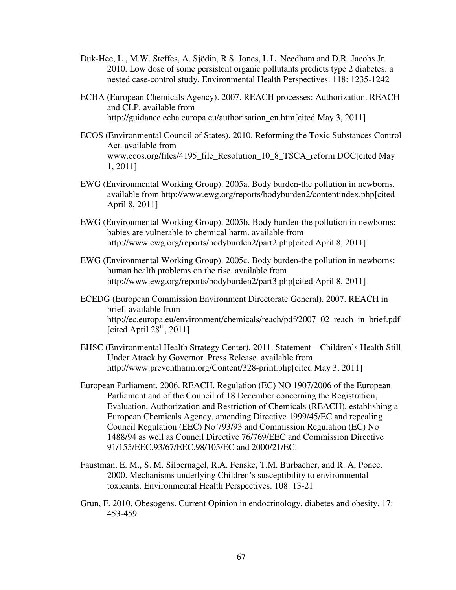- Duk-Hee, L., M.W. Steffes, A. Sjödin, R.S. Jones, L.L. Needham and D.R. Jacobs Jr. 2010. Low dose of some persistent organic pollutants predicts type 2 diabetes: a nested case-control study. Environmental Health Perspectives. 118: 1235-1242
- ECHA (European Chemicals Agency). 2007. REACH processes: Authorization. REACH and CLP. available from http://guidance.echa.europa.eu/authorisation\_en.htm[cited May 3, 2011]
- ECOS (Environmental Council of States). 2010. Reforming the Toxic Substances Control Act. available from www.ecos.org/files/4195\_file\_Resolution\_10\_8\_TSCA\_reform.DOC[cited May 1, 2011]
- EWG (Environmental Working Group). 2005a. Body burden-the pollution in newborns. available from http://www.ewg.org/reports/bodyburden2/contentindex.php[cited April 8, 2011]
- EWG (Environmental Working Group). 2005b. Body burden-the pollution in newborns: babies are vulnerable to chemical harm. available from http://www.ewg.org/reports/bodyburden2/part2.php[cited April 8, 2011]
- EWG (Environmental Working Group). 2005c. Body burden-the pollution in newborns: human health problems on the rise. available from http://www.ewg.org/reports/bodyburden2/part3.php[cited April 8, 2011]
- ECEDG (European Commission Environment Directorate General). 2007. REACH in brief. available from http://ec.europa.eu/environment/chemicals/reach/pdf/2007\_02\_reach\_in\_brief.pdf [cited April  $28<sup>th</sup>$ , 2011]
- EHSC (Environmental Health Strategy Center). 2011. Statement—Children's Health Still Under Attack by Governor. Press Release. available from http://www.preventharm.org/Content/328-print.php[cited May 3, 2011]
- European Parliament. 2006. REACH. Regulation (EC) NO 1907/2006 of the European Parliament and of the Council of 18 December concerning the Registration, Evaluation, Authorization and Restriction of Chemicals (REACH), establishing a European Chemicals Agency, amending Directive 1999/45/EC and repealing Council Regulation (EEC) No 793/93 and Commission Regulation (EC) No 1488/94 as well as Council Directive 76/769/EEC and Commission Directive 91/155/EEC.93/67/EEC.98/105/EC and 2000/21/EC.
- Faustman, E. M., S. M. Silbernagel, R.A. Fenske, T.M. Burbacher, and R. A, Ponce. 2000. Mechanisms underlying Children's susceptibility to environmental toxicants. Environmental Health Perspectives. 108: 13-21
- Grün, F. 2010. Obesogens. Current Opinion in endocrinology, diabetes and obesity. 17: 453-459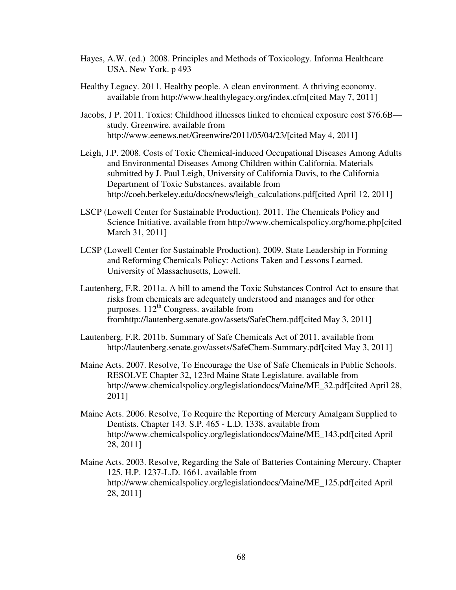- Hayes, A.W. (ed.) 2008. Principles and Methods of Toxicology. Informa Healthcare USA. New York. p 493
- Healthy Legacy. 2011. Healthy people. A clean environment. A thriving economy. available from http://www.healthylegacy.org/index.cfm[cited May 7, 2011]
- Jacobs, J P. 2011. Toxics: Childhood illnesses linked to chemical exposure cost \$76.6B study. Greenwire. available from http://www.eenews.net/Greenwire/2011/05/04/23/[cited May 4, 2011]
- Leigh, J.P. 2008. Costs of Toxic Chemical-induced Occupational Diseases Among Adults and Environmental Diseases Among Children within California. Materials submitted by J. Paul Leigh, University of California Davis, to the California Department of Toxic Substances. available from http://coeh.berkeley.edu/docs/news/leigh\_calculations.pdf[cited April 12, 2011]
- LSCP (Lowell Center for Sustainable Production). 2011. The Chemicals Policy and Science Initiative. available from http://www.chemicalspolicy.org/home.php[cited March 31, 2011]
- LCSP (Lowell Center for Sustainable Production). 2009. State Leadership in Forming and Reforming Chemicals Policy: Actions Taken and Lessons Learned. University of Massachusetts, Lowell.
- Lautenberg, F.R. 2011a. A bill to amend the Toxic Substances Control Act to ensure that risks from chemicals are adequately understood and manages and for other purposes.  $112^{th}$  Congress. available from fromhttp://lautenberg.senate.gov/assets/SafeChem.pdf[cited May 3, 2011]
- Lautenberg. F.R. 2011b. Summary of Safe Chemicals Act of 2011. available from http://lautenberg.senate.gov/assets/SafeChem-Summary.pdf[cited May 3, 2011]
- Maine Acts. 2007. Resolve, To Encourage the Use of Safe Chemicals in Public Schools. RESOLVE Chapter 32, 123rd Maine State Legislature. available from http://www.chemicalspolicy.org/legislationdocs/Maine/ME\_32.pdf[cited April 28, 2011]
- Maine Acts. 2006. Resolve, To Require the Reporting of Mercury Amalgam Supplied to Dentists. Chapter 143. S.P. 465 - L.D. 1338. available from http://www.chemicalspolicy.org/legislationdocs/Maine/ME\_143.pdf[cited April 28, 2011]
- Maine Acts. 2003. Resolve, Regarding the Sale of Batteries Containing Mercury. Chapter 125, H.P. 1237-L.D. 1661. available from http://www.chemicalspolicy.org/legislationdocs/Maine/ME\_125.pdf[cited April 28, 2011]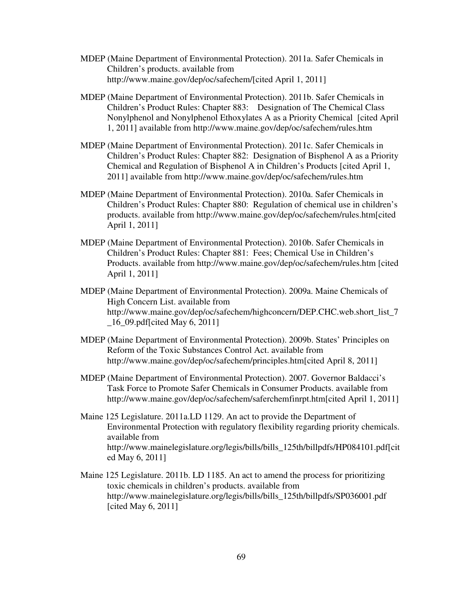- MDEP (Maine Department of Environmental Protection). 2011a. Safer Chemicals in Children's products. available from http://www.maine.gov/dep/oc/safechem/[cited April 1, 2011]
- MDEP (Maine Department of Environmental Protection). 2011b. Safer Chemicals in Children's Product Rules: Chapter 883: Designation of The Chemical Class Nonylphenol and Nonylphenol Ethoxylates A as a Priority Chemical [cited April 1, 2011] available from http://www.maine.gov/dep/oc/safechem/rules.htm
- MDEP (Maine Department of Environmental Protection). 2011c. Safer Chemicals in Children's Product Rules: Chapter 882: Designation of Bisphenol A as a Priority Chemical and Regulation of Bisphenol A in Children's Products [cited April 1, 2011] available from http://www.maine.gov/dep/oc/safechem/rules.htm
- MDEP (Maine Department of Environmental Protection). 2010a. Safer Chemicals in Children's Product Rules: Chapter 880: Regulation of chemical use in children's products. available from http://www.maine.gov/dep/oc/safechem/rules.htm[cited April 1, 2011]
- MDEP (Maine Department of Environmental Protection). 2010b. Safer Chemicals in Children's Product Rules: Chapter 881: Fees; Chemical Use in Children's Products. available from http://www.maine.gov/dep/oc/safechem/rules.htm [cited April 1, 2011]
- MDEP (Maine Department of Environmental Protection). 2009a. Maine Chemicals of High Concern List. available from http://www.maine.gov/dep/oc/safechem/highconcern/DEP.CHC.web.short\_list\_7 \_16\_09.pdf[cited May 6, 2011]
- MDEP (Maine Department of Environmental Protection). 2009b. States' Principles on Reform of the Toxic Substances Control Act. available from http://www.maine.gov/dep/oc/safechem/principles.htm[cited April 8, 2011]
- MDEP (Maine Department of Environmental Protection). 2007. Governor Baldacci's Task Force to Promote Safer Chemicals in Consumer Products. available from http://www.maine.gov/dep/oc/safechem/saferchemfinrpt.htm[cited April 1, 2011]
- Maine 125 Legislature. 2011a.LD 1129. An act to provide the Department of Environmental Protection with regulatory flexibility regarding priority chemicals. available from http://www.mainelegislature.org/legis/bills/bills\_125th/billpdfs/HP084101.pdf[cit ed May 6, 2011]
- Maine 125 Legislature. 2011b. LD 1185. An act to amend the process for prioritizing toxic chemicals in children's products. available from http://www.mainelegislature.org/legis/bills/bills\_125th/billpdfs/SP036001.pdf [cited May 6, 2011]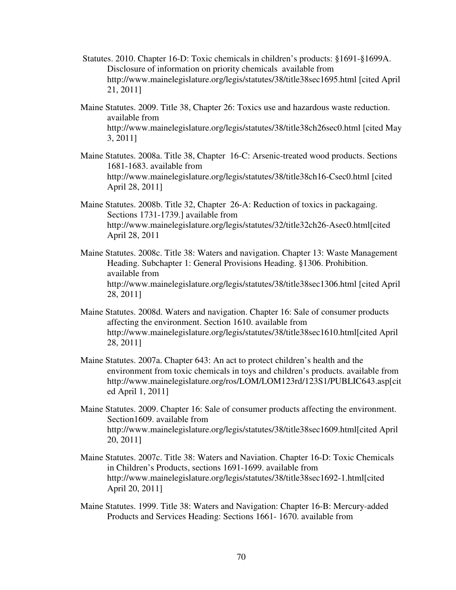- Statutes. 2010. Chapter 16-D: Toxic chemicals in children's products: §1691-§1699A. Disclosure of information on priority chemicals available from http://www.mainelegislature.org/legis/statutes/38/title38sec1695.html [cited April 21, 2011]
- Maine Statutes. 2009. Title 38, Chapter 26: Toxics use and hazardous waste reduction. available from http://www.mainelegislature.org/legis/statutes/38/title38ch26sec0.html [cited May 3, 2011]
- Maine Statutes. 2008a. Title 38, Chapter 16-C: Arsenic-treated wood products. Sections 1681-1683. available from http://www.mainelegislature.org/legis/statutes/38/title38ch16-Csec0.html [cited April 28, 2011]
- Maine Statutes. 2008b. Title 32, Chapter 26-A: Reduction of toxics in packagaing. Sections 1731-1739.] available from http://www.mainelegislature.org/legis/statutes/32/title32ch26-Asec0.html[cited April 28, 2011
- Maine Statutes. 2008c. Title 38: Waters and navigation. Chapter 13: Waste Management Heading. Subchapter 1: General Provisions Heading. §1306. Prohibition. available from http://www.mainelegislature.org/legis/statutes/38/title38sec1306.html [cited April 28, 2011]
- Maine Statutes. 2008d. Waters and navigation. Chapter 16: Sale of consumer products affecting the environment. Section 1610. available from http://www.mainelegislature.org/legis/statutes/38/title38sec1610.html[cited April 28, 2011]
- Maine Statutes. 2007a. Chapter 643: An act to protect children's health and the environment from toxic chemicals in toys and children's products. available from http://www.mainelegislature.org/ros/LOM/LOM123rd/123S1/PUBLIC643.asp[cit ed April 1, 2011]
- Maine Statutes. 2009. Chapter 16: Sale of consumer products affecting the environment. Section1609. available from http://www.mainelegislature.org/legis/statutes/38/title38sec1609.html[cited April 20, 2011]
- Maine Statutes. 2007c. Title 38: Waters and Naviation. Chapter 16-D: Toxic Chemicals in Children's Products, sections 1691-1699. available from http://www.mainelegislature.org/legis/statutes/38/title38sec1692-1.html[cited April 20, 2011]
- Maine Statutes. 1999. Title 38: Waters and Navigation: Chapter 16-B: Mercury-added Products and Services Heading: Sections 1661- 1670. available from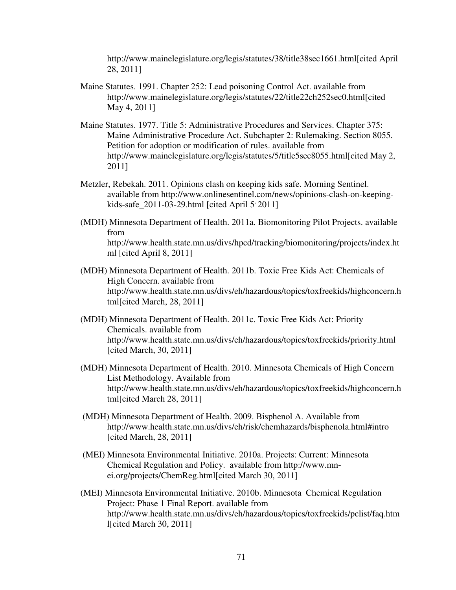http://www.mainelegislature.org/legis/statutes/38/title38sec1661.html[cited April 28, 2011]

- Maine Statutes. 1991. Chapter 252: Lead poisoning Control Act. available from http://www.mainelegislature.org/legis/statutes/22/title22ch252sec0.html[cited May 4, 2011]
- Maine Statutes. 1977. Title 5: Administrative Procedures and Services. Chapter 375: Maine Administrative Procedure Act. Subchapter 2: Rulemaking. Section 8055. Petition for adoption or modification of rules. available from http://www.mainelegislature.org/legis/statutes/5/title5sec8055.html[cited May 2, 2011]
- Metzler, Rebekah. 2011. Opinions clash on keeping kids safe. Morning Sentinel. available from http://www.onlinesentinel.com/news/opinions-clash-on-keepingkids-safe\_2011-03-29.html [cited April 5' 2011]
- (MDH) Minnesota Department of Health. 2011a. Biomonitoring Pilot Projects. available from http://www.health.state.mn.us/divs/hpcd/tracking/biomonitoring/projects/index.ht ml [cited April 8, 2011]
- (MDH) Minnesota Department of Health. 2011b. Toxic Free Kids Act: Chemicals of High Concern. available from http://www.health.state.mn.us/divs/eh/hazardous/topics/toxfreekids/highconcern.h tml[cited March, 28, 2011]
- (MDH) Minnesota Department of Health. 2011c. Toxic Free Kids Act: Priority Chemicals. available from http://www.health.state.mn.us/divs/eh/hazardous/topics/toxfreekids/priority.html [cited March, 30, 2011]
- (MDH) Minnesota Department of Health. 2010. Minnesota Chemicals of High Concern List Methodology. Available from http://www.health.state.mn.us/divs/eh/hazardous/topics/toxfreekids/highconcern.h tml[cited March 28, 2011]
- (MDH) Minnesota Department of Health. 2009. Bisphenol A. Available from http://www.health.state.mn.us/divs/eh/risk/chemhazards/bisphenola.html#intro [cited March, 28, 2011]
- (MEI) Minnesota Environmental Initiative. 2010a. Projects: Current: Minnesota Chemical Regulation and Policy. available from http://www.mnei.org/projects/ChemReg.html[cited March 30, 2011]
- (MEI) Minnesota Environmental Initiative. 2010b. Minnesota Chemical Regulation Project: Phase 1 Final Report. available from http://www.health.state.mn.us/divs/eh/hazardous/topics/toxfreekids/pclist/faq.htm l[cited March 30, 2011]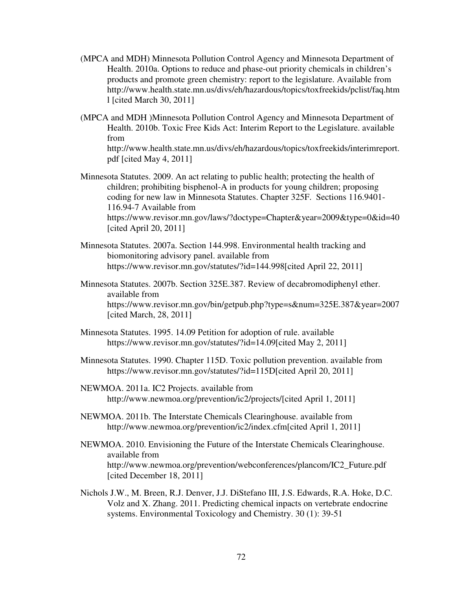- (MPCA and MDH) Minnesota Pollution Control Agency and Minnesota Department of Health. 2010a. Options to reduce and phase-out priority chemicals in children's products and promote green chemistry: report to the legislature. Available from http://www.health.state.mn.us/divs/eh/hazardous/topics/toxfreekids/pclist/faq.htm l [cited March 30, 2011]
- (MPCA and MDH )Minnesota Pollution Control Agency and Minnesota Department of Health. 2010b. Toxic Free Kids Act: Interim Report to the Legislature. available from

http://www.health.state.mn.us/divs/eh/hazardous/topics/toxfreekids/interimreport. pdf [cited May 4, 2011]

Minnesota Statutes. 2009. An act relating to public health; protecting the health of children; prohibiting bisphenol-A in products for young children; proposing coding for new law in Minnesota Statutes. Chapter 325F. Sections 116.9401- 116.94-7 Available from

https://www.revisor.mn.gov/laws/?doctype=Chapter&year=2009&type=0&id=40 [cited April 20, 2011]

- Minnesota Statutes. 2007a. Section 144.998. Environmental health tracking and biomonitoring advisory panel. available from https://www.revisor.mn.gov/statutes/?id=144.998[cited April 22, 2011]
- Minnesota Statutes. 2007b. Section 325E.387. Review of decabromodiphenyl ether. available from https://www.revisor.mn.gov/bin/getpub.php?type=s&num=325E.387&year=2007 [cited March, 28, 2011]
- Minnesota Statutes. 1995. 14.09 Petition for adoption of rule. available https://www.revisor.mn.gov/statutes/?id=14.09[cited May 2, 2011]
- Minnesota Statutes. 1990. Chapter 115D. Toxic pollution prevention. available from https://www.revisor.mn.gov/statutes/?id=115D[cited April 20, 2011]
- NEWMOA. 2011a. IC2 Projects. available from http://www.newmoa.org/prevention/ic2/projects/[cited April 1, 2011]
- NEWMOA. 2011b. The Interstate Chemicals Clearinghouse. available from http://www.newmoa.org/prevention/ic2/index.cfm[cited April 1, 2011]
- NEWMOA. 2010. Envisioning the Future of the Interstate Chemicals Clearinghouse. available from http://www.newmoa.org/prevention/webconferences/plancom/IC2\_Future.pdf [cited December 18, 2011]
- Nichols J.W., M. Breen, R.J. Denver, J.J. DiStefano III, J.S. Edwards, R.A. Hoke, D.C. Volz and X. Zhang. 2011. Predicting chemical inpacts on vertebrate endocrine systems. Environmental Toxicology and Chemistry. 30 (1): 39-51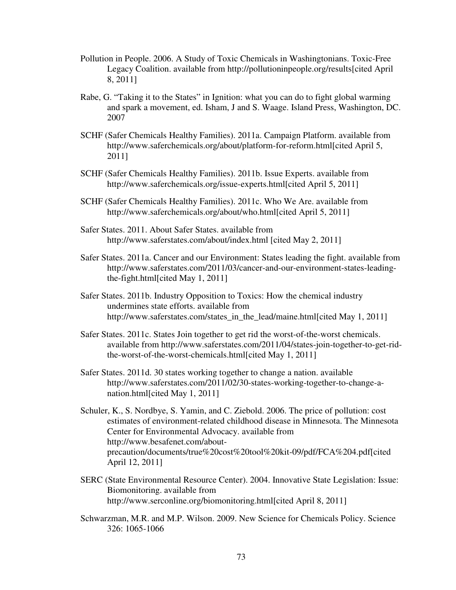- Pollution in People. 2006. A Study of Toxic Chemicals in Washingtonians. Toxic-Free Legacy Coalition. available from http://pollutioninpeople.org/results[cited April 8, 2011]
- Rabe, G. "Taking it to the States" in Ignition: what you can do to fight global warming and spark a movement, ed. Isham, J and S. Waage. Island Press, Washington, DC. 2007
- SCHF (Safer Chemicals Healthy Families). 2011a. Campaign Platform. available from http://www.saferchemicals.org/about/platform-for-reform.html[cited April 5, 2011]
- SCHF (Safer Chemicals Healthy Families). 2011b. Issue Experts. available from http://www.saferchemicals.org/issue-experts.html[cited April 5, 2011]
- SCHF (Safer Chemicals Healthy Families). 2011c. Who We Are. available from http://www.saferchemicals.org/about/who.html[cited April 5, 2011]
- Safer States. 2011. About Safer States. available from http://www.saferstates.com/about/index.html [cited May 2, 2011]
- Safer States. 2011a. Cancer and our Environment: States leading the fight. available from http://www.saferstates.com/2011/03/cancer-and-our-environment-states-leadingthe-fight.html[cited May 1, 2011]
- Safer States. 2011b. Industry Opposition to Toxics: How the chemical industry undermines state efforts. available from http://www.saferstates.com/states\_in\_the\_lead/maine.html[cited May 1, 2011]
- Safer States. 2011c. States Join together to get rid the worst-of-the-worst chemicals. available from http://www.saferstates.com/2011/04/states-join-together-to-get-ridthe-worst-of-the-worst-chemicals.html[cited May 1, 2011]
- Safer States. 2011d. 30 states working together to change a nation. available http://www.saferstates.com/2011/02/30-states-working-together-to-change-anation.html[cited May 1, 2011]
- Schuler, K., S. Nordbye, S. Yamin, and C. Ziebold. 2006. The price of pollution: cost estimates of environment-related childhood disease in Minnesota. The Minnesota Center for Environmental Advocacy. available from http://www.besafenet.com/aboutprecaution/documents/true%20cost%20tool%20kit-09/pdf/FCA%204.pdf[cited April 12, 2011]
- SERC (State Environmental Resource Center). 2004. Innovative State Legislation: Issue: Biomonitoring. available from http://www.serconline.org/biomonitoring.html[cited April 8, 2011]
- Schwarzman, M.R. and M.P. Wilson. 2009. New Science for Chemicals Policy. Science 326: 1065-1066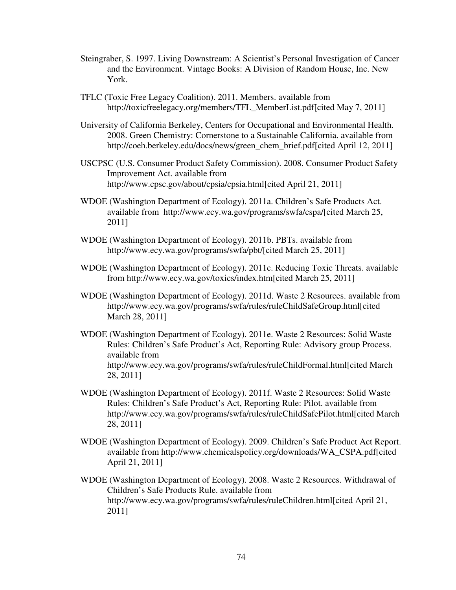- Steingraber, S. 1997. Living Downstream: A Scientist's Personal Investigation of Cancer and the Environment. Vintage Books: A Division of Random House, Inc. New York.
- TFLC (Toxic Free Legacy Coalition). 2011. Members. available from http://toxicfreelegacy.org/members/TFL\_MemberList.pdf[cited May 7, 2011]
- University of California Berkeley, Centers for Occupational and Environmental Health. 2008. Green Chemistry: Cornerstone to a Sustainable California. available from http://coeh.berkeley.edu/docs/news/green\_chem\_brief.pdf[cited April 12, 2011]
- USCPSC (U.S. Consumer Product Safety Commission). 2008. Consumer Product Safety Improvement Act. available from http://www.cpsc.gov/about/cpsia/cpsia.html[cited April 21, 2011]
- WDOE (Washington Department of Ecology). 2011a. Children's Safe Products Act. available from http://www.ecy.wa.gov/programs/swfa/cspa/[cited March 25, 2011]
- WDOE (Washington Department of Ecology). 2011b. PBTs. available from http://www.ecy.wa.gov/programs/swfa/pbt/[cited March 25, 2011]
- WDOE (Washington Department of Ecology). 2011c. Reducing Toxic Threats. available from http://www.ecy.wa.gov/toxics/index.htm[cited March 25, 2011]
- WDOE (Washington Department of Ecology). 2011d. Waste 2 Resources. available from http://www.ecy.wa.gov/programs/swfa/rules/ruleChildSafeGroup.html[cited March 28, 2011]
- WDOE (Washington Department of Ecology). 2011e. Waste 2 Resources: Solid Waste Rules: Children's Safe Product's Act, Reporting Rule: Advisory group Process. available from http://www.ecy.wa.gov/programs/swfa/rules/ruleChildFormal.html[cited March 28, 2011]
- WDOE (Washington Department of Ecology). 2011f. Waste 2 Resources: Solid Waste Rules: Children's Safe Product's Act, Reporting Rule: Pilot. available from http://www.ecy.wa.gov/programs/swfa/rules/ruleChildSafePilot.html[cited March 28, 2011]
- WDOE (Washington Department of Ecology). 2009. Children's Safe Product Act Report. available from http://www.chemicalspolicy.org/downloads/WA\_CSPA.pdf[cited April 21, 2011]
- WDOE (Washington Department of Ecology). 2008. Waste 2 Resources. Withdrawal of Children's Safe Products Rule. available from http://www.ecy.wa.gov/programs/swfa/rules/ruleChildren.html[cited April 21, 2011]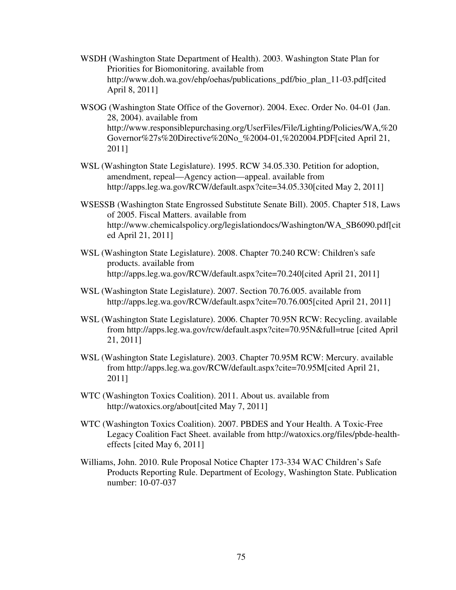- WSDH (Washington State Department of Health). 2003. Washington State Plan for Priorities for Biomonitoring. available from http://www.doh.wa.gov/ehp/oehas/publications\_pdf/bio\_plan\_11-03.pdf[cited April 8, 2011]
- WSOG (Washington State Office of the Governor). 2004. Exec. Order No. 04-01 (Jan. 28, 2004). available from http://www.responsiblepurchasing.org/UserFiles/File/Lighting/Policies/WA,%20 Governor%27s%20Directive%20No\_%2004-01,%202004.PDF[cited April 21, 2011]
- WSL (Washington State Legislature). 1995. RCW 34.05.330. Petition for adoption, amendment, repeal—Agency action—appeal. available from http://apps.leg.wa.gov/RCW/default.aspx?cite=34.05.330[cited May 2, 2011]
- WSESSB (Washington State Engrossed Substitute Senate Bill). 2005. Chapter 518, Laws of 2005. Fiscal Matters. available from http://www.chemicalspolicy.org/legislationdocs/Washington/WA\_SB6090.pdf[cit ed April 21, 2011]
- WSL (Washington State Legislature). 2008. Chapter 70.240 RCW: Children's safe products. available from http://apps.leg.wa.gov/RCW/default.aspx?cite=70.240[cited April 21, 2011]
- WSL (Washington State Legislature). 2007. Section 70.76.005. available from http://apps.leg.wa.gov/RCW/default.aspx?cite=70.76.005[cited April 21, 2011]
- WSL (Washington State Legislature). 2006. Chapter 70.95N RCW: Recycling. available from http://apps.leg.wa.gov/rcw/default.aspx?cite=70.95N&full=true [cited April 21, 2011]
- WSL (Washington State Legislature). 2003. Chapter 70.95M RCW: Mercury. available from http://apps.leg.wa.gov/RCW/default.aspx?cite=70.95M[cited April 21, 2011]
- WTC (Washington Toxics Coalition). 2011. About us. available from http://watoxics.org/about[cited May 7, 2011]
- WTC (Washington Toxics Coalition). 2007. PBDES and Your Health. A Toxic-Free Legacy Coalition Fact Sheet. available from http://watoxics.org/files/pbde-healtheffects [cited May 6, 2011]
- Williams, John. 2010. Rule Proposal Notice Chapter 173-334 WAC Children's Safe Products Reporting Rule. Department of Ecology, Washington State. Publication number: 10-07-037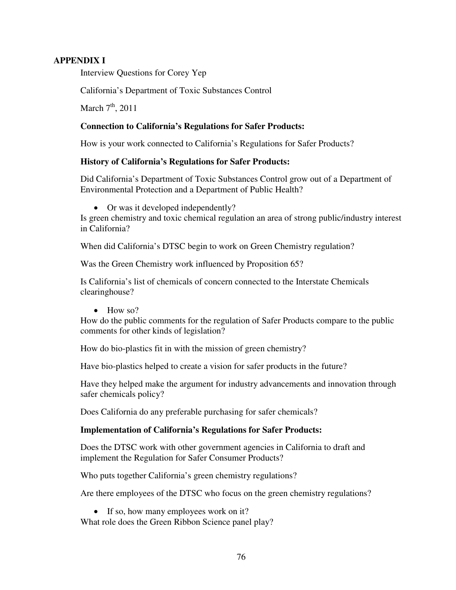## **APPENDIX I**

Interview Questions for Corey Yep

California's Department of Toxic Substances Control

March  $7<sup>th</sup>$ , 2011

### **Connection to California's Regulations for Safer Products:**

How is your work connected to California's Regulations for Safer Products?

### **History of California's Regulations for Safer Products:**

Did California's Department of Toxic Substances Control grow out of a Department of Environmental Protection and a Department of Public Health?

• Or was it developed independently?

Is green chemistry and toxic chemical regulation an area of strong public/industry interest in California?

When did California's DTSC begin to work on Green Chemistry regulation?

Was the Green Chemistry work influenced by Proposition 65?

Is California's list of chemicals of concern connected to the Interstate Chemicals clearinghouse?

• How so?

How do the public comments for the regulation of Safer Products compare to the public comments for other kinds of legislation?

How do bio-plastics fit in with the mission of green chemistry?

Have bio-plastics helped to create a vision for safer products in the future?

Have they helped make the argument for industry advancements and innovation through safer chemicals policy?

Does California do any preferable purchasing for safer chemicals?

### **Implementation of California's Regulations for Safer Products:**

Does the DTSC work with other government agencies in California to draft and implement the Regulation for Safer Consumer Products?

Who puts together California's green chemistry regulations?

Are there employees of the DTSC who focus on the green chemistry regulations?

• If so, how many employees work on it?

What role does the Green Ribbon Science panel play?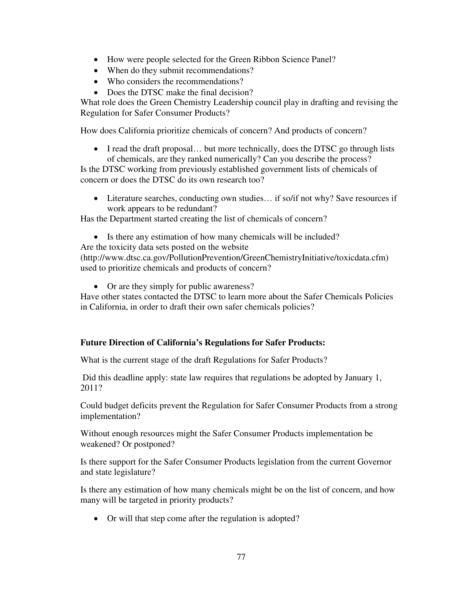- How were people selected for the Green Ribbon Science Panel?
- When do they submit recommendations?
- Who considers the recommendations?
- Does the DTSC make the final decision?

What role does the Green Chemistry Leadership council play in drafting and revising the Regulation for Safer Consumer Products?

How does California prioritize chemicals of concern? And products of concern?

• I read the draft proposal... but more technically, does the DTSC go through lists of chemicals, are they ranked numerically? Can you describe the process?

Is the DTSC working from previously established government lists of chemicals of concern or does the DTSC do its own research too?

• Literature searches, conducting own studies... if so/if not why? Save resources if work appears to be redundant?

Has the Department started creating the list of chemicals of concern?

• Is there any estimation of how many chemicals will be included?

Are the toxicity data sets posted on the website

(http://www.dtsc.ca.gov/PollutionPrevention/GreenChemistryInitiative/toxicdata.cfm) used to prioritize chemicals and products of concern?

• Or are they simply for public awareness?

Have other states contacted the DTSC to learn more about the Safer Chemicals Policies in California, in order to draft their own safer chemicals policies?

# **Future Direction of California's Regulations for Safer Products:**

What is the current stage of the draft Regulations for Safer Products?

Did this deadline apply: state law requires that regulations be adopted by January 1, 2011?

Could budget deficits prevent the Regulation for Safer Consumer Products from a strong implementation?

Without enough resources might the Safer Consumer Products implementation be weakened? Or postponed?

Is there support for the Safer Consumer Products legislation from the current Governor and state legislature?

Is there any estimation of how many chemicals might be on the list of concern, and how many will be targeted in priority products?

• Or will that step come after the regulation is adopted?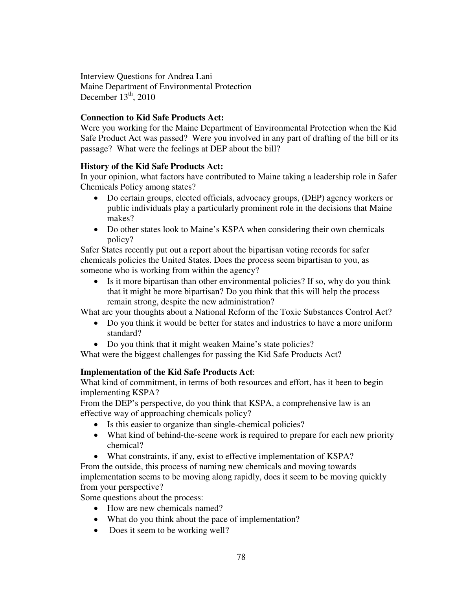Interview Questions for Andrea Lani Maine Department of Environmental Protection December  $13<sup>th</sup>$ , 2010

# **Connection to Kid Safe Products Act:**

Were you working for the Maine Department of Environmental Protection when the Kid Safe Product Act was passed? Were you involved in any part of drafting of the bill or its passage? What were the feelings at DEP about the bill?

# **History of the Kid Safe Products Act:**

In your opinion, what factors have contributed to Maine taking a leadership role in Safer Chemicals Policy among states?

- Do certain groups, elected officials, advocacy groups, (DEP) agency workers or public individuals play a particularly prominent role in the decisions that Maine makes?
- Do other states look to Maine's KSPA when considering their own chemicals policy?

Safer States recently put out a report about the bipartisan voting records for safer chemicals policies the United States. Does the process seem bipartisan to you, as someone who is working from within the agency?

• Is it more bipartisan than other environmental policies? If so, why do you think that it might be more bipartisan? Do you think that this will help the process remain strong, despite the new administration?

What are your thoughts about a National Reform of the Toxic Substances Control Act?

- Do you think it would be better for states and industries to have a more uniform standard?
- Do you think that it might weaken Maine's state policies?

What were the biggest challenges for passing the Kid Safe Products Act?

# **Implementation of the Kid Safe Products Act**:

What kind of commitment, in terms of both resources and effort, has it been to begin implementing KSPA?

From the DEP's perspective, do you think that KSPA, a comprehensive law is an effective way of approaching chemicals policy?

- Is this easier to organize than single-chemical policies?
- What kind of behind-the-scene work is required to prepare for each new priority chemical?
- What constraints, if any, exist to effective implementation of KSPA? From the outside, this process of naming new chemicals and moving towards implementation seems to be moving along rapidly, does it seem to be moving quickly from your perspective?

Some questions about the process:

- How are new chemicals named?
- What do you think about the pace of implementation?
- Does it seem to be working well?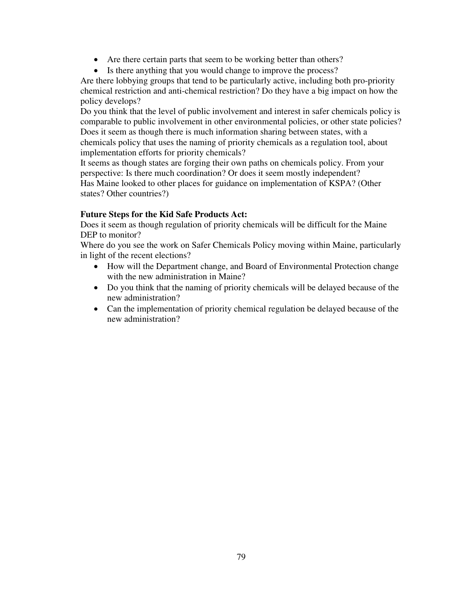- Are there certain parts that seem to be working better than others?
- Is there anything that you would change to improve the process?

Are there lobbying groups that tend to be particularly active, including both pro-priority chemical restriction and anti-chemical restriction? Do they have a big impact on how the policy develops?

Do you think that the level of public involvement and interest in safer chemicals policy is comparable to public involvement in other environmental policies, or other state policies? Does it seem as though there is much information sharing between states, with a chemicals policy that uses the naming of priority chemicals as a regulation tool, about implementation efforts for priority chemicals?

It seems as though states are forging their own paths on chemicals policy. From your perspective: Is there much coordination? Or does it seem mostly independent? Has Maine looked to other places for guidance on implementation of KSPA? (Other states? Other countries?)

## **Future Steps for the Kid Safe Products Act:**

Does it seem as though regulation of priority chemicals will be difficult for the Maine DEP to monitor?

Where do you see the work on Safer Chemicals Policy moving within Maine, particularly in light of the recent elections?

- How will the Department change, and Board of Environmental Protection change with the new administration in Maine?
- Do you think that the naming of priority chemicals will be delayed because of the new administration?
- Can the implementation of priority chemical regulation be delayed because of the new administration?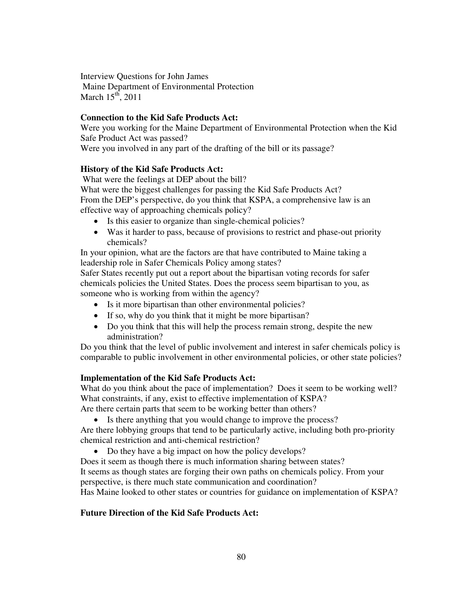Interview Questions for John James Maine Department of Environmental Protection March  $15^{th}$ , 2011

# **Connection to the Kid Safe Products Act:**

Were you working for the Maine Department of Environmental Protection when the Kid Safe Product Act was passed? Were you involved in any part of the drafting of the bill or its passage?

# **History of the Kid Safe Products Act:**

 What were the feelings at DEP about the bill? What were the biggest challenges for passing the Kid Safe Products Act? From the DEP's perspective, do you think that KSPA, a comprehensive law is an effective way of approaching chemicals policy?

- Is this easier to organize than single-chemical policies?
- Was it harder to pass, because of provisions to restrict and phase-out priority chemicals?

In your opinion, what are the factors are that have contributed to Maine taking a leadership role in Safer Chemicals Policy among states?

Safer States recently put out a report about the bipartisan voting records for safer chemicals policies the United States. Does the process seem bipartisan to you, as someone who is working from within the agency?

- Is it more bipartisan than other environmental policies?
- If so, why do you think that it might be more bipartisan?
- Do you think that this will help the process remain strong, despite the new administration?

Do you think that the level of public involvement and interest in safer chemicals policy is comparable to public involvement in other environmental policies, or other state policies?

# **Implementation of the Kid Safe Products Act:**

What do you think about the pace of implementation? Does it seem to be working well? What constraints, if any, exist to effective implementation of KSPA?

Are there certain parts that seem to be working better than others?

• Is there anything that you would change to improve the process?

Are there lobbying groups that tend to be particularly active, including both pro-priority chemical restriction and anti-chemical restriction?

• Do they have a big impact on how the policy develops?

Does it seem as though there is much information sharing between states?

It seems as though states are forging their own paths on chemicals policy. From your perspective, is there much state communication and coordination?

Has Maine looked to other states or countries for guidance on implementation of KSPA?

# **Future Direction of the Kid Safe Products Act:**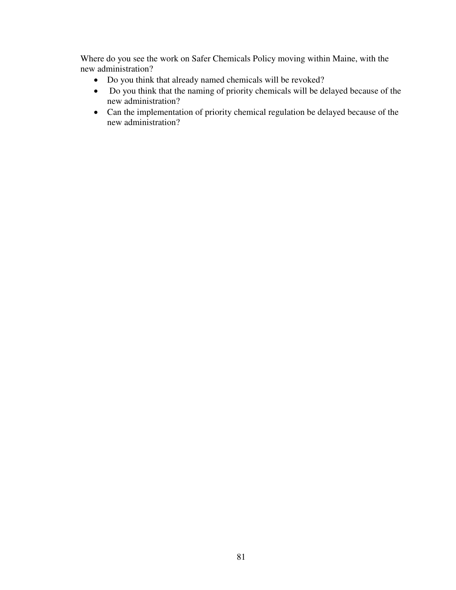Where do you see the work on Safer Chemicals Policy moving within Maine, with the new administration?

- Do you think that already named chemicals will be revoked?
- Do you think that the naming of priority chemicals will be delayed because of the new administration?
- Can the implementation of priority chemical regulation be delayed because of the new administration?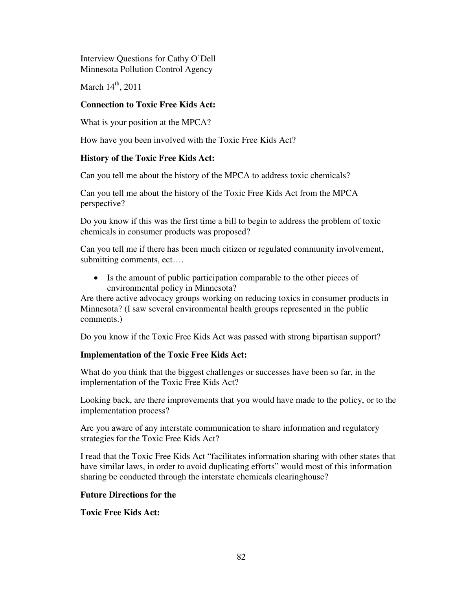Interview Questions for Cathy O'Dell Minnesota Pollution Control Agency

March  $14<sup>th</sup>$ , 2011

# **Connection to Toxic Free Kids Act:**

What is your position at the MPCA?

How have you been involved with the Toxic Free Kids Act?

# **History of the Toxic Free Kids Act:**

Can you tell me about the history of the MPCA to address toxic chemicals?

Can you tell me about the history of the Toxic Free Kids Act from the MPCA perspective?

Do you know if this was the first time a bill to begin to address the problem of toxic chemicals in consumer products was proposed?

Can you tell me if there has been much citizen or regulated community involvement, submitting comments, ect….

• Is the amount of public participation comparable to the other pieces of environmental policy in Minnesota?

Are there active advocacy groups working on reducing toxics in consumer products in Minnesota? (I saw several environmental health groups represented in the public comments.)

Do you know if the Toxic Free Kids Act was passed with strong bipartisan support?

# **Implementation of the Toxic Free Kids Act:**

What do you think that the biggest challenges or successes have been so far, in the implementation of the Toxic Free Kids Act?

Looking back, are there improvements that you would have made to the policy, or to the implementation process?

Are you aware of any interstate communication to share information and regulatory strategies for the Toxic Free Kids Act?

I read that the Toxic Free Kids Act "facilitates information sharing with other states that have similar laws, in order to avoid duplicating efforts" would most of this information sharing be conducted through the interstate chemicals clearinghouse?

## **Future Directions for the**

**Toxic Free Kids Act:**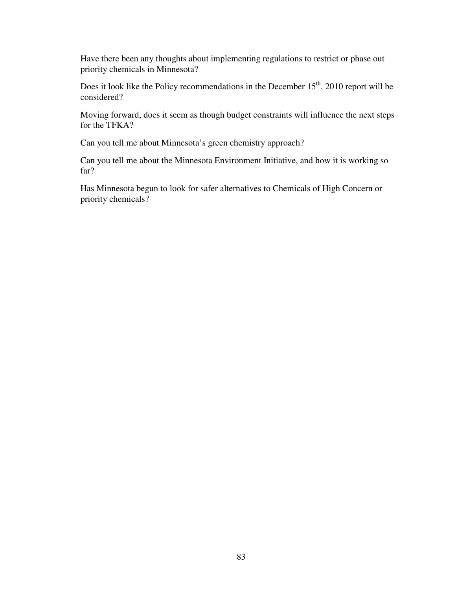Have there been any thoughts about implementing regulations to restrict or phase out priority chemicals in Minnesota?

Does it look like the Policy recommendations in the December  $15<sup>th</sup>$ , 2010 report will be considered?

Moving forward, does it seem as though budget constraints will influence the next steps for the TFKA?

Can you tell me about Minnesota's green chemistry approach?

Can you tell me about the Minnesota Environment Initiative, and how it is working so far?

Has Minnesota begun to look for safer alternatives to Chemicals of High Concern or priority chemicals?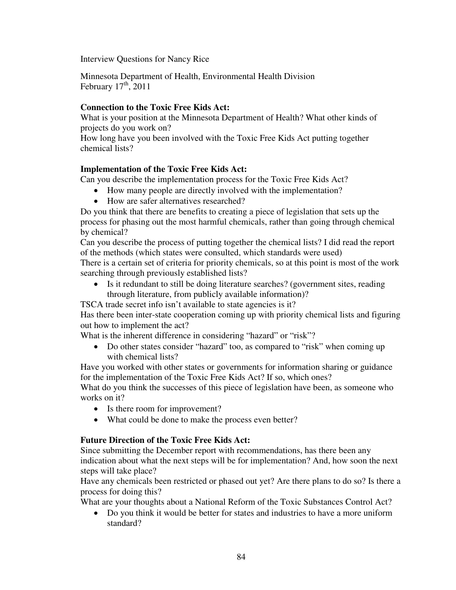Interview Questions for Nancy Rice

Minnesota Department of Health, Environmental Health Division February  $17^{\text{th}}$ , 2011

#### **Connection to the Toxic Free Kids Act:**

What is your position at the Minnesota Department of Health? What other kinds of projects do you work on?

How long have you been involved with the Toxic Free Kids Act putting together chemical lists?

### **Implementation of the Toxic Free Kids Act:**

Can you describe the implementation process for the Toxic Free Kids Act?

- How many people are directly involved with the implementation?
- How are safer alternatives researched?

Do you think that there are benefits to creating a piece of legislation that sets up the process for phasing out the most harmful chemicals, rather than going through chemical by chemical?

Can you describe the process of putting together the chemical lists? I did read the report of the methods (which states were consulted, which standards were used)

There is a certain set of criteria for priority chemicals, so at this point is most of the work searching through previously established lists?

• Is it redundant to still be doing literature searches? (government sites, reading through literature, from publicly available information)?

TSCA trade secret info isn't available to state agencies is it?

Has there been inter-state cooperation coming up with priority chemical lists and figuring out how to implement the act?

What is the inherent difference in considering "hazard" or "risk"?

• Do other states consider "hazard" too, as compared to "risk" when coming up with chemical lists?

Have you worked with other states or governments for information sharing or guidance for the implementation of the Toxic Free Kids Act? If so, which ones?

What do you think the successes of this piece of legislation have been, as someone who works on it?

- Is there room for improvement?
- What could be done to make the process even better?

#### **Future Direction of the Toxic Free Kids Act:**

Since submitting the December report with recommendations, has there been any indication about what the next steps will be for implementation? And, how soon the next steps will take place?

Have any chemicals been restricted or phased out yet? Are there plans to do so? Is there a process for doing this?

What are your thoughts about a National Reform of the Toxic Substances Control Act?

• Do you think it would be better for states and industries to have a more uniform standard?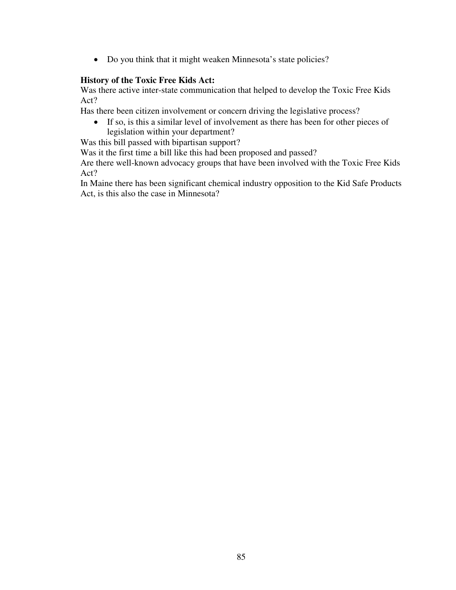• Do you think that it might weaken Minnesota's state policies?

# **History of the Toxic Free Kids Act:**

Was there active inter-state communication that helped to develop the Toxic Free Kids Act?

Has there been citizen involvement or concern driving the legislative process?

• If so, is this a similar level of involvement as there has been for other pieces of legislation within your department?

Was this bill passed with bipartisan support?

Was it the first time a bill like this had been proposed and passed?

Are there well-known advocacy groups that have been involved with the Toxic Free Kids Act?

In Maine there has been significant chemical industry opposition to the Kid Safe Products Act, is this also the case in Minnesota?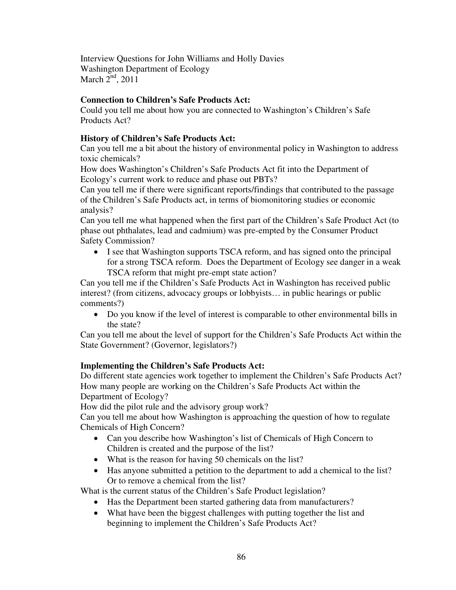Interview Questions for John Williams and Holly Davies Washington Department of Ecology March  $2<sup>nd</sup>$ , 2011

### **Connection to Children's Safe Products Act:**

Could you tell me about how you are connected to Washington's Children's Safe Products Act?

### **History of Children's Safe Products Act:**

Can you tell me a bit about the history of environmental policy in Washington to address toxic chemicals?

How does Washington's Children's Safe Products Act fit into the Department of Ecology's current work to reduce and phase out PBTs?

Can you tell me if there were significant reports/findings that contributed to the passage of the Children's Safe Products act, in terms of biomonitoring studies or economic analysis?

Can you tell me what happened when the first part of the Children's Safe Product Act (to phase out phthalates, lead and cadmium) was pre-empted by the Consumer Product Safety Commission?

• I see that Washington supports TSCA reform, and has signed onto the principal for a strong TSCA reform. Does the Department of Ecology see danger in a weak TSCA reform that might pre-empt state action?

Can you tell me if the Children's Safe Products Act in Washington has received public interest? (from citizens, advocacy groups or lobbyists… in public hearings or public comments?)

• Do you know if the level of interest is comparable to other environmental bills in the state?

Can you tell me about the level of support for the Children's Safe Products Act within the State Government? (Governor, legislators?)

## **Implementing the Children's Safe Products Act:**

Do different state agencies work together to implement the Children's Safe Products Act? How many people are working on the Children's Safe Products Act within the Department of Ecology?

How did the pilot rule and the advisory group work?

Can you tell me about how Washington is approaching the question of how to regulate Chemicals of High Concern?

- Can you describe how Washington's list of Chemicals of High Concern to Children is created and the purpose of the list?
- What is the reason for having 50 chemicals on the list?
- Has anyone submitted a petition to the department to add a chemical to the list? Or to remove a chemical from the list?

What is the current status of the Children's Safe Product legislation?

- Has the Department been started gathering data from manufacturers?
- What have been the biggest challenges with putting together the list and beginning to implement the Children's Safe Products Act?